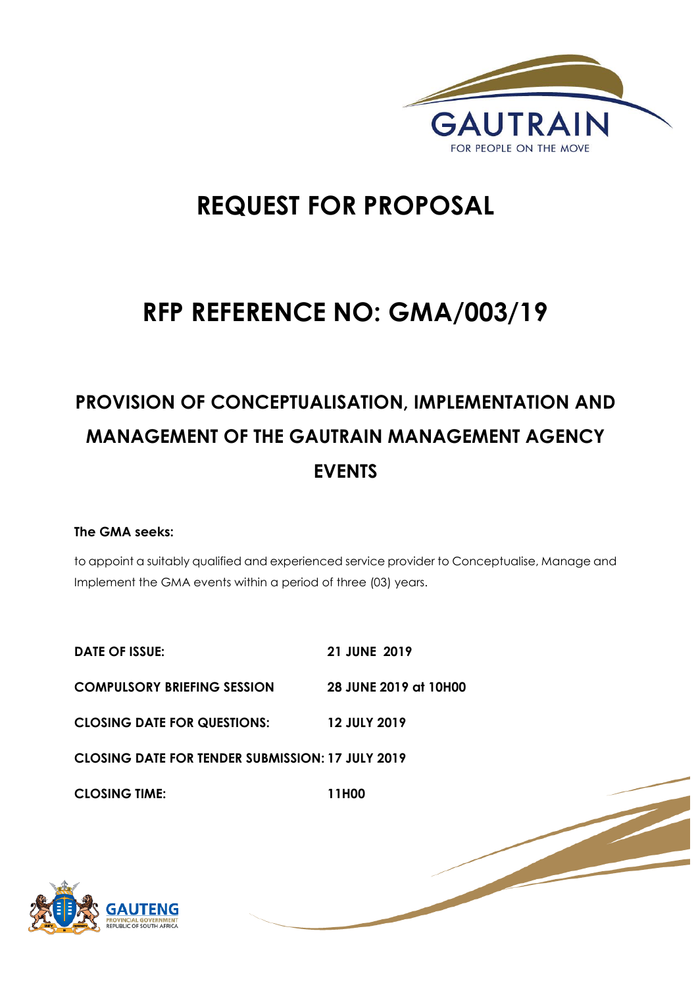

1 | P a g e

# **REQUEST FOR PROPOSAL**

# **RFP REFERENCE NO: GMA/003/19**

# **PROVISION OF CONCEPTUALISATION, IMPLEMENTATION AND MANAGEMENT OF THE GAUTRAIN MANAGEMENT AGENCY EVENTS**

## **The GMA seeks:**

to appoint a suitably qualified and experienced service provider to Conceptualise, Manage and Implement the GMA events within a period of three (03) years.

| <b>DATE OF ISSUE:</b>                                   | <b>21 JUNE 2019</b>   |
|---------------------------------------------------------|-----------------------|
| <b>COMPULSORY BRIEFING SESSION</b>                      | 28 JUNE 2019 at 10H00 |
| <b>CLOSING DATE FOR QUESTIONS:</b>                      | <b>12 JULY 2019</b>   |
| <b>CLOSING DATE FOR TENDER SUBMISSION: 17 JULY 2019</b> |                       |
| <b>CLOSING TIME:</b>                                    | 11H00                 |

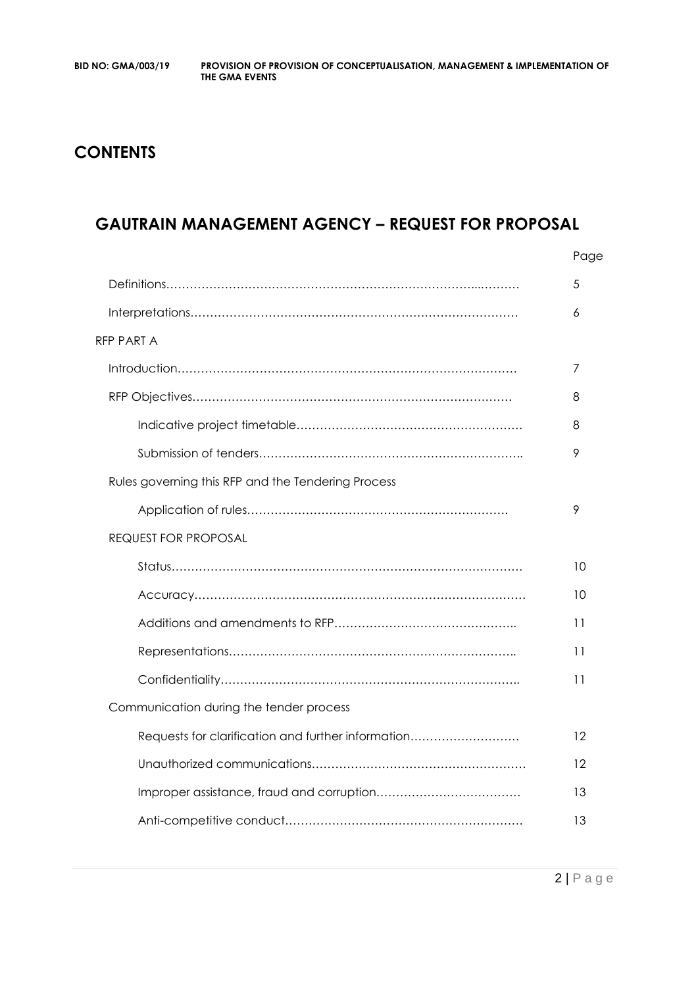# **CONTENTS**

## **GAUTRAIN MANAGEMENT AGENCY – REQUEST FOR PROPOSAL**

|                                                    | Page |
|----------------------------------------------------|------|
|                                                    | 5    |
|                                                    | 6    |
| RFP PART A                                         |      |
|                                                    | 7    |
|                                                    | 8    |
|                                                    | 8    |
|                                                    | 9    |
| Rules governing this RFP and the Tendering Process |      |
|                                                    | 9    |
| <b>REQUEST FOR PROPOSAL</b>                        |      |
|                                                    | 10   |
|                                                    | 10   |
|                                                    | 11   |
|                                                    | 11   |
|                                                    | 11   |
| Communication during the tender process            |      |
| Requests for clarification and further information | 12   |
|                                                    | 12   |
|                                                    | 13   |
|                                                    | 13   |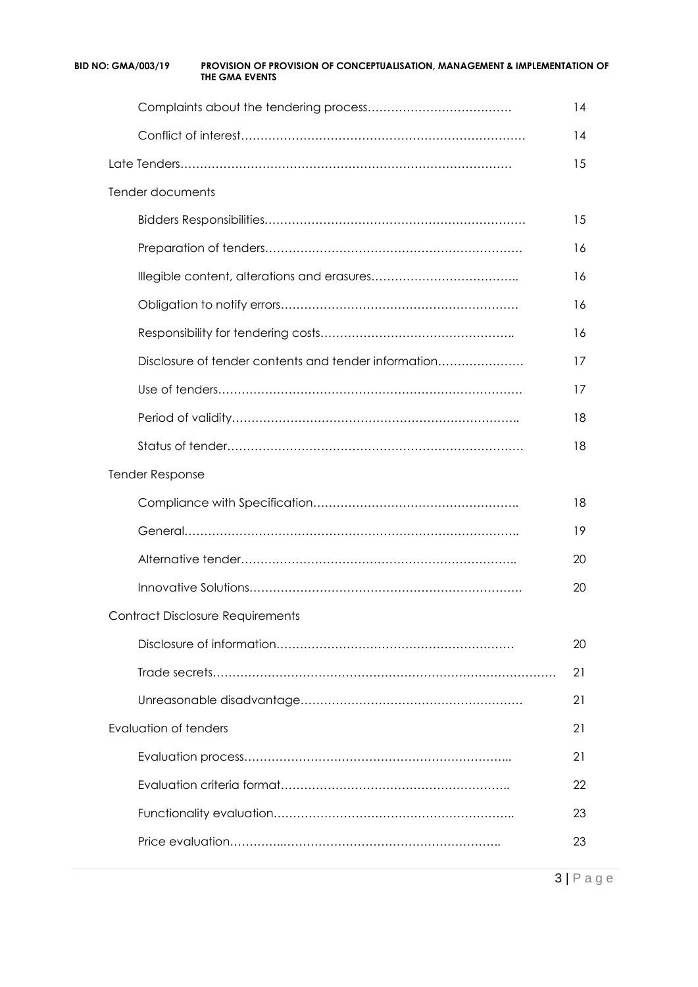| <b>BID NO: GMA/003/19</b>    | PROVISION OF PROVISION OF CONCEPTUALISATION, MANAGEMENT & IMPLEMENTATION OF<br>THE GMA EVENTS |    |
|------------------------------|-----------------------------------------------------------------------------------------------|----|
|                              |                                                                                               | 14 |
|                              |                                                                                               | 14 |
|                              |                                                                                               | 15 |
| Tender documents             |                                                                                               |    |
|                              |                                                                                               | 15 |
|                              |                                                                                               | 16 |
|                              |                                                                                               | 16 |
|                              |                                                                                               | 16 |
|                              |                                                                                               | 16 |
|                              | Disclosure of tender contents and tender information                                          | 17 |
|                              |                                                                                               | 17 |
|                              |                                                                                               | 18 |
|                              |                                                                                               | 18 |
| <b>Tender Response</b>       |                                                                                               |    |
|                              |                                                                                               | 18 |
|                              |                                                                                               | 19 |
|                              |                                                                                               | 20 |
|                              |                                                                                               | 20 |
|                              | <b>Contract Disclosure Requirements</b>                                                       |    |
|                              |                                                                                               | 20 |
|                              |                                                                                               | 21 |
|                              |                                                                                               | 21 |
| <b>Evaluation of tenders</b> |                                                                                               | 21 |
|                              |                                                                                               | 21 |
|                              |                                                                                               | 22 |
|                              |                                                                                               | 23 |
|                              |                                                                                               | 23 |
|                              |                                                                                               |    |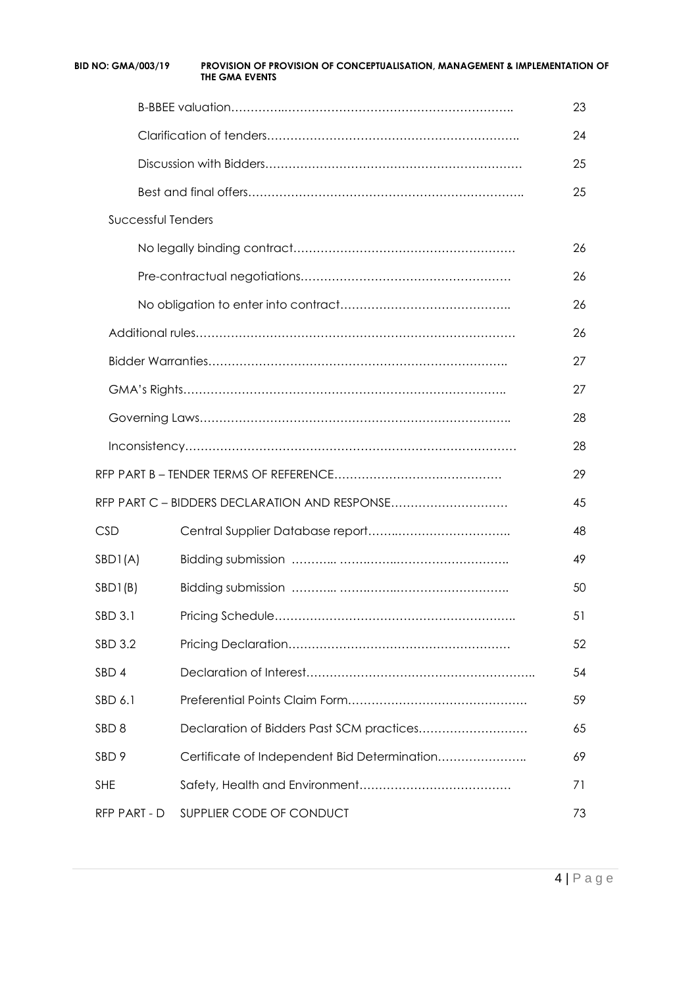| <b>BID NO: GMA/003/19</b> | PROVISION OF PROVISION OF CONCEPTUALISATION, MANAGEMENT & IMPLEMENTATION OF<br><b>THE GMA EVENTS</b> |    |
|---------------------------|------------------------------------------------------------------------------------------------------|----|
|                           |                                                                                                      | 23 |
|                           |                                                                                                      | 24 |
|                           |                                                                                                      | 25 |
|                           |                                                                                                      | 25 |
| <b>Successful Tenders</b> |                                                                                                      |    |
|                           |                                                                                                      | 26 |
|                           |                                                                                                      | 26 |
|                           |                                                                                                      | 26 |
|                           |                                                                                                      | 26 |
|                           |                                                                                                      | 27 |
|                           |                                                                                                      | 27 |
|                           |                                                                                                      | 28 |
|                           |                                                                                                      | 28 |
|                           |                                                                                                      | 29 |
|                           | RFP PART C - BIDDERS DECLARATION AND RESPONSE                                                        | 45 |
| <b>CSD</b>                |                                                                                                      | 48 |
| SBDI(A)                   |                                                                                                      | 49 |
| SBD1(B)                   |                                                                                                      | 50 |
| <b>SBD 3.1</b>            |                                                                                                      | 51 |
| <b>SBD 3.2</b>            |                                                                                                      | 52 |
| SBD <sub>4</sub>          |                                                                                                      | 54 |
| SBD 6.1                   |                                                                                                      | 59 |
| SBD <sub>8</sub>          | Declaration of Bidders Past SCM practices                                                            | 65 |
| SBD <sub>9</sub>          | Certificate of Independent Bid Determination                                                         | 69 |
| <b>SHE</b>                |                                                                                                      | 71 |
| RFP PART - D              | SUPPLIER CODE OF CONDUCT                                                                             | 73 |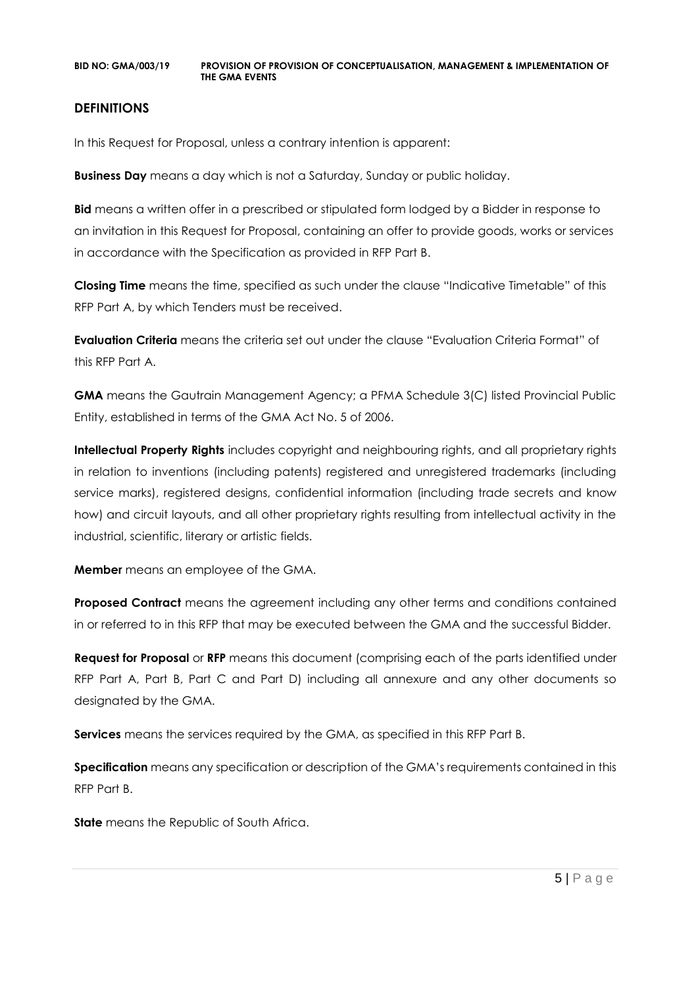#### **DEFINITIONS**

In this Request for Proposal, unless a contrary intention is apparent:

**Business Day** means a day which is not a Saturday, Sunday or public holiday.

**Bid** means a written offer in a prescribed or stipulated form lodged by a Bidder in response to an invitation in this Request for Proposal, containing an offer to provide goods, works or services in accordance with the Specification as provided in RFP Part B.

**Closing Time** means the time, specified as such under the clause "Indicative Timetable" of this RFP Part A, by which Tenders must be received.

**Evaluation Criteria** means the criteria set out under the clause "Evaluation Criteria Format" of this RFP Part A.

**GMA** means the Gautrain Management Agency; a PFMA Schedule 3(C) listed Provincial Public Entity, established in terms of the GMA Act No. 5 of 2006.

**Intellectual Property Rights** includes copyright and neighbouring rights, and all proprietary rights in relation to inventions (including patents) registered and unregistered trademarks (including service marks), registered designs, confidential information (including trade secrets and know how) and circuit layouts, and all other proprietary rights resulting from intellectual activity in the industrial, scientific, literary or artistic fields.

**Member** means an employee of the GMA.

**Proposed Contract** means the agreement including any other terms and conditions contained in or referred to in this RFP that may be executed between the GMA and the successful Bidder.

**Request for Proposal** or **RFP** means this document (comprising each of the parts identified under RFP Part A, Part B, Part C and Part D) including all annexure and any other documents so designated by the GMA.

**Services** means the services required by the GMA, as specified in this RFP Part B.

**Specification** means any specification or description of the GMA's requirements contained in this RFP Part B.

**State** means the Republic of South Africa.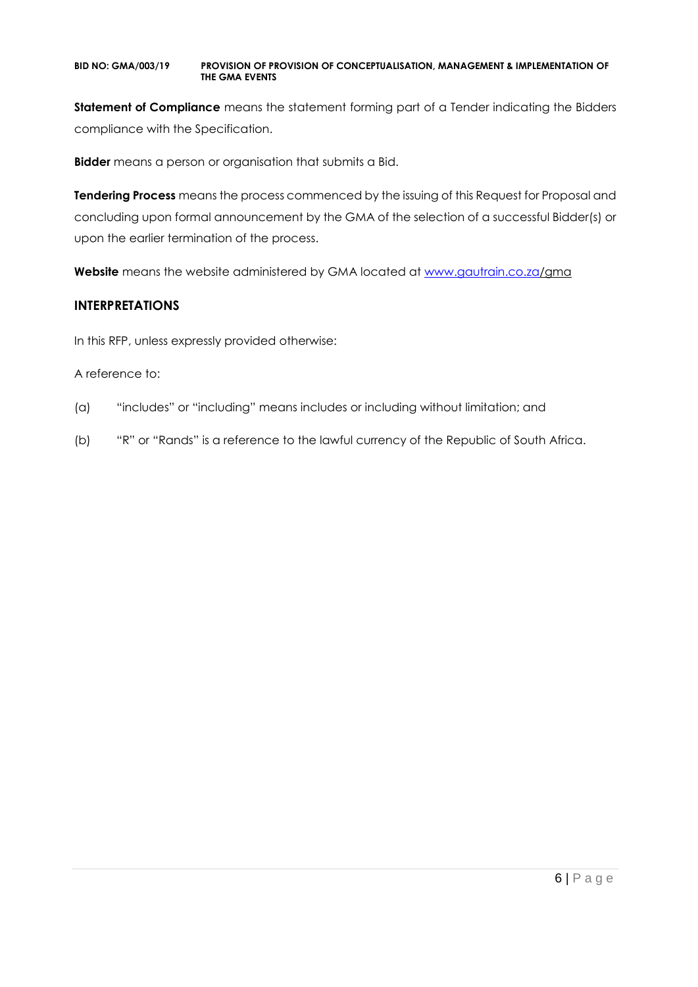**Statement of Compliance** means the statement forming part of a Tender indicating the Bidders compliance with the Specification.

**Bidder** means a person or organisation that submits a Bid.

**Tendering Process** means the process commenced by the issuing of this Request for Proposal and concluding upon formal announcement by the GMA of the selection of a successful Bidder(s) or upon the earlier termination of the process.

**Website** means the website administered by GMA located at [www.gautrain.co.za/](http://www.gautrain.co.za/)gma

## **INTERPRETATIONS**

In this RFP, unless expressly provided otherwise:

#### A reference to:

- (a) "includes" or "including" means includes or including without limitation; and
- (b) "R" or "Rands" is a reference to the lawful currency of the Republic of South Africa.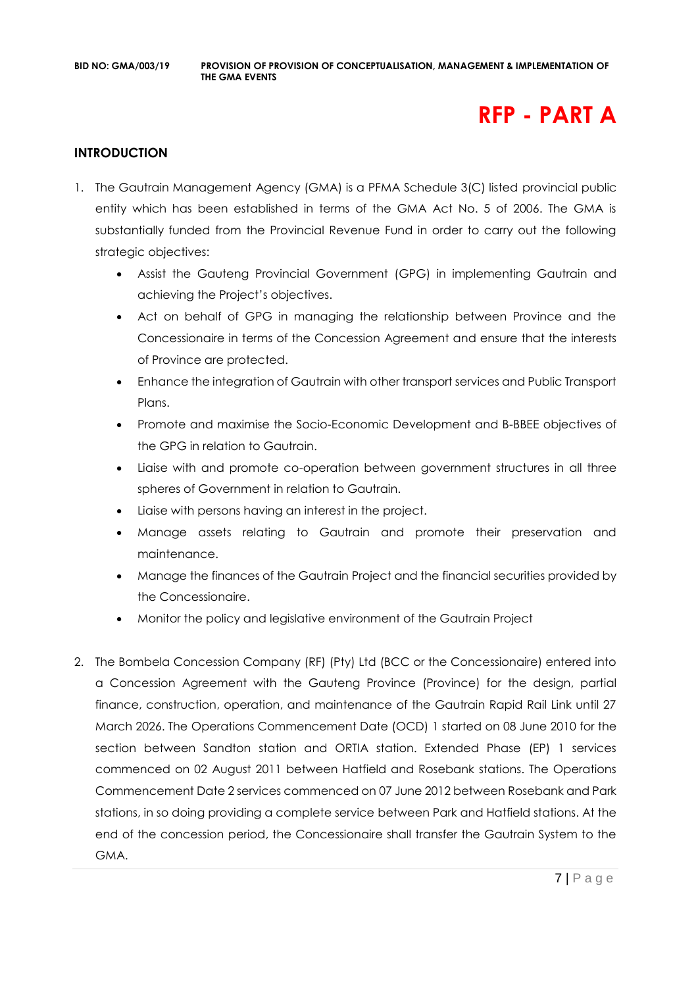# **RFP - PART A**

#### **INTRODUCTION**

- 1. The Gautrain Management Agency (GMA) is a PFMA Schedule 3(C) listed provincial public entity which has been established in terms of the GMA Act No. 5 of 2006. The GMA is substantially funded from the Provincial Revenue Fund in order to carry out the following strategic objectives:
	- Assist the Gauteng Provincial Government (GPG) in implementing Gautrain and achieving the Project's objectives.
	- Act on behalf of GPG in managing the relationship between Province and the Concessionaire in terms of the Concession Agreement and ensure that the interests of Province are protected.
	- Enhance the integration of Gautrain with other transport services and Public Transport Plans.
	- Promote and maximise the Socio-Economic Development and B-BBEE objectives of the GPG in relation to Gautrain.
	- Liaise with and promote co-operation between government structures in all three spheres of Government in relation to Gautrain.
	- Liaise with persons having an interest in the project.
	- Manage assets relating to Gautrain and promote their preservation and maintenance.
	- Manage the finances of the Gautrain Project and the financial securities provided by the Concessionaire.
	- Monitor the policy and legislative environment of the Gautrain Project
- 2. The Bombela Concession Company (RF) (Pty) Ltd (BCC or the Concessionaire) entered into a Concession Agreement with the Gauteng Province (Province) for the design, partial finance, construction, operation, and maintenance of the Gautrain Rapid Rail Link until 27 March 2026. The Operations Commencement Date (OCD) 1 started on 08 June 2010 for the section between Sandton station and ORTIA station. Extended Phase (EP) 1 services commenced on 02 August 2011 between Hatfield and Rosebank stations. The Operations Commencement Date 2 services commenced on 07 June 2012 between Rosebank and Park stations, in so doing providing a complete service between Park and Hatfield stations. At the end of the concession period, the Concessionaire shall transfer the Gautrain System to the GMA.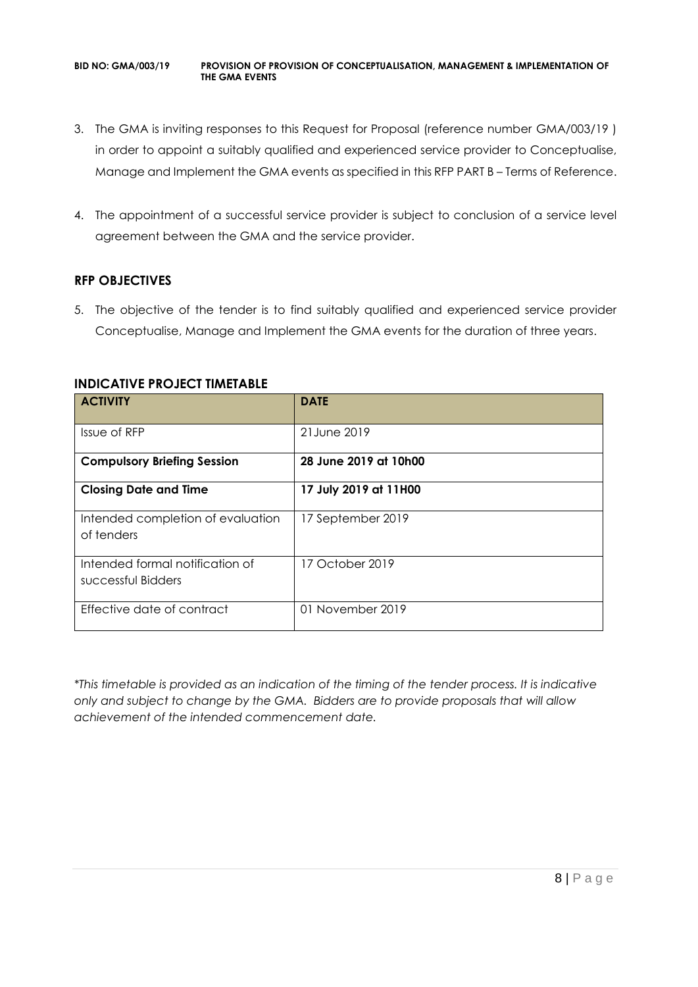- 3. The GMA is inviting responses to this Request for Proposal (reference number GMA/003/19 ) in order to appoint a suitably qualified and experienced service provider to Conceptualise, Manage and Implement the GMA events as specified in this RFP PART B – Terms of Reference.
- 4. The appointment of a successful service provider is subject to conclusion of a service level agreement between the GMA and the service provider.

#### **RFP OBJECTIVES**

5. The objective of the tender is to find suitably qualified and experienced service provider Conceptualise, Manage and Implement the GMA events for the duration of three years.

| <b>ACTIVITY</b>                                       | <b>DATE</b>           |
|-------------------------------------------------------|-----------------------|
| Issue of RFP                                          | 21 June 2019          |
| <b>Compulsory Briefing Session</b>                    | 28 June 2019 at 10h00 |
| <b>Closing Date and Time</b>                          | 17 July 2019 at 11H00 |
| Intended completion of evaluation<br>of tenders       | 17 September 2019     |
| Intended formal notification of<br>successful Bidders | 17 October 2019       |
| Effective date of contract                            | 01 November 2019      |

#### **INDICATIVE PROJECT TIMETABLE**

*\*This timetable is provided as an indication of the timing of the tender process. It is indicative only and subject to change by the GMA. Bidders are to provide proposals that will allow achievement of the intended commencement date.*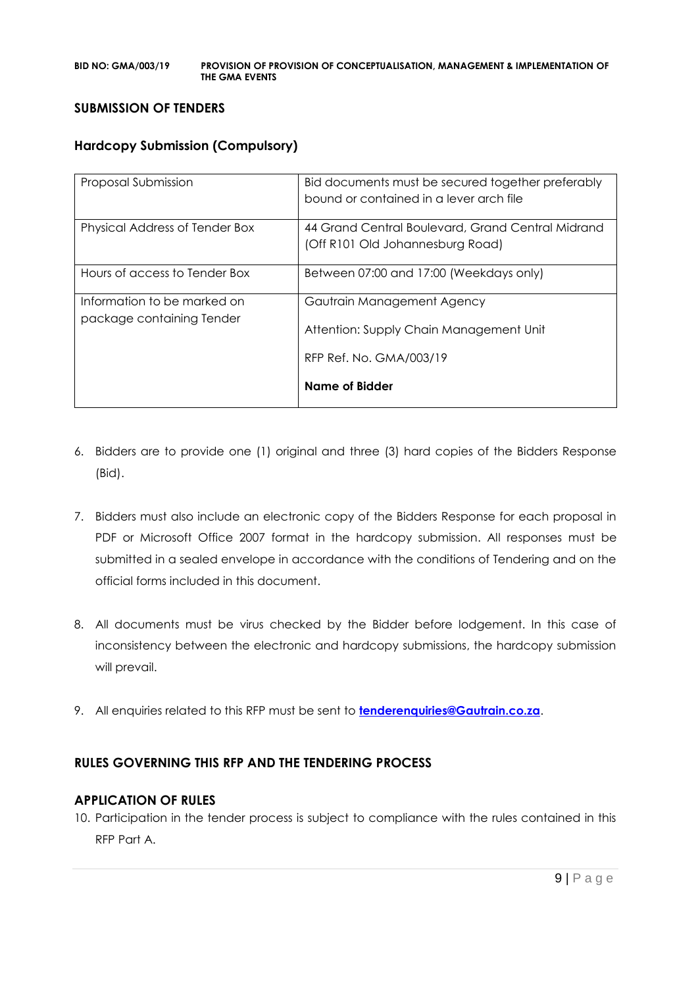#### **SUBMISSION OF TENDERS**

#### **Hardcopy Submission (Compulsory)**

| Proposal Submission                                      | Bid documents must be secured together preferably<br>bound or contained in a lever arch file     |
|----------------------------------------------------------|--------------------------------------------------------------------------------------------------|
| Physical Address of Tender Box                           | 44 Grand Central Boulevard, Grand Central Midrand<br>(Off R101 Old Johannesburg Road)            |
| Hours of access to Tender Box                            | Between 07:00 and 17:00 (Weekdays only)                                                          |
| Information to be marked on<br>package containing Tender | Gautrain Management Agency<br>Attention: Supply Chain Management Unit<br>RFP Ref. No. GMA/003/19 |
|                                                          | Name of Bidder                                                                                   |

- 6. Bidders are to provide one (1) original and three (3) hard copies of the Bidders Response (Bid).
- 7. Bidders must also include an electronic copy of the Bidders Response for each proposal in PDF or Microsoft Office 2007 format in the hardcopy submission. All responses must be submitted in a sealed envelope in accordance with the conditions of Tendering and on the official forms included in this document.
- 8. All documents must be virus checked by the Bidder before lodgement. In this case of inconsistency between the electronic and hardcopy submissions, the hardcopy submission will prevail.
- 9. All enquiries related to this RFP must be sent to **[tenderenquiries@Gautrain.co.za](mailto:tenderenquiries@Gautrain.co.za)**.

## **RULES GOVERNING THIS RFP AND THE TENDERING PROCESS**

#### **APPLICATION OF RULES**

10. Participation in the tender process is subject to compliance with the rules contained in this RFP Part A.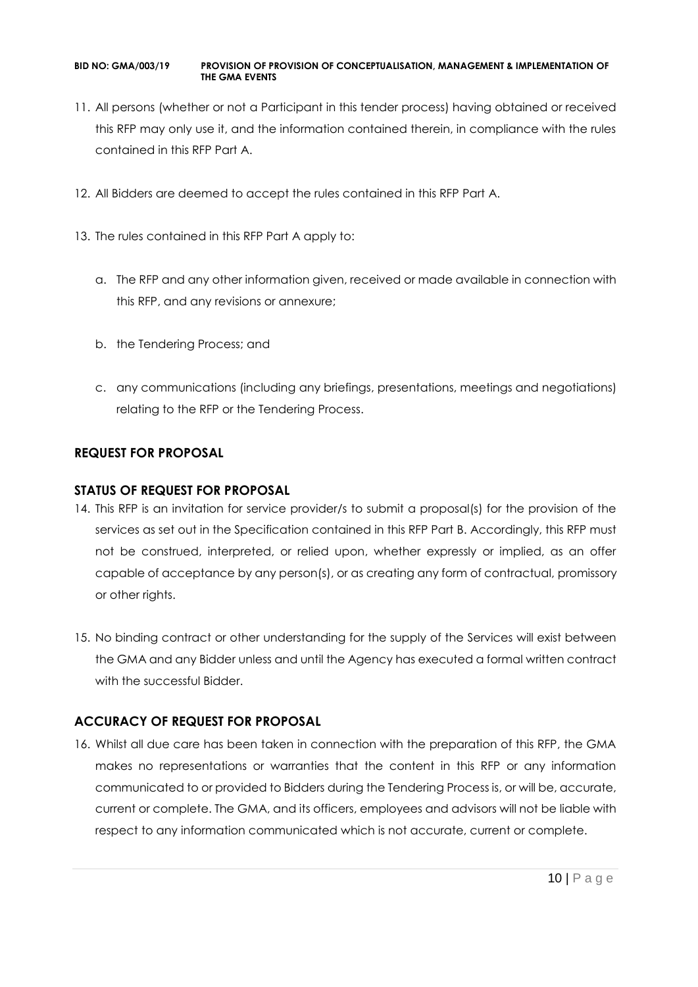- 11. All persons (whether or not a Participant in this tender process) having obtained or received this RFP may only use it, and the information contained therein, in compliance with the rules contained in this RFP Part A.
- 12. All Bidders are deemed to accept the rules contained in this RFP Part A.
- 13. The rules contained in this RFP Part A apply to:
	- a. The RFP and any other information given, received or made available in connection with this RFP, and any revisions or annexure;
	- b. the Tendering Process; and
	- c. any communications (including any briefings, presentations, meetings and negotiations) relating to the RFP or the Tendering Process.

## **REQUEST FOR PROPOSAL**

#### **STATUS OF REQUEST FOR PROPOSAL**

- 14. This RFP is an invitation for service provider/s to submit a proposal(s) for the provision of the services as set out in the Specification contained in this RFP Part B. Accordingly, this RFP must not be construed, interpreted, or relied upon, whether expressly or implied, as an offer capable of acceptance by any person(s), or as creating any form of contractual, promissory or other rights.
- 15. No binding contract or other understanding for the supply of the Services will exist between the GMA and any Bidder unless and until the Agency has executed a formal written contract with the successful Bidder.

## **ACCURACY OF REQUEST FOR PROPOSAL**

16. Whilst all due care has been taken in connection with the preparation of this RFP, the GMA makes no representations or warranties that the content in this RFP or any information communicated to or provided to Bidders during the Tendering Process is, or will be, accurate, current or complete. The GMA, and its officers, employees and advisors will not be liable with respect to any information communicated which is not accurate, current or complete.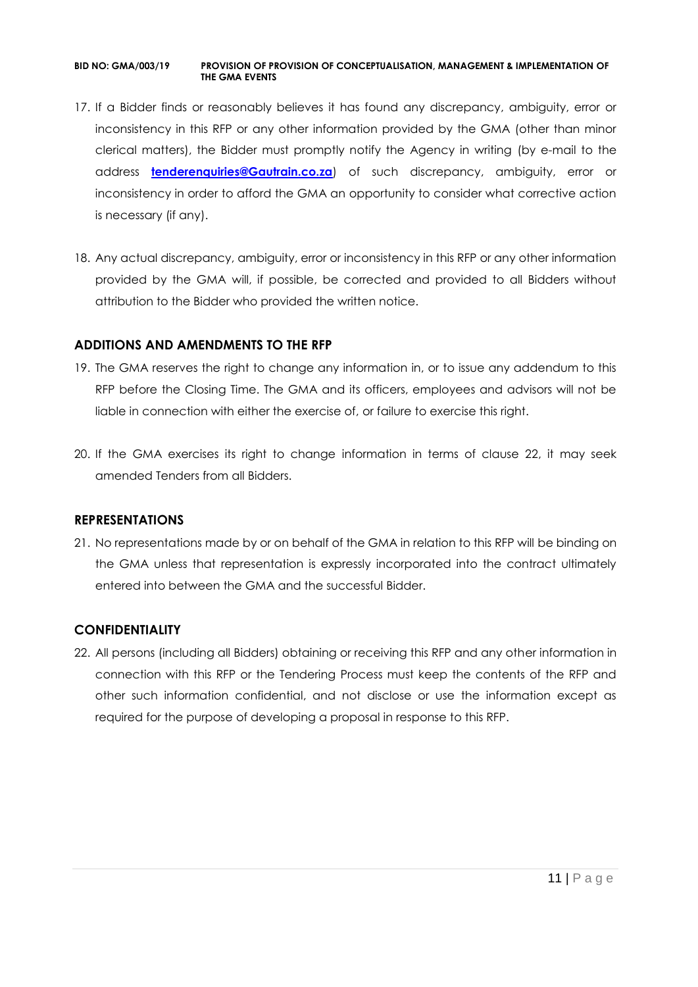- 17. If a Bidder finds or reasonably believes it has found any discrepancy, ambiguity, error or inconsistency in this RFP or any other information provided by the GMA (other than minor clerical matters), the Bidder must promptly notify the Agency in writing (by e-mail to the address **[tenderenquiries@Gautrain.co.za](mailto:tenderenquiries@gautrainpo.co.za)**) of such discrepancy, ambiguity, error or inconsistency in order to afford the GMA an opportunity to consider what corrective action is necessary (if any).
- 18. Any actual discrepancy, ambiguity, error or inconsistency in this RFP or any other information provided by the GMA will, if possible, be corrected and provided to all Bidders without attribution to the Bidder who provided the written notice.

#### **ADDITIONS AND AMENDMENTS TO THE RFP**

- 19. The GMA reserves the right to change any information in, or to issue any addendum to this RFP before the Closing Time. The GMA and its officers, employees and advisors will not be liable in connection with either the exercise of, or failure to exercise this right.
- 20. If the GMA exercises its right to change information in terms of clause 22, it may seek amended Tenders from all Bidders.

#### **REPRESENTATIONS**

21. No representations made by or on behalf of the GMA in relation to this RFP will be binding on the GMA unless that representation is expressly incorporated into the contract ultimately entered into between the GMA and the successful Bidder.

## **CONFIDENTIALITY**

22. All persons (including all Bidders) obtaining or receiving this RFP and any other information in connection with this RFP or the Tendering Process must keep the contents of the RFP and other such information confidential, and not disclose or use the information except as required for the purpose of developing a proposal in response to this RFP.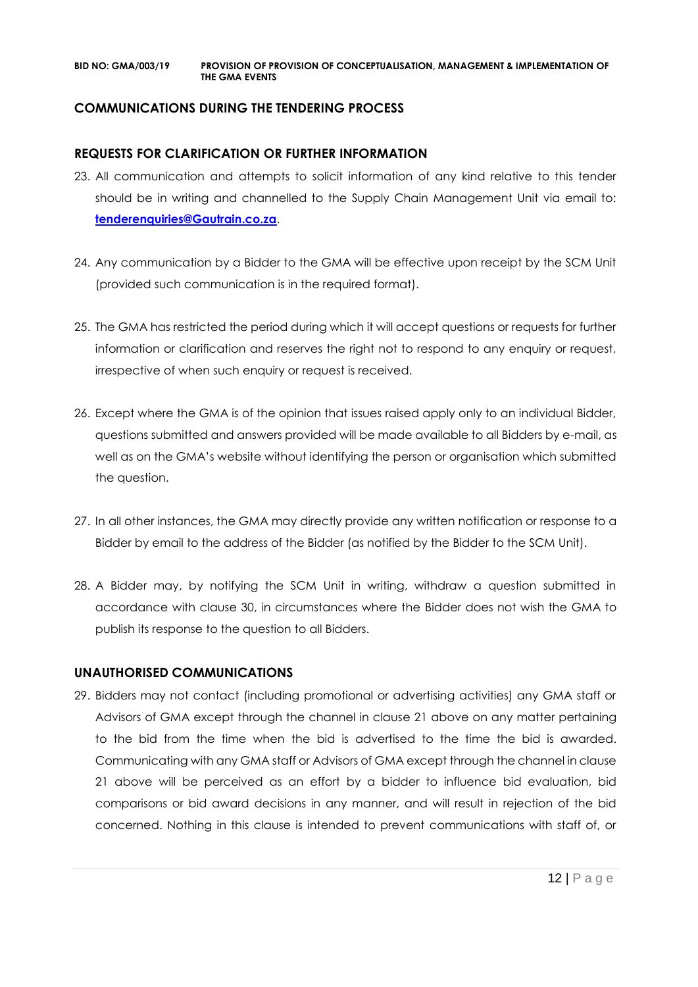## **COMMUNICATIONS DURING THE TENDERING PROCESS**

#### **REQUESTS FOR CLARIFICATION OR FURTHER INFORMATION**

- 23. All communication and attempts to solicit information of any kind relative to this tender should be in writing and channelled to the Supply Chain Management Unit via email to: **[tenderenquiries@Gautrain.co.za](mailto:tenderenquiries@gautrainpo.co.za)**.
- 24. Any communication by a Bidder to the GMA will be effective upon receipt by the SCM Unit (provided such communication is in the required format).
- 25. The GMA has restricted the period during which it will accept questions or requests for further information or clarification and reserves the right not to respond to any enquiry or request, irrespective of when such enquiry or request is received.
- 26. Except where the GMA is of the opinion that issues raised apply only to an individual Bidder, questions submitted and answers provided will be made available to all Bidders by e-mail, as well as on the GMA's website without identifying the person or organisation which submitted the question.
- 27. In all other instances, the GMA may directly provide any written notification or response to a Bidder by email to the address of the Bidder (as notified by the Bidder to the SCM Unit).
- 28. A Bidder may, by notifying the SCM Unit in writing, withdraw a question submitted in accordance with clause 30, in circumstances where the Bidder does not wish the GMA to publish its response to the question to all Bidders.

#### **UNAUTHORISED COMMUNICATIONS**

29. Bidders may not contact (including promotional or advertising activities) any GMA staff or Advisors of GMA except through the channel in clause 21 above on any matter pertaining to the bid from the time when the bid is advertised to the time the bid is awarded. Communicating with any GMA staff or Advisors of GMA except through the channel in clause 21 above will be perceived as an effort by a bidder to influence bid evaluation, bid comparisons or bid award decisions in any manner, and will result in rejection of the bid concerned. Nothing in this clause is intended to prevent communications with staff of, or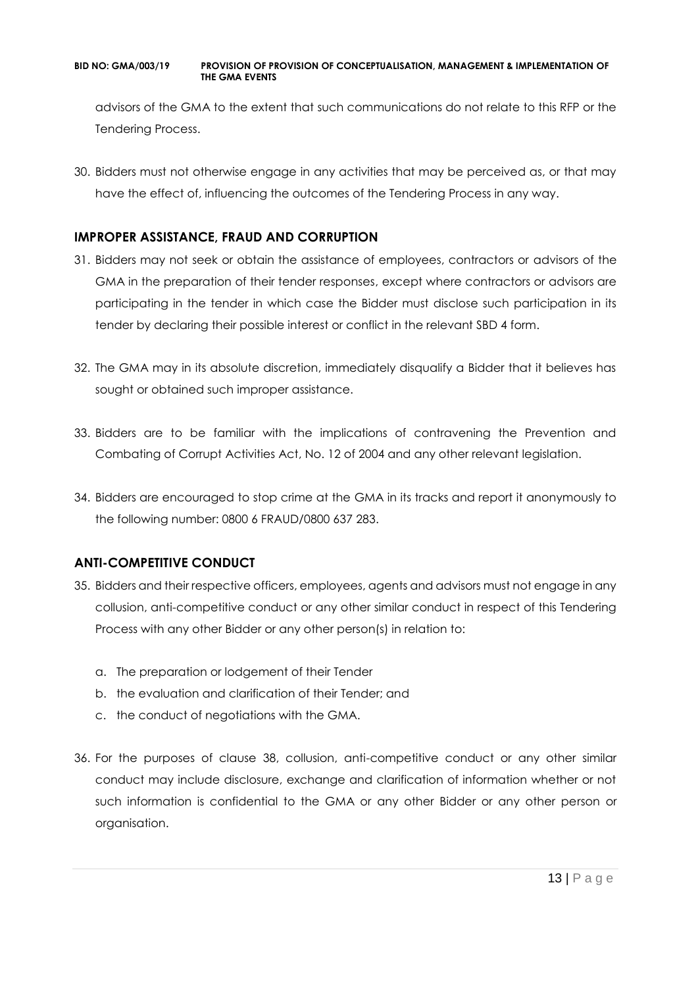advisors of the GMA to the extent that such communications do not relate to this RFP or the Tendering Process.

30. Bidders must not otherwise engage in any activities that may be perceived as, or that may have the effect of, influencing the outcomes of the Tendering Process in any way.

## **IMPROPER ASSISTANCE, FRAUD AND CORRUPTION**

- 31. Bidders may not seek or obtain the assistance of employees, contractors or advisors of the GMA in the preparation of their tender responses, except where contractors or advisors are participating in the tender in which case the Bidder must disclose such participation in its tender by declaring their possible interest or conflict in the relevant SBD 4 form.
- 32. The GMA may in its absolute discretion, immediately disqualify a Bidder that it believes has sought or obtained such improper assistance.
- 33. Bidders are to be familiar with the implications of contravening the Prevention and Combating of Corrupt Activities Act, No. 12 of 2004 and any other relevant legislation.
- 34. Bidders are encouraged to stop crime at the GMA in its tracks and report it anonymously to the following number: 0800 6 FRAUD/0800 637 283.

## **ANTI-COMPETITIVE CONDUCT**

- 35. Bidders and their respective officers, employees, agents and advisors must not engage in any collusion, anti-competitive conduct or any other similar conduct in respect of this Tendering Process with any other Bidder or any other person(s) in relation to:
	- a. The preparation or lodgement of their Tender
	- b. the evaluation and clarification of their Tender; and
	- c. the conduct of negotiations with the GMA.
- 36. For the purposes of clause 38, collusion, anti-competitive conduct or any other similar conduct may include disclosure, exchange and clarification of information whether or not such information is confidential to the GMA or any other Bidder or any other person or organisation.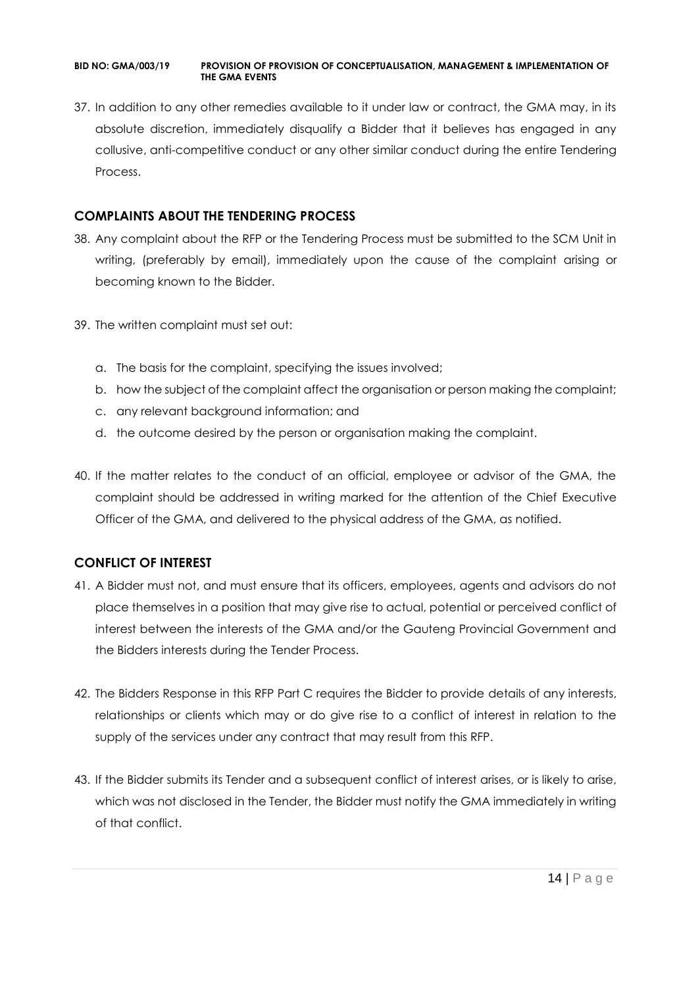37. In addition to any other remedies available to it under law or contract, the GMA may, in its absolute discretion, immediately disqualify a Bidder that it believes has engaged in any collusive, anti-competitive conduct or any other similar conduct during the entire Tendering Process.

## **COMPLAINTS ABOUT THE TENDERING PROCESS**

- 38. Any complaint about the RFP or the Tendering Process must be submitted to the SCM Unit in writing, (preferably by email), immediately upon the cause of the complaint arising or becoming known to the Bidder.
- 39. The written complaint must set out:
	- a. The basis for the complaint, specifying the issues involved;
	- b. how the subject of the complaint affect the organisation or person making the complaint;
	- c. any relevant background information; and
	- d. the outcome desired by the person or organisation making the complaint.
- 40. If the matter relates to the conduct of an official, employee or advisor of the GMA, the complaint should be addressed in writing marked for the attention of the Chief Executive Officer of the GMA, and delivered to the physical address of the GMA, as notified.

## **CONFLICT OF INTEREST**

- 41. A Bidder must not, and must ensure that its officers, employees, agents and advisors do not place themselves in a position that may give rise to actual, potential or perceived conflict of interest between the interests of the GMA and/or the Gauteng Provincial Government and the Bidders interests during the Tender Process.
- 42. The Bidders Response in this RFP Part C requires the Bidder to provide details of any interests, relationships or clients which may or do give rise to a conflict of interest in relation to the supply of the services under any contract that may result from this RFP.
- 43. If the Bidder submits its Tender and a subsequent conflict of interest arises, or is likely to arise, which was not disclosed in the Tender, the Bidder must notify the GMA immediately in writing of that conflict.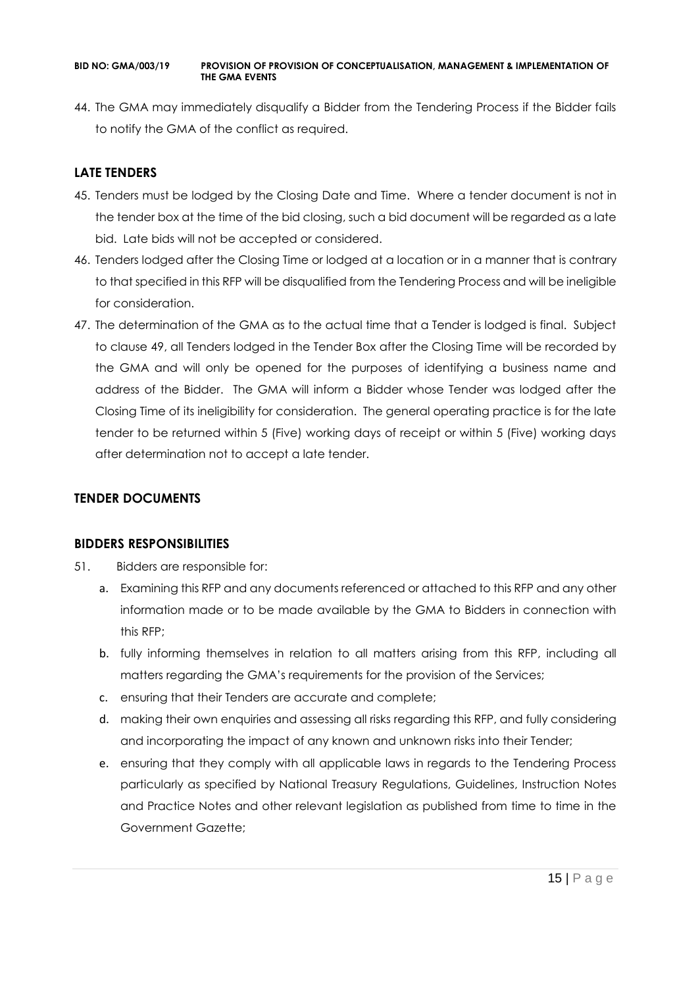44. The GMA may immediately disqualify a Bidder from the Tendering Process if the Bidder fails to notify the GMA of the conflict as required.

## **LATE TENDERS**

- 45. Tenders must be lodged by the Closing Date and Time. Where a tender document is not in the tender box at the time of the bid closing, such a bid document will be regarded as a late bid. Late bids will not be accepted or considered.
- 46. Tenders lodged after the Closing Time or lodged at a location or in a manner that is contrary to that specified in this RFP will be disqualified from the Tendering Process and will be ineligible for consideration.
- 47. The determination of the GMA as to the actual time that a Tender is lodged is final. Subject to clause 49, all Tenders lodged in the Tender Box after the Closing Time will be recorded by the GMA and will only be opened for the purposes of identifying a business name and address of the Bidder. The GMA will inform a Bidder whose Tender was lodged after the Closing Time of its ineligibility for consideration. The general operating practice is for the late tender to be returned within 5 (Five) working days of receipt or within 5 (Five) working days after determination not to accept a late tender.

## **TENDER DOCUMENTS**

## **BIDDERS RESPONSIBILITIES**

- 51. Bidders are responsible for:
	- a. Examining this RFP and any documents referenced or attached to this RFP and any other information made or to be made available by the GMA to Bidders in connection with this RFP;
	- b. fully informing themselves in relation to all matters arising from this RFP, including all matters regarding the GMA's requirements for the provision of the Services;
	- c. ensuring that their Tenders are accurate and complete;
	- d. making their own enquiries and assessing all risks regarding this RFP, and fully considering and incorporating the impact of any known and unknown risks into their Tender;
	- e. ensuring that they comply with all applicable laws in regards to the Tendering Process particularly as specified by National Treasury Regulations, Guidelines, Instruction Notes and Practice Notes and other relevant legislation as published from time to time in the Government Gazette;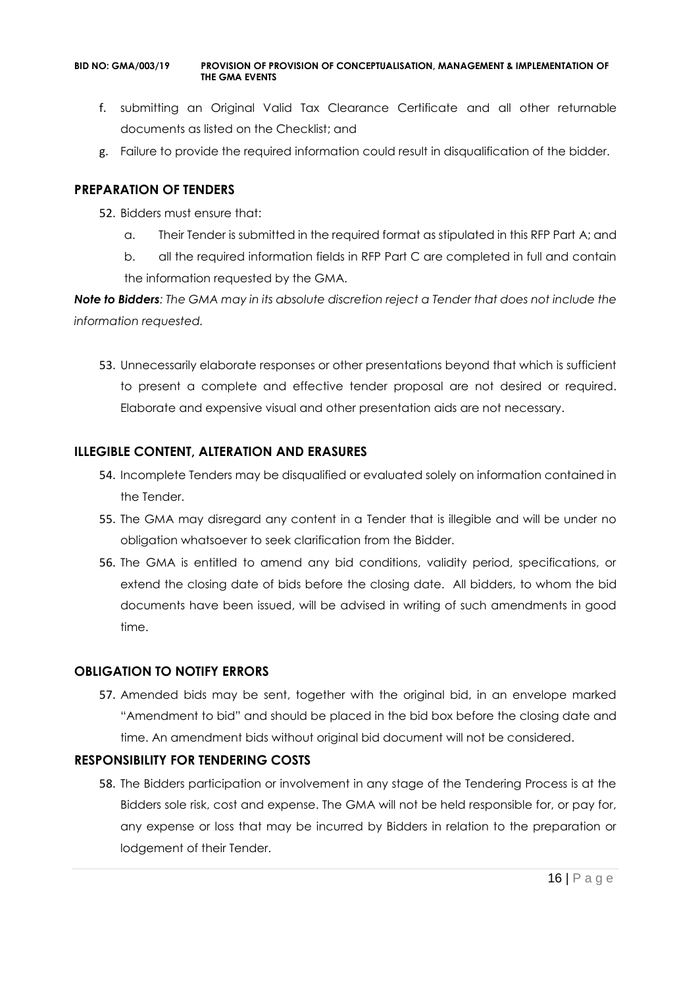- f. submitting an Original Valid Tax Clearance Certificate and all other returnable documents as listed on the Checklist; and
- g. Failure to provide the required information could result in disqualification of the bidder.

#### **PREPARATION OF TENDERS**

- 52. Bidders must ensure that:
	- a. Their Tender is submitted in the required format as stipulated in this RFP Part A; and
	- b. all the required information fields in RFP Part C are completed in full and contain the information requested by the GMA.

*Note to Bidders: The GMA may in its absolute discretion reject a Tender that does not include the information requested.*

53. Unnecessarily elaborate responses or other presentations beyond that which is sufficient to present a complete and effective tender proposal are not desired or required. Elaborate and expensive visual and other presentation aids are not necessary.

## **ILLEGIBLE CONTENT, ALTERATION AND ERASURES**

- 54. Incomplete Tenders may be disqualified or evaluated solely on information contained in the Tender.
- 55. The GMA may disregard any content in a Tender that is illegible and will be under no obligation whatsoever to seek clarification from the Bidder.
- 56. The GMA is entitled to amend any bid conditions, validity period, specifications, or extend the closing date of bids before the closing date. All bidders, to whom the bid documents have been issued, will be advised in writing of such amendments in good time.

## **OBLIGATION TO NOTIFY ERRORS**

57. Amended bids may be sent, together with the original bid, in an envelope marked "Amendment to bid" and should be placed in the bid box before the closing date and time. An amendment bids without original bid document will not be considered.

## **RESPONSIBILITY FOR TENDERING COSTS**

58. The Bidders participation or involvement in any stage of the Tendering Process is at the Bidders sole risk, cost and expense. The GMA will not be held responsible for, or pay for, any expense or loss that may be incurred by Bidders in relation to the preparation or lodgement of their Tender.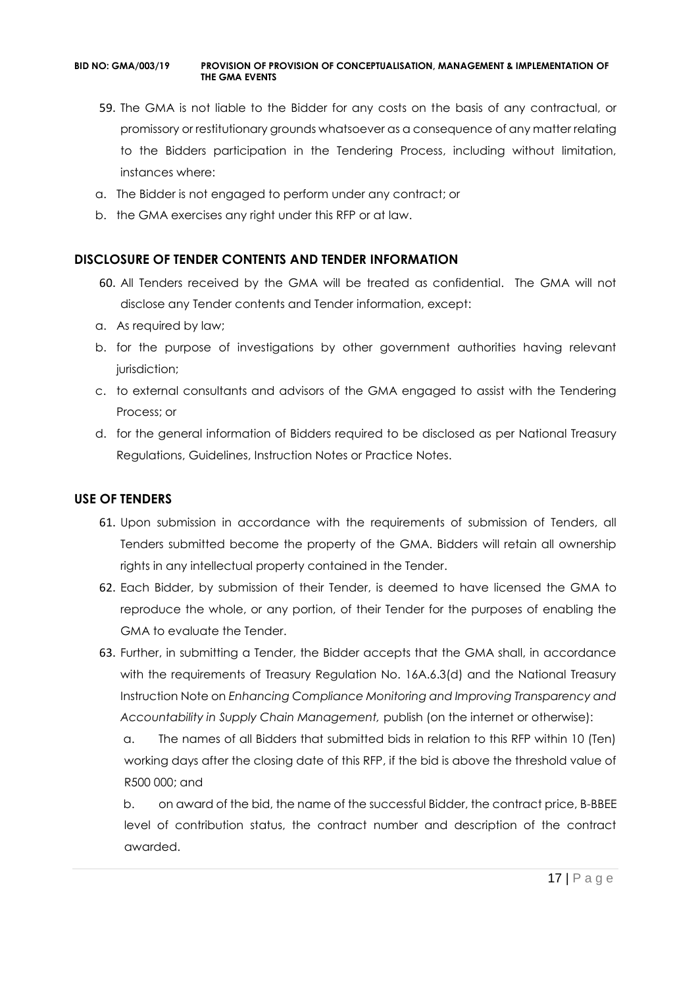- 59. The GMA is not liable to the Bidder for any costs on the basis of any contractual, or promissory or restitutionary grounds whatsoever as a consequence of any matter relating to the Bidders participation in the Tendering Process, including without limitation, instances where:
- a. The Bidder is not engaged to perform under any contract; or
- b. the GMA exercises any right under this RFP or at law.

#### **DISCLOSURE OF TENDER CONTENTS AND TENDER INFORMATION**

- 60. All Tenders received by the GMA will be treated as confidential. The GMA will not disclose any Tender contents and Tender information, except:
- a. As required by law;
- b. for the purpose of investigations by other government authorities having relevant jurisdiction;
- c. to external consultants and advisors of the GMA engaged to assist with the Tendering Process; or
- d. for the general information of Bidders required to be disclosed as per National Treasury Regulations, Guidelines, Instruction Notes or Practice Notes.

#### **USE OF TENDERS**

- 61. Upon submission in accordance with the requirements of submission of Tenders, all Tenders submitted become the property of the GMA. Bidders will retain all ownership rights in any intellectual property contained in the Tender.
- 62. Each Bidder, by submission of their Tender, is deemed to have licensed the GMA to reproduce the whole, or any portion, of their Tender for the purposes of enabling the GMA to evaluate the Tender.
- 63. Further, in submitting a Tender, the Bidder accepts that the GMA shall, in accordance with the requirements of Treasury Regulation No. 16A.6.3(d) and the National Treasury Instruction Note on *Enhancing Compliance Monitoring and Improving Transparency and Accountability in Supply Chain Management,* publish (on the internet or otherwise):

a. The names of all Bidders that submitted bids in relation to this RFP within 10 (Ten) working days after the closing date of this RFP, if the bid is above the threshold value of R500 000; and

b. on award of the bid, the name of the successful Bidder, the contract price, B-BBEE level of contribution status, the contract number and description of the contract awarded.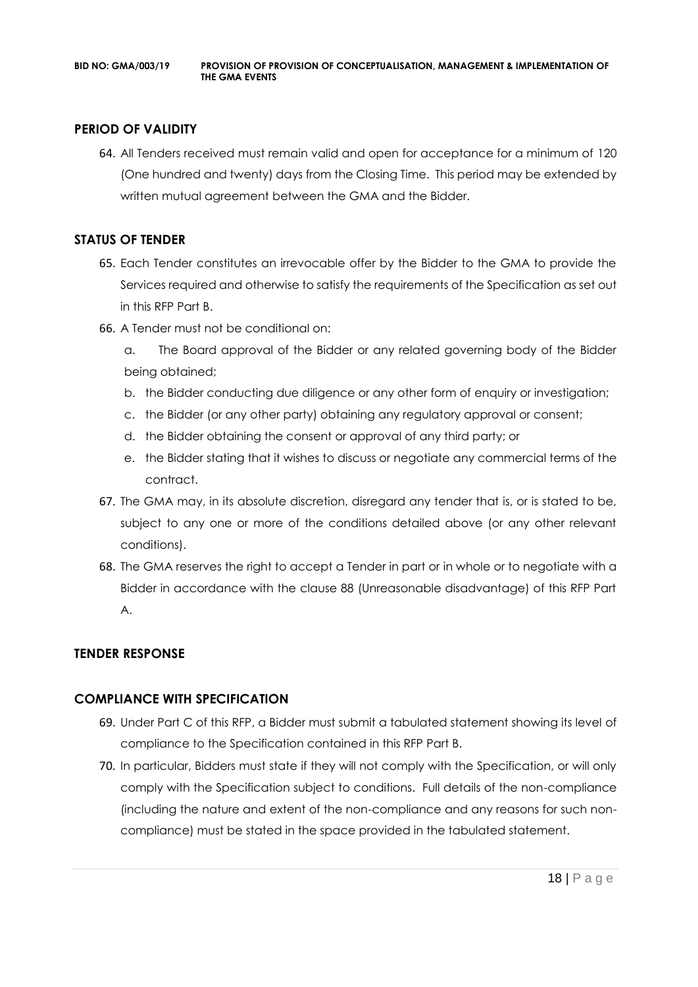## **PERIOD OF VALIDITY**

64. All Tenders received must remain valid and open for acceptance for a minimum of 120 (One hundred and twenty) days from the Closing Time. This period may be extended by written mutual agreement between the GMA and the Bidder.

## **STATUS OF TENDER**

- 65. Each Tender constitutes an irrevocable offer by the Bidder to the GMA to provide the Services required and otherwise to satisfy the requirements of the Specification as set out in this RFP Part B.
- 66. A Tender must not be conditional on:
	- a. The Board approval of the Bidder or any related governing body of the Bidder being obtained;
	- b. the Bidder conducting due diligence or any other form of enquiry or investigation;
	- c. the Bidder (or any other party) obtaining any regulatory approval or consent;
	- d. the Bidder obtaining the consent or approval of any third party; or
	- e. the Bidder stating that it wishes to discuss or negotiate any commercial terms of the contract.
- 67. The GMA may, in its absolute discretion, disregard any tender that is, or is stated to be, subject to any one or more of the conditions detailed above (or any other relevant conditions).
- 68. The GMA reserves the right to accept a Tender in part or in whole or to negotiate with a Bidder in accordance with the clause 88 (Unreasonable disadvantage) of this RFP Part A.

## **TENDER RESPONSE**

## **COMPLIANCE WITH SPECIFICATION**

- 69. Under Part C of this RFP, a Bidder must submit a tabulated statement showing its level of compliance to the Specification contained in this RFP Part B.
- 70. In particular, Bidders must state if they will not comply with the Specification, or will only comply with the Specification subject to conditions. Full details of the non-compliance (including the nature and extent of the non-compliance and any reasons for such noncompliance) must be stated in the space provided in the tabulated statement.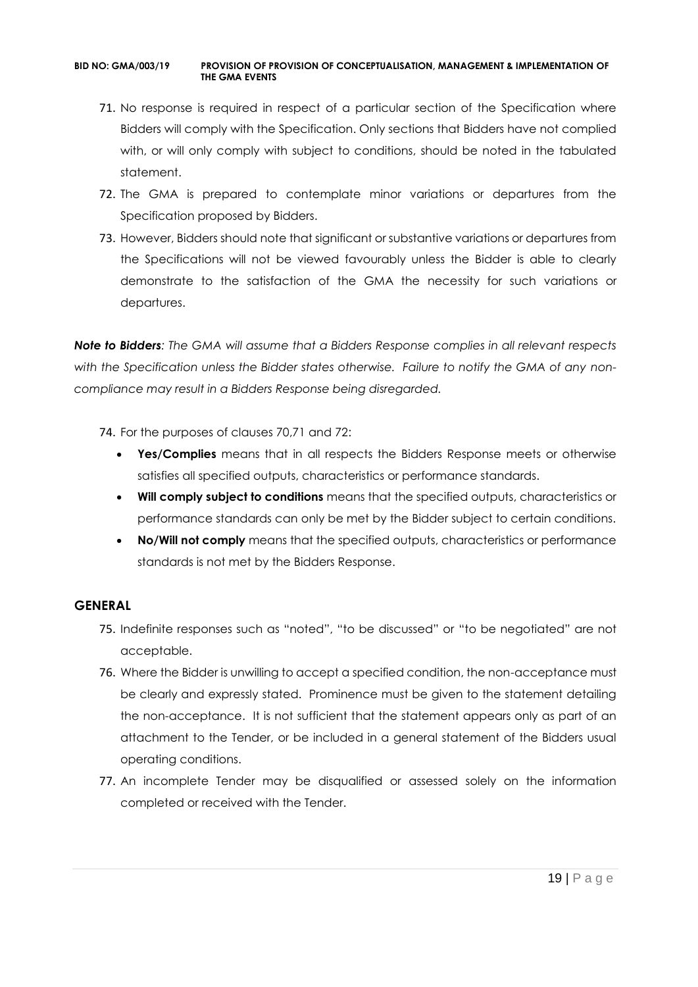- 71. No response is required in respect of a particular section of the Specification where Bidders will comply with the Specification. Only sections that Bidders have not complied with, or will only comply with subject to conditions, should be noted in the tabulated statement.
- 72. The GMA is prepared to contemplate minor variations or departures from the Specification proposed by Bidders.
- 73. However, Bidders should note that significant or substantive variations or departures from the Specifications will not be viewed favourably unless the Bidder is able to clearly demonstrate to the satisfaction of the GMA the necessity for such variations or departures.

*Note to Bidders: The GMA will assume that a Bidders Response complies in all relevant respects with the Specification unless the Bidder states otherwise. Failure to notify the GMA of any noncompliance may result in a Bidders Response being disregarded.*

- 74. For the purposes of clauses 70,71 and 72:
	- **Yes/Complies** means that in all respects the Bidders Response meets or otherwise satisfies all specified outputs, characteristics or performance standards.
	- **Will comply subject to conditions** means that the specified outputs, characteristics or performance standards can only be met by the Bidder subject to certain conditions.
	- **No/Will not comply** means that the specified outputs, characteristics or performance standards is not met by the Bidders Response.

## **GENERAL**

- 75. Indefinite responses such as "noted", "to be discussed" or "to be negotiated" are not acceptable.
- 76. Where the Bidder is unwilling to accept a specified condition, the non-acceptance must be clearly and expressly stated. Prominence must be given to the statement detailing the non-acceptance. It is not sufficient that the statement appears only as part of an attachment to the Tender, or be included in a general statement of the Bidders usual operating conditions.
- 77. An incomplete Tender may be disqualified or assessed solely on the information completed or received with the Tender.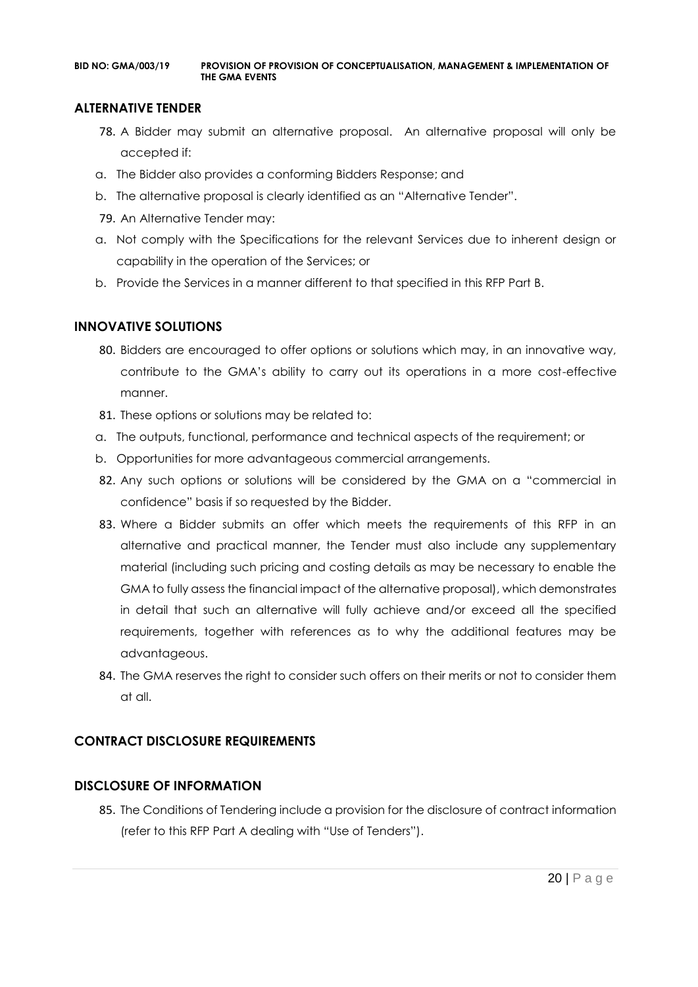#### **ALTERNATIVE TENDER**

- 78. A Bidder may submit an alternative proposal. An alternative proposal will only be accepted if:
- a. The Bidder also provides a conforming Bidders Response; and
- b. The alternative proposal is clearly identified as an "Alternative Tender".
- 79. An Alternative Tender may:
- a. Not comply with the Specifications for the relevant Services due to inherent design or capability in the operation of the Services; or
- b. Provide the Services in a manner different to that specified in this RFP Part B.

#### **INNOVATIVE SOLUTIONS**

- 80. Bidders are encouraged to offer options or solutions which may, in an innovative way, contribute to the GMA's ability to carry out its operations in a more cost-effective manner.
- 81. These options or solutions may be related to:
- a. The outputs, functional, performance and technical aspects of the requirement; or
- b. Opportunities for more advantageous commercial arrangements.
- 82. Any such options or solutions will be considered by the GMA on a "commercial in confidence" basis if so requested by the Bidder.
- 83. Where a Bidder submits an offer which meets the requirements of this RFP in an alternative and practical manner, the Tender must also include any supplementary material (including such pricing and costing details as may be necessary to enable the GMA to fully assess the financial impact of the alternative proposal), which demonstrates in detail that such an alternative will fully achieve and/or exceed all the specified requirements, together with references as to why the additional features may be advantageous.
- 84. The GMA reserves the right to consider such offers on their merits or not to consider them at all.

## **CONTRACT DISCLOSURE REQUIREMENTS**

#### **DISCLOSURE OF INFORMATION**

85. The Conditions of Tendering include a provision for the disclosure of contract information (refer to this RFP Part A dealing with "Use of Tenders").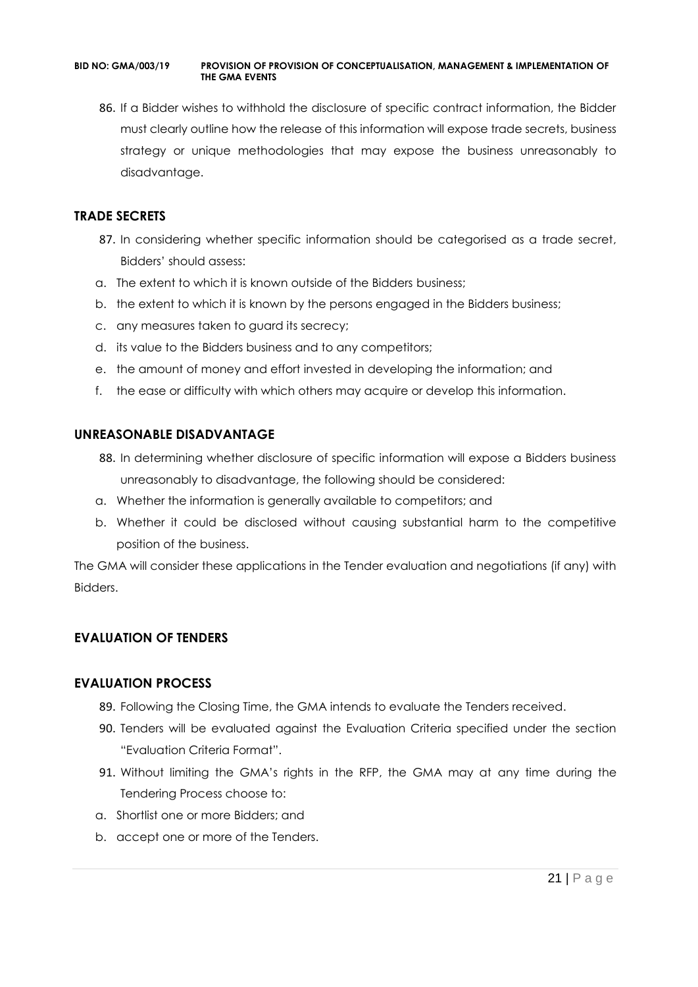86. If a Bidder wishes to withhold the disclosure of specific contract information, the Bidder must clearly outline how the release of this information will expose trade secrets, business strategy or unique methodologies that may expose the business unreasonably to disadvantage.

#### **TRADE SECRETS**

- 87. In considering whether specific information should be categorised as a trade secret, Bidders' should assess:
- a. The extent to which it is known outside of the Bidders business;
- b. the extent to which it is known by the persons engaged in the Bidders business;
- c. any measures taken to guard its secrecy;
- d. its value to the Bidders business and to any competitors;
- e. the amount of money and effort invested in developing the information; and
- f. the ease or difficulty with which others may acquire or develop this information.

#### **UNREASONABLE DISADVANTAGE**

- 88. In determining whether disclosure of specific information will expose a Bidders business unreasonably to disadvantage, the following should be considered:
- a. Whether the information is generally available to competitors; and
- b. Whether it could be disclosed without causing substantial harm to the competitive position of the business.

The GMA will consider these applications in the Tender evaluation and negotiations (if any) with Bidders.

## **EVALUATION OF TENDERS**

#### **EVALUATION PROCESS**

- 89. Following the Closing Time, the GMA intends to evaluate the Tenders received.
- 90. Tenders will be evaluated against the Evaluation Criteria specified under the section "Evaluation Criteria Format".
- 91. Without limiting the GMA's rights in the RFP, the GMA may at any time during the Tendering Process choose to:
- a. Shortlist one or more Bidders; and
- b. accept one or more of the Tenders.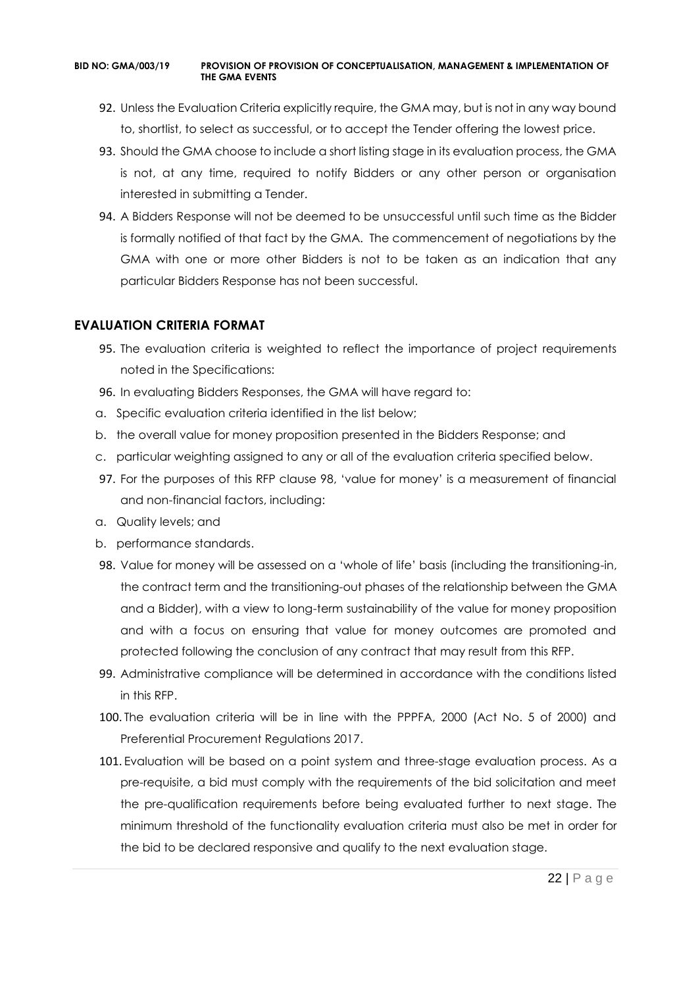- 92. Unless the Evaluation Criteria explicitly require, the GMA may, but is not in any way bound to, shortlist, to select as successful, or to accept the Tender offering the lowest price.
- 93. Should the GMA choose to include a short listing stage in its evaluation process, the GMA is not, at any time, required to notify Bidders or any other person or organisation interested in submitting a Tender.
- 94. A Bidders Response will not be deemed to be unsuccessful until such time as the Bidder is formally notified of that fact by the GMA. The commencement of negotiations by the GMA with one or more other Bidders is not to be taken as an indication that any particular Bidders Response has not been successful.

#### **EVALUATION CRITERIA FORMAT**

- 95. The evaluation criteria is weighted to reflect the importance of project requirements noted in the Specifications:
- 96. In evaluating Bidders Responses, the GMA will have regard to:
- a. Specific evaluation criteria identified in the list below;
- b. the overall value for money proposition presented in the Bidders Response; and
- c. particular weighting assigned to any or all of the evaluation criteria specified below.
- 97. For the purposes of this RFP clause 98, 'value for money' is a measurement of financial and non-financial factors, including:
- a. Quality levels; and
- b. performance standards.
- 98. Value for money will be assessed on a 'whole of life' basis (including the transitioning-in, the contract term and the transitioning-out phases of the relationship between the GMA and a Bidder), with a view to long-term sustainability of the value for money proposition and with a focus on ensuring that value for money outcomes are promoted and protected following the conclusion of any contract that may result from this RFP.
- 99. Administrative compliance will be determined in accordance with the conditions listed in this RFP.
- 100. The evaluation criteria will be in line with the PPPFA, 2000 (Act No. 5 of 2000) and Preferential Procurement Regulations 2017.
- 101. Evaluation will be based on a point system and three-stage evaluation process. As a pre-requisite, a bid must comply with the requirements of the bid solicitation and meet the pre-qualification requirements before being evaluated further to next stage. The minimum threshold of the functionality evaluation criteria must also be met in order for the bid to be declared responsive and qualify to the next evaluation stage.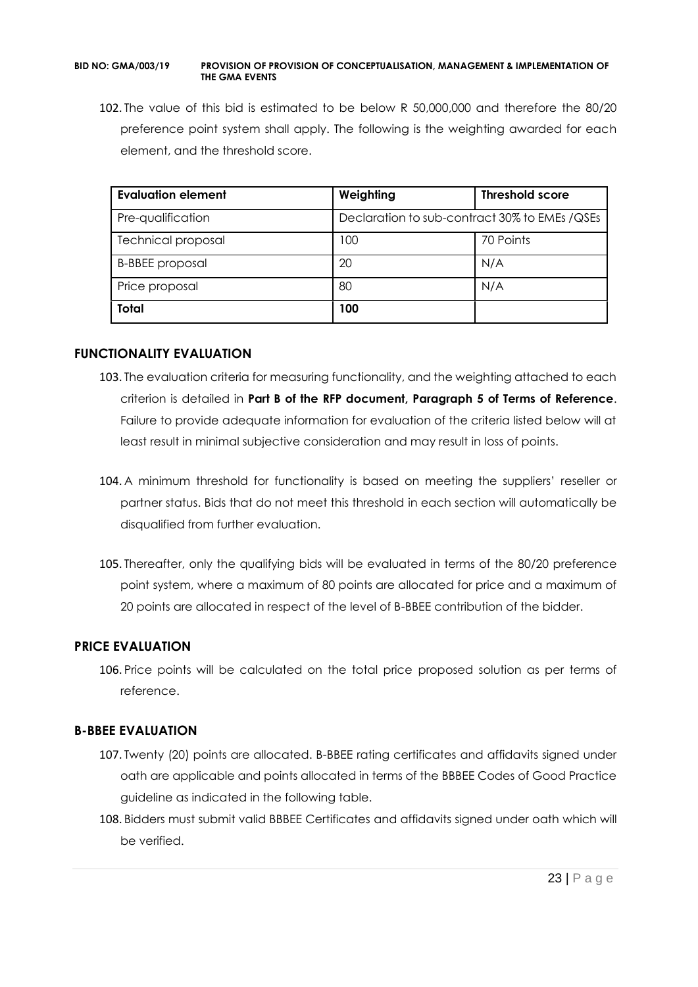102. The value of this bid is estimated to be below R 50,000,000 and therefore the 80/20 preference point system shall apply. The following is the weighting awarded for each element, and the threshold score.

| <b>Evaluation element</b> | Weighting                                      | <b>Threshold score</b> |
|---------------------------|------------------------------------------------|------------------------|
| Pre-qualification         | Declaration to sub-contract 30% to EMEs / QSEs |                        |
| <b>Technical proposal</b> | 100                                            | 70 Points              |
| <b>B-BBEE</b> proposal    | 20                                             | N/A                    |
| Price proposal            | 80                                             | N/A                    |
| <b>Total</b>              | 100                                            |                        |

#### **FUNCTIONALITY EVALUATION**

- 103. The evaluation criteria for measuring functionality, and the weighting attached to each criterion is detailed in **Part B of the RFP document, Paragraph 5 of Terms of Reference**. Failure to provide adequate information for evaluation of the criteria listed below will at least result in minimal subjective consideration and may result in loss of points.
- 104. A minimum threshold for functionality is based on meeting the suppliers' reseller or partner status. Bids that do not meet this threshold in each section will automatically be disqualified from further evaluation.
- 105. Thereafter, only the qualifying bids will be evaluated in terms of the 80/20 preference point system, where a maximum of 80 points are allocated for price and a maximum of 20 points are allocated in respect of the level of B-BBEE contribution of the bidder.

## **PRICE EVALUATION**

106. Price points will be calculated on the total price proposed solution as per terms of reference.

## **B-BBEE EVALUATION**

- 107. Twenty (20) points are allocated. B-BBEE rating certificates and affidavits signed under oath are applicable and points allocated in terms of the BBBEE Codes of Good Practice guideline as indicated in the following table.
- 108. Bidders must submit valid BBBEE Certificates and affidavits signed under oath which will be verified.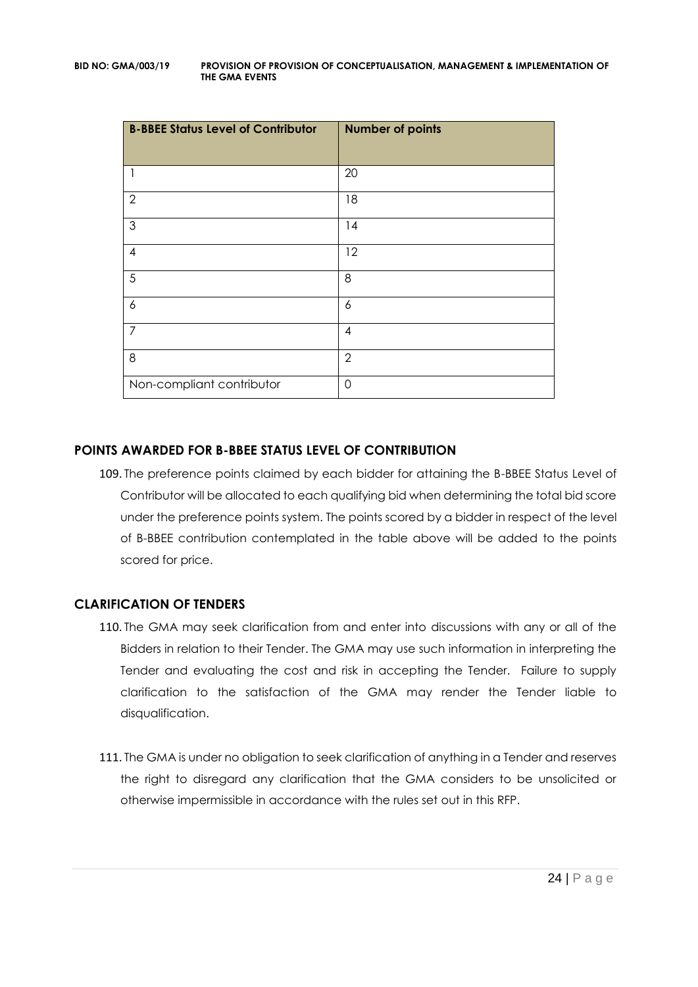| <b>B-BBEE Status Level of Contributor</b> | <b>Number of points</b> |
|-------------------------------------------|-------------------------|
| 1                                         | 20                      |
| $\overline{2}$                            | 18                      |
| 3                                         | 14                      |
| 4                                         | 12                      |
| 5                                         | 8                       |
| 6                                         | 6                       |
| $\overline{7}$                            | $\overline{4}$          |
| 8                                         | $\overline{2}$          |
| Non-compliant contributor                 | $\overline{0}$          |

## **POINTS AWARDED FOR B-BBEE STATUS LEVEL OF CONTRIBUTION**

109. The preference points claimed by each bidder for attaining the B-BBEE Status Level of Contributor will be allocated to each qualifying bid when determining the total bid score under the preference points system. The points scored by a bidder in respect of the level of B-BBEE contribution contemplated in the table above will be added to the points scored for price.

## **CLARIFICATION OF TENDERS**

- 110. The GMA may seek clarification from and enter into discussions with any or all of the Bidders in relation to their Tender. The GMA may use such information in interpreting the Tender and evaluating the cost and risk in accepting the Tender. Failure to supply clarification to the satisfaction of the GMA may render the Tender liable to disqualification.
- 111. The GMA is under no obligation to seek clarification of anything in a Tender and reserves the right to disregard any clarification that the GMA considers to be unsolicited or otherwise impermissible in accordance with the rules set out in this RFP.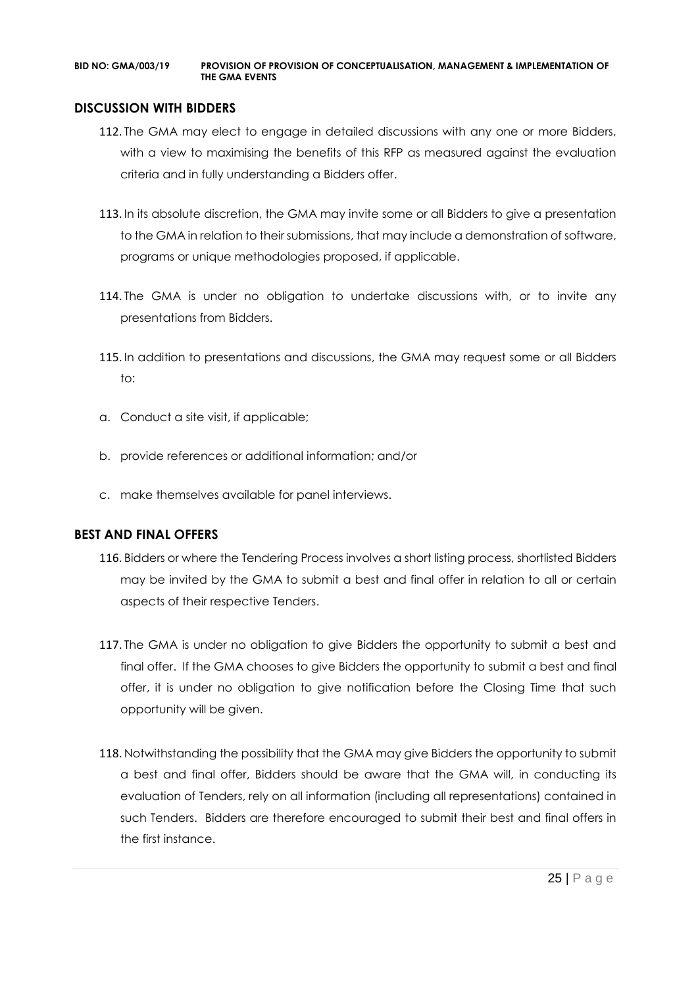#### **DISCUSSION WITH BIDDERS**

- 112. The GMA may elect to engage in detailed discussions with any one or more Bidders, with a view to maximising the benefits of this RFP as measured against the evaluation criteria and in fully understanding a Bidders offer.
- 113. In its absolute discretion, the GMA may invite some or all Bidders to give a presentation to the GMA in relation to their submissions, that may include a demonstration of software, programs or unique methodologies proposed, if applicable.
- 114. The GMA is under no obligation to undertake discussions with, or to invite any presentations from Bidders.
- 115. In addition to presentations and discussions, the GMA may request some or all Bidders to:
- a. Conduct a site visit, if applicable;
- b. provide references or additional information; and/or
- c. make themselves available for panel interviews.

#### **BEST AND FINAL OFFERS**

- 116. Bidders or where the Tendering Process involves a short listing process, shortlisted Bidders may be invited by the GMA to submit a best and final offer in relation to all or certain aspects of their respective Tenders.
- 117. The GMA is under no obligation to give Bidders the opportunity to submit a best and final offer. If the GMA chooses to give Bidders the opportunity to submit a best and final offer, it is under no obligation to give notification before the Closing Time that such opportunity will be given.
- 118. Notwithstanding the possibility that the GMA may give Bidders the opportunity to submit a best and final offer, Bidders should be aware that the GMA will, in conducting its evaluation of Tenders, rely on all information (including all representations) contained in such Tenders. Bidders are therefore encouraged to submit their best and final offers in the first instance.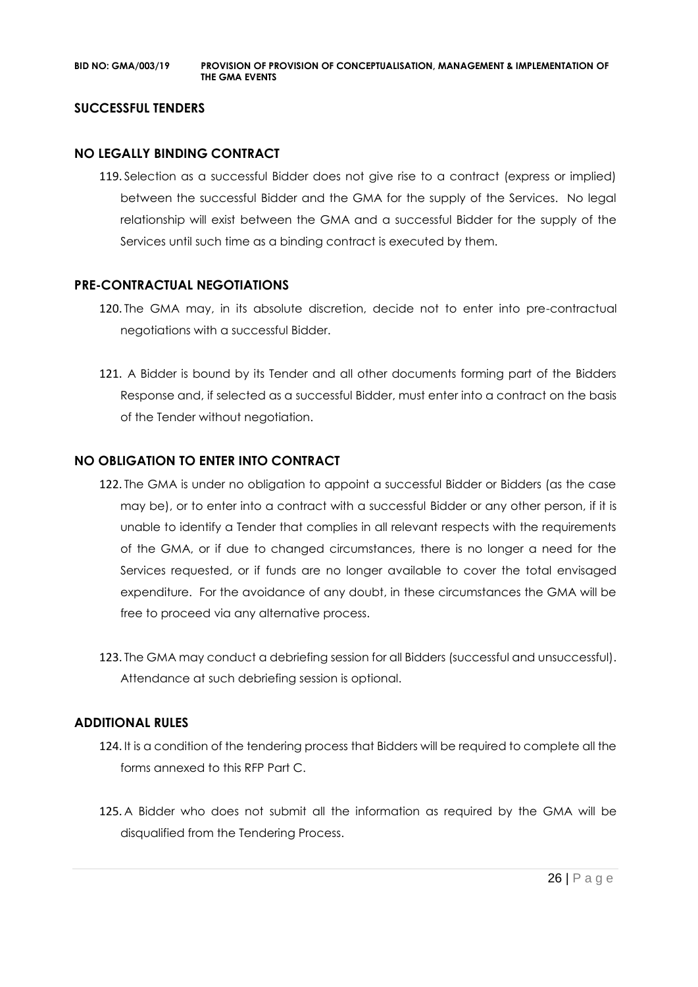#### **SUCCESSFUL TENDERS**

#### **NO LEGALLY BINDING CONTRACT**

119. Selection as a successful Bidder does not give rise to a contract (express or implied) between the successful Bidder and the GMA for the supply of the Services. No legal relationship will exist between the GMA and a successful Bidder for the supply of the Services until such time as a binding contract is executed by them.

#### **PRE-CONTRACTUAL NEGOTIATIONS**

- 120. The GMA may, in its absolute discretion, decide not to enter into pre-contractual negotiations with a successful Bidder.
- 121. A Bidder is bound by its Tender and all other documents forming part of the Bidders Response and, if selected as a successful Bidder, must enter into a contract on the basis of the Tender without negotiation.

#### **NO OBLIGATION TO ENTER INTO CONTRACT**

- 122. The GMA is under no obligation to appoint a successful Bidder or Bidders (as the case may be), or to enter into a contract with a successful Bidder or any other person, if it is unable to identify a Tender that complies in all relevant respects with the requirements of the GMA, or if due to changed circumstances, there is no longer a need for the Services requested, or if funds are no longer available to cover the total envisaged expenditure. For the avoidance of any doubt, in these circumstances the GMA will be free to proceed via any alternative process.
- 123. The GMA may conduct a debriefing session for all Bidders (successful and unsuccessful). Attendance at such debriefing session is optional.

#### **ADDITIONAL RULES**

- 124. It is a condition of the tendering process that Bidders will be required to complete all the forms annexed to this RFP Part C.
- 125. A Bidder who does not submit all the information as required by the GMA will be disqualified from the Tendering Process.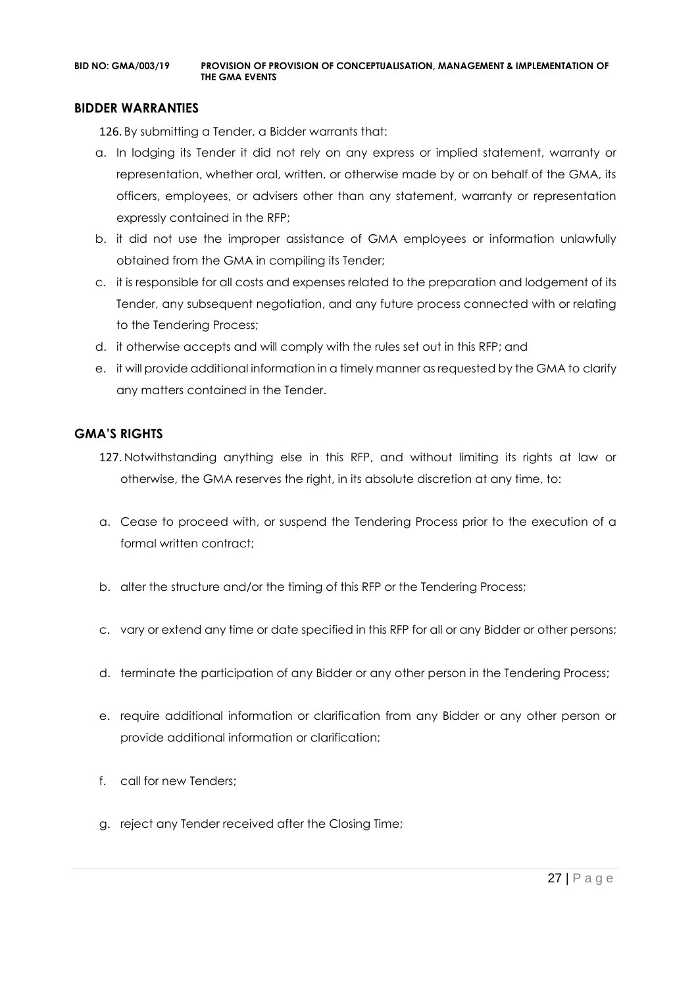#### **BIDDER WARRANTIES**

126. By submitting a Tender, a Bidder warrants that:

- a. In lodging its Tender it did not rely on any express or implied statement, warranty or representation, whether oral, written, or otherwise made by or on behalf of the GMA, its officers, employees, or advisers other than any statement, warranty or representation expressly contained in the RFP;
- b. it did not use the improper assistance of GMA employees or information unlawfully obtained from the GMA in compiling its Tender;
- c. it is responsible for all costs and expenses related to the preparation and lodgement of its Tender, any subsequent negotiation, and any future process connected with or relating to the Tendering Process;
- d. it otherwise accepts and will comply with the rules set out in this RFP; and
- e. it will provide additional information in a timely manner as requested by the GMA to clarify any matters contained in the Tender.

#### **GMA'S RIGHTS**

- 127. Notwithstanding anything else in this RFP, and without limiting its rights at law or otherwise, the GMA reserves the right, in its absolute discretion at any time, to:
- a. Cease to proceed with, or suspend the Tendering Process prior to the execution of a formal written contract:
- b. alter the structure and/or the timing of this RFP or the Tendering Process;
- c. vary or extend any time or date specified in this RFP for all or any Bidder or other persons;
- d. terminate the participation of any Bidder or any other person in the Tendering Process;
- e. require additional information or clarification from any Bidder or any other person or provide additional information or clarification;
- f. call for new Tenders;
- g. reject any Tender received after the Closing Time;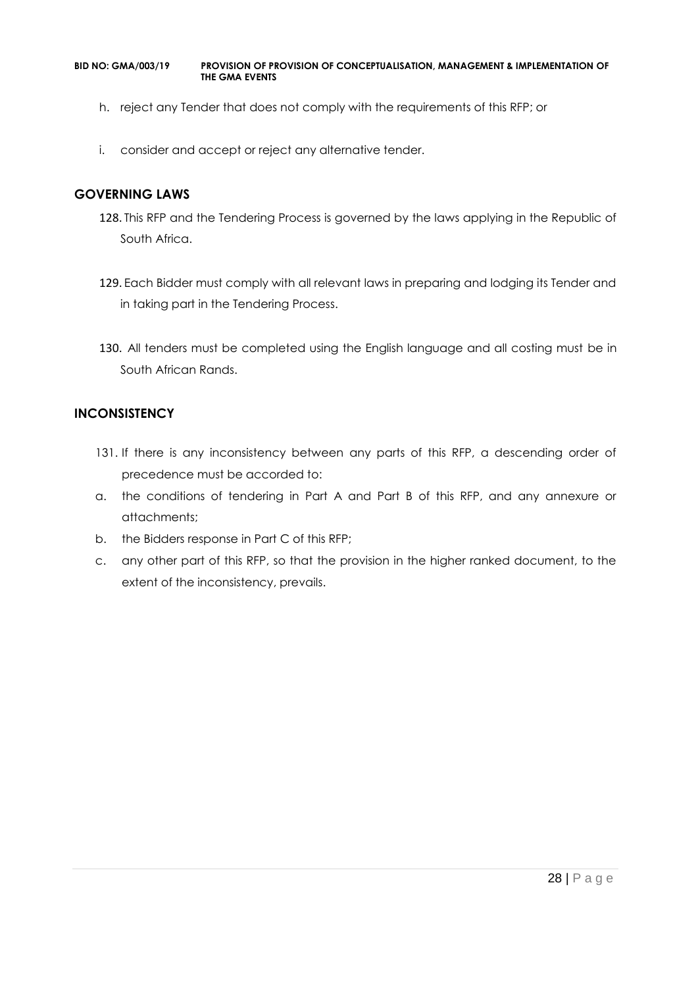- h. reject any Tender that does not comply with the requirements of this RFP; or
- i. consider and accept or reject any alternative tender.

#### **GOVERNING LAWS**

- 128. This RFP and the Tendering Process is governed by the laws applying in the Republic of South Africa.
- 129. Each Bidder must comply with all relevant laws in preparing and lodging its Tender and in taking part in the Tendering Process.
- 130. All tenders must be completed using the English language and all costing must be in South African Rands.

#### **INCONSISTENCY**

- 131. If there is any inconsistency between any parts of this RFP, a descending order of precedence must be accorded to:
- a. the conditions of tendering in Part A and Part B of this RFP, and any annexure or attachments;
- b. the Bidders response in Part C of this RFP;
- c. any other part of this RFP, so that the provision in the higher ranked document, to the extent of the inconsistency, prevails.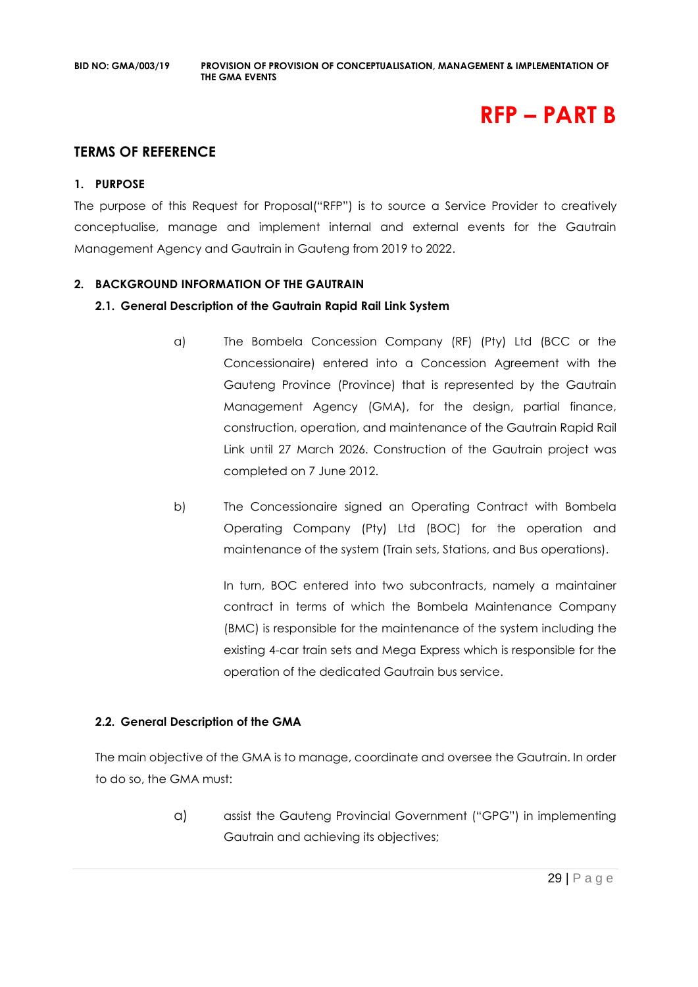# **RFP – PART B**

## **TERMS OF REFERENCE**

#### **1. PURPOSE**

The purpose of this Request for Proposal("RFP") is to source a Service Provider to creatively conceptualise, manage and implement internal and external events for the Gautrain Management Agency and Gautrain in Gauteng from 2019 to 2022.

#### **2. BACKGROUND INFORMATION OF THE GAUTRAIN**

#### **2.1. General Description of the Gautrain Rapid Rail Link System**

- a) The Bombela Concession Company (RF) (Pty) Ltd (BCC or the Concessionaire) entered into a Concession Agreement with the Gauteng Province (Province) that is represented by the Gautrain Management Agency (GMA), for the design, partial finance, construction, operation, and maintenance of the Gautrain Rapid Rail Link until 27 March 2026. Construction of the Gautrain project was completed on 7 June 2012.
- b) The Concessionaire signed an Operating Contract with Bombela Operating Company (Pty) Ltd (BOC) for the operation and maintenance of the system (Train sets, Stations, and Bus operations).

In turn, BOC entered into two subcontracts, namely a maintainer contract in terms of which the Bombela Maintenance Company (BMC) is responsible for the maintenance of the system including the existing 4-car train sets and Mega Express which is responsible for the operation of the dedicated Gautrain bus service.

#### **2.2. General Description of the GMA**

The main objective of the GMA is to manage, coordinate and oversee the Gautrain. In order to do so, the GMA must:

> a) assist the Gauteng Provincial Government ("GPG") in implementing Gautrain and achieving its objectives;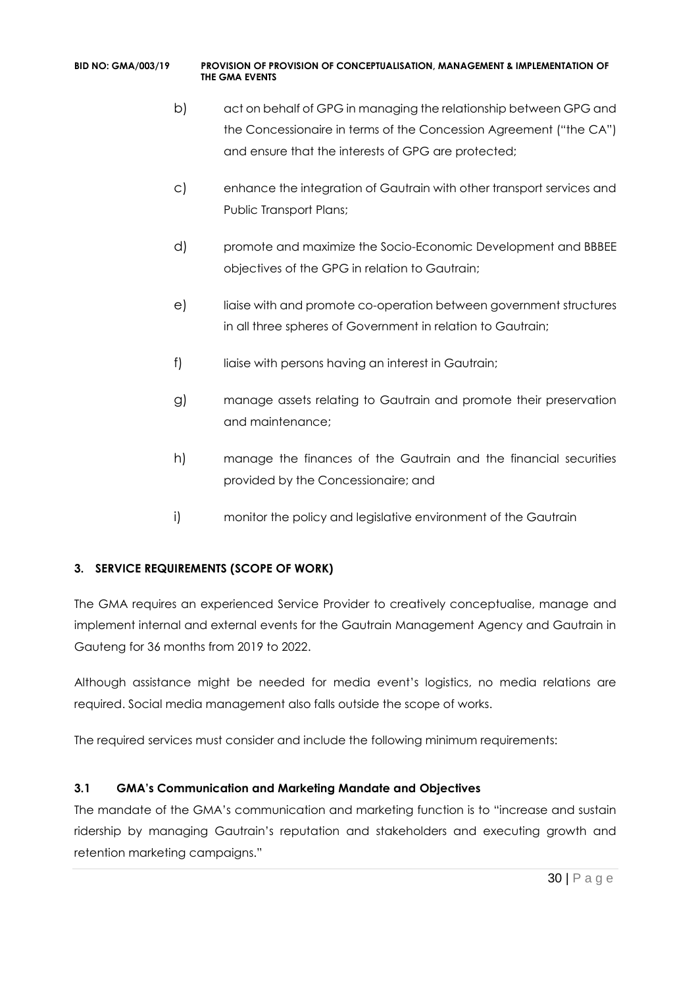- b) act on behalf of GPG in managing the relationship between GPG and the Concessionaire in terms of the Concession Agreement ("the CA") and ensure that the interests of GPG are protected;
- c) enhance the integration of Gautrain with other transport services and Public Transport Plans;
- d) promote and maximize the Socio-Economic Development and BBBEE objectives of the GPG in relation to Gautrain;
- e) liaise with and promote co-operation between government structures in all three spheres of Government in relation to Gautrain;
- f) liaise with persons having an interest in Gautrain;
- g) manage assets relating to Gautrain and promote their preservation and maintenance;
- h) manage the finances of the Gautrain and the financial securities provided by the Concessionaire; and
- i) monitor the policy and legislative environment of the Gautrain

## **3. SERVICE REQUIREMENTS (SCOPE OF WORK)**

The GMA requires an experienced Service Provider to creatively conceptualise, manage and implement internal and external events for the Gautrain Management Agency and Gautrain in Gauteng for 36 months from 2019 to 2022.

Although assistance might be needed for media event's logistics, no media relations are required. Social media management also falls outside the scope of works.

The required services must consider and include the following minimum requirements:

## **3.1 GMA's Communication and Marketing Mandate and Objectives**

The mandate of the GMA's communication and marketing function is to "increase and sustain ridership by managing Gautrain's reputation and stakeholders and executing growth and retention marketing campaigns."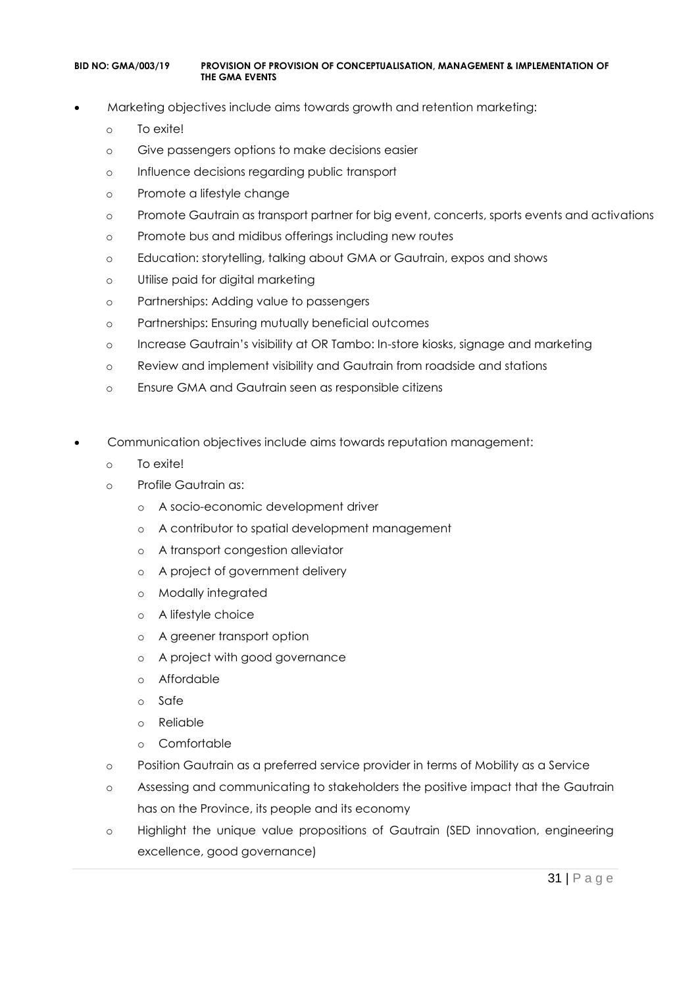- Marketing objectives include aims towards growth and retention marketing:
	- o To exite!
	- o Give passengers options to make decisions easier
	- o Influence decisions regarding public transport
	- o Promote a lifestyle change
	- o Promote Gautrain as transport partner for big event, concerts, sports events and activations
	- o Promote bus and midibus offerings including new routes
	- o Education: storytelling, talking about GMA or Gautrain, expos and shows
	- o Utilise paid for digital marketing
	- o Partnerships: Adding value to passengers
	- o Partnerships: Ensuring mutually beneficial outcomes
	- o Increase Gautrain's visibility at OR Tambo: In-store kiosks, signage and marketing
	- o Review and implement visibility and Gautrain from roadside and stations
	- o Ensure GMA and Gautrain seen as responsible citizens
- Communication objectives include aims towards reputation management:
	- o To exite!
	- o Profile Gautrain as:
		- o A socio-economic development driver
		- o A contributor to spatial development management
		- o A transport congestion alleviator
		- o A project of government delivery
		- o Modally integrated
		- o A lifestyle choice
		- o A greener transport option
		- o A project with good governance
		- o Affordable
		- o Safe
		- o Reliable
		- o Comfortable
	- o Position Gautrain as a preferred service provider in terms of Mobility as a Service
	- o Assessing and communicating to stakeholders the positive impact that the Gautrain has on the Province, its people and its economy
	- o Highlight the unique value propositions of Gautrain (SED innovation, engineering excellence, good governance)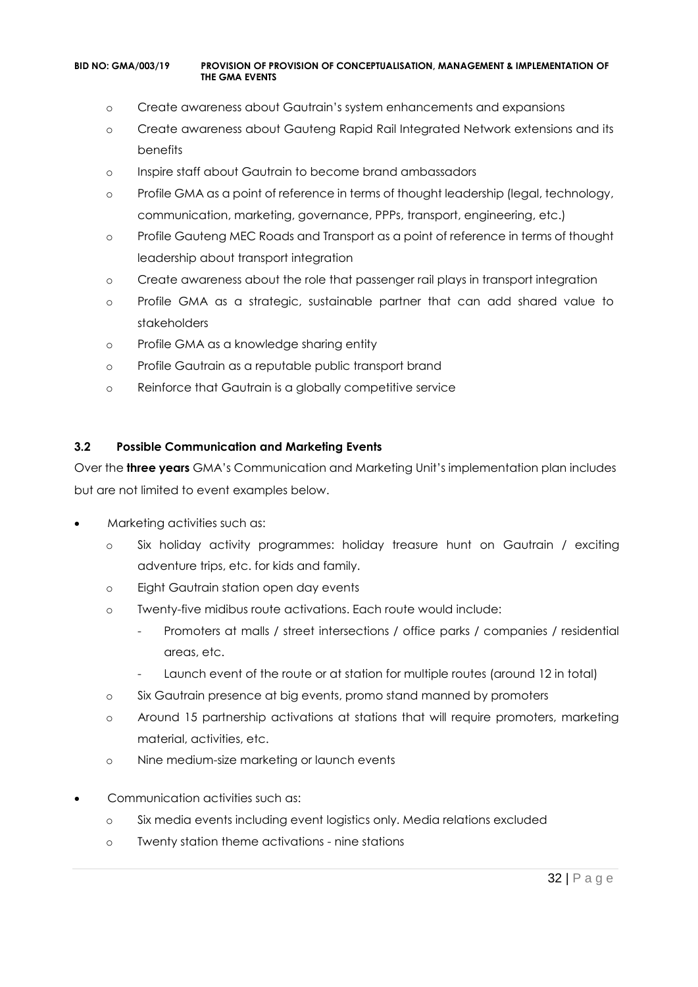- o Create awareness about Gautrain's system enhancements and expansions
- o Create awareness about Gauteng Rapid Rail Integrated Network extensions and its benefits
- o Inspire staff about Gautrain to become brand ambassadors
- o Profile GMA as a point of reference in terms of thought leadership (legal, technology, communication, marketing, governance, PPPs, transport, engineering, etc.)
- o Profile Gauteng MEC Roads and Transport as a point of reference in terms of thought leadership about transport integration
- o Create awareness about the role that passenger rail plays in transport integration
- o Profile GMA as a strategic, sustainable partner that can add shared value to stakeholders
- o Profile GMA as a knowledge sharing entity
- o Profile Gautrain as a reputable public transport brand
- o Reinforce that Gautrain is a globally competitive service

#### **3.2 Possible Communication and Marketing Events**

Over the **three years** GMA's Communication and Marketing Unit's implementation plan includes but are not limited to event examples below.

- Marketing activities such as:
	- o Six holiday activity programmes: holiday treasure hunt on Gautrain / exciting adventure trips, etc. for kids and family.
	- o Eight Gautrain station open day events
	- o Twenty-five midibus route activations. Each route would include:
		- Promoters at malls / street intersections / office parks / companies / residential areas, etc.
		- Launch event of the route or at station for multiple routes (around 12 in total)
	- o Six Gautrain presence at big events, promo stand manned by promoters
	- o Around 15 partnership activations at stations that will require promoters, marketing material, activities, etc.
	- o Nine medium-size marketing or launch events
- Communication activities such as:
	- o Six media events including event logistics only. Media relations excluded
	- o Twenty station theme activations nine stations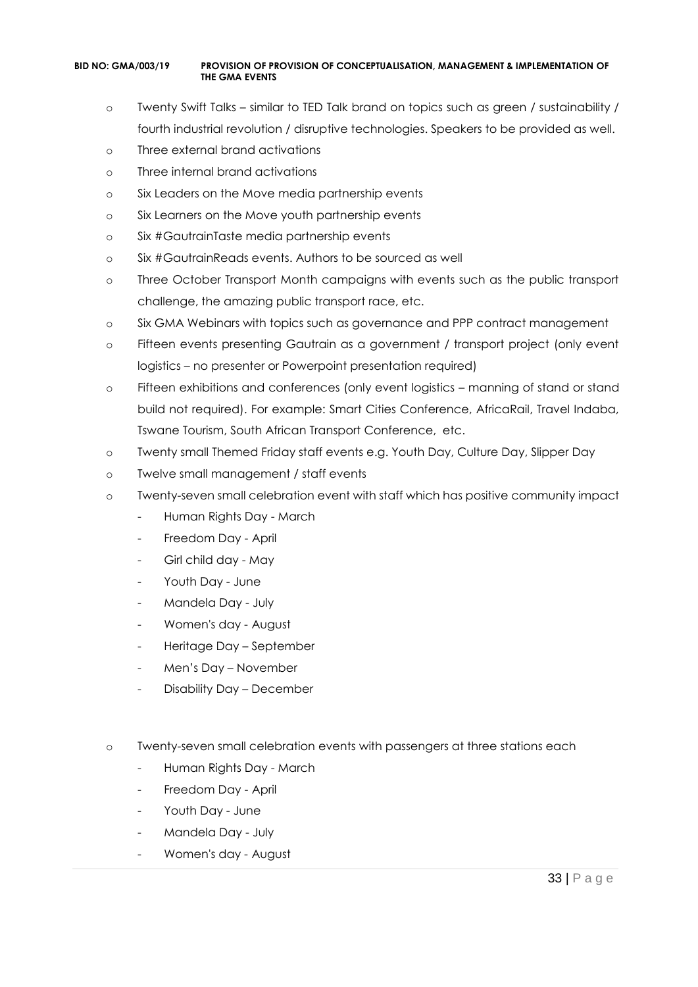- o Twenty Swift Talks similar to TED Talk brand on topics such as green / sustainability / fourth industrial revolution / disruptive technologies. Speakers to be provided as well.
- o Three external brand activations
- o Three internal brand activations
- o Six Leaders on the Move media partnership events
- o Six Learners on the Move youth partnership events
- o Six #GautrainTaste media partnership events
- o Six #GautrainReads events. Authors to be sourced as well
- o Three October Transport Month campaigns with events such as the public transport challenge, the amazing public transport race, etc.
- o Six GMA Webinars with topics such as governance and PPP contract management
- o Fifteen events presenting Gautrain as a government / transport project (only event logistics – no presenter or Powerpoint presentation required)
- o Fifteen exhibitions and conferences (only event logistics manning of stand or stand build not required). For example: Smart Cities Conference, AfricaRail, Travel Indaba, Tswane Tourism, South African Transport Conference, etc.
- o Twenty small Themed Friday staff events e.g. Youth Day, Culture Day, Slipper Day
- o Twelve small management / staff events
- o Twenty-seven small celebration event with staff which has positive community impact
	- Human Rights Day March
	- Freedom Day April
	- Girl child day May
	- Youth Day June
	- Mandela Day July
	- Women's day August
	- Heritage Day September
	- Men's Day November
	- Disability Day December
- o Twenty-seven small celebration events with passengers at three stations each
	- Human Rights Day March
	- Freedom Day April
	- Youth Day June
	- Mandela Day July
	- Women's day August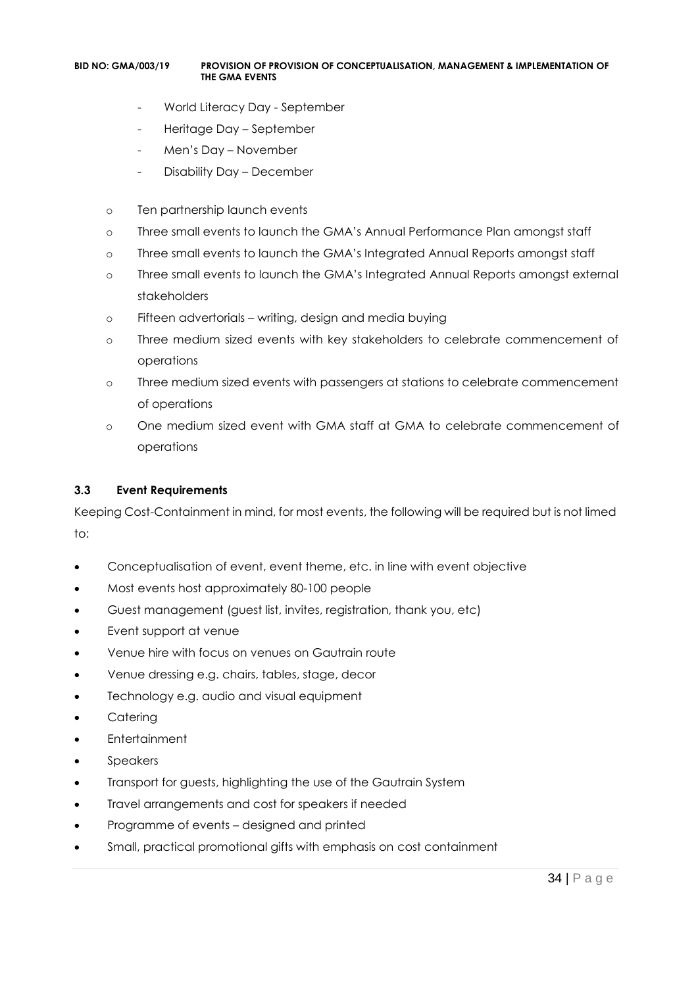- World Literacy Day September
- Heritage Day September
- Men's Day November
- Disability Day December
- o Ten partnership launch events
- o Three small events to launch the GMA's Annual Performance Plan amongst staff
- o Three small events to launch the GMA's Integrated Annual Reports amongst staff
- o Three small events to launch the GMA's Integrated Annual Reports amongst external stakeholders
- o Fifteen advertorials writing, design and media buying
- o Three medium sized events with key stakeholders to celebrate commencement of operations
- o Three medium sized events with passengers at stations to celebrate commencement of operations
- o One medium sized event with GMA staff at GMA to celebrate commencement of operations

#### **3.3 Event Requirements**

Keeping Cost-Containment in mind, for most events, the following will be required but is not limed to:

- Conceptualisation of event, event theme, etc. in line with event objective
- Most events host approximately 80-100 people
- Guest management (guest list, invites, registration, thank you, etc)
- Event support at venue
- Venue hire with focus on venues on Gautrain route
- Venue dressing e.g. chairs, tables, stage, decor
- Technology e.g. audio and visual equipment
- Catering
- Entertainment
- Speakers
- Transport for guests, highlighting the use of the Gautrain System
- Travel arrangements and cost for speakers if needed
- Programme of events designed and printed
- Small, practical promotional gifts with emphasis on cost containment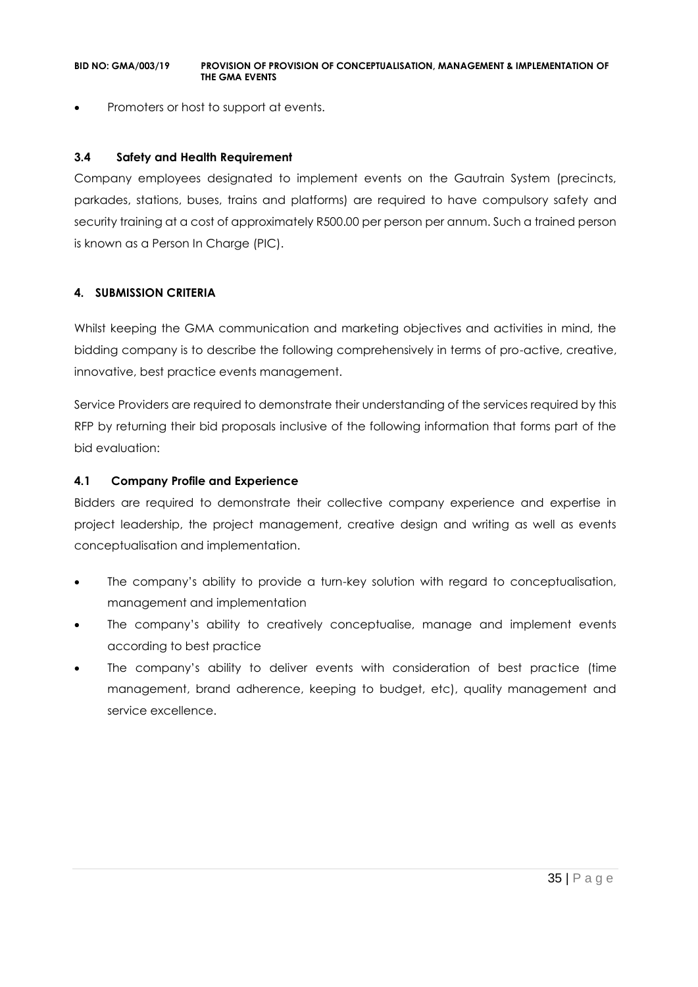• Promoters or host to support at events.

#### **3.4 Safety and Health Requirement**

Company employees designated to implement events on the Gautrain System (precincts, parkades, stations, buses, trains and platforms) are required to have compulsory safety and security training at a cost of approximately R500.00 per person per annum. Such a trained person is known as a Person In Charge (PIC).

#### **4. SUBMISSION CRITERIA**

Whilst keeping the GMA communication and marketing objectives and activities in mind, the bidding company is to describe the following comprehensively in terms of pro-active, creative, innovative, best practice events management.

Service Providers are required to demonstrate their understanding of the services required by this RFP by returning their bid proposals inclusive of the following information that forms part of the bid evaluation:

#### **4.1 Company Profile and Experience**

Bidders are required to demonstrate their collective company experience and expertise in project leadership, the project management, creative design and writing as well as events conceptualisation and implementation.

- The company's ability to provide a turn-key solution with regard to conceptualisation, management and implementation
- The company's ability to creatively conceptualise, manage and implement events according to best practice
- The company's ability to deliver events with consideration of best practice (time management, brand adherence, keeping to budget, etc), quality management and service excellence.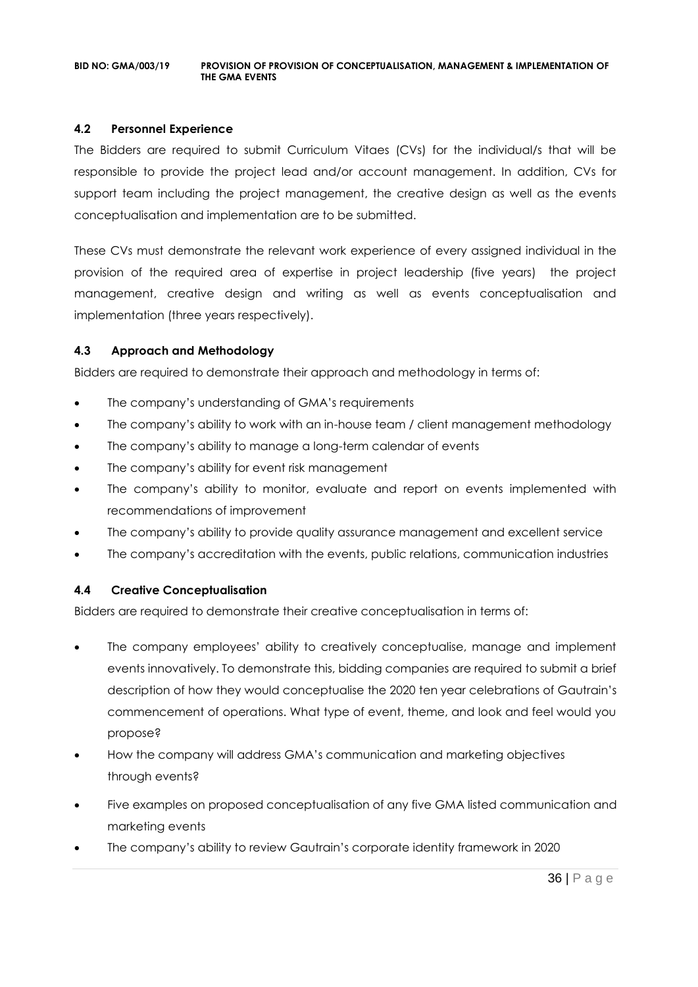#### **4.2 Personnel Experience**

The Bidders are required to submit Curriculum Vitaes (CVs) for the individual/s that will be responsible to provide the project lead and/or account management. In addition, CVs for support team including the project management, the creative design as well as the events conceptualisation and implementation are to be submitted.

These CVs must demonstrate the relevant work experience of every assigned individual in the provision of the required area of expertise in project leadership (five years) the project management, creative design and writing as well as events conceptualisation and implementation (three years respectively).

#### **4.3 Approach and Methodology**

Bidders are required to demonstrate their approach and methodology in terms of:

- The company's understanding of GMA's requirements
- The company's ability to work with an in-house team / client management methodology
- The company's ability to manage a long-term calendar of events
- The company's ability for event risk management
- The company's ability to monitor, evaluate and report on events implemented with recommendations of improvement
- The company's ability to provide quality assurance management and excellent service
- The company's accreditation with the events, public relations, communication industries

#### **4.4 Creative Conceptualisation**

Bidders are required to demonstrate their creative conceptualisation in terms of:

- The company employees' ability to creatively conceptualise, manage and implement events innovatively. To demonstrate this, bidding companies are required to submit a brief description of how they would conceptualise the 2020 ten year celebrations of Gautrain's commencement of operations. What type of event, theme, and look and feel would you propose?
- How the company will address GMA's communication and marketing objectives through events?
- Five examples on proposed conceptualisation of any five GMA listed communication and marketing events
- The company's ability to review Gautrain's corporate identity framework in 2020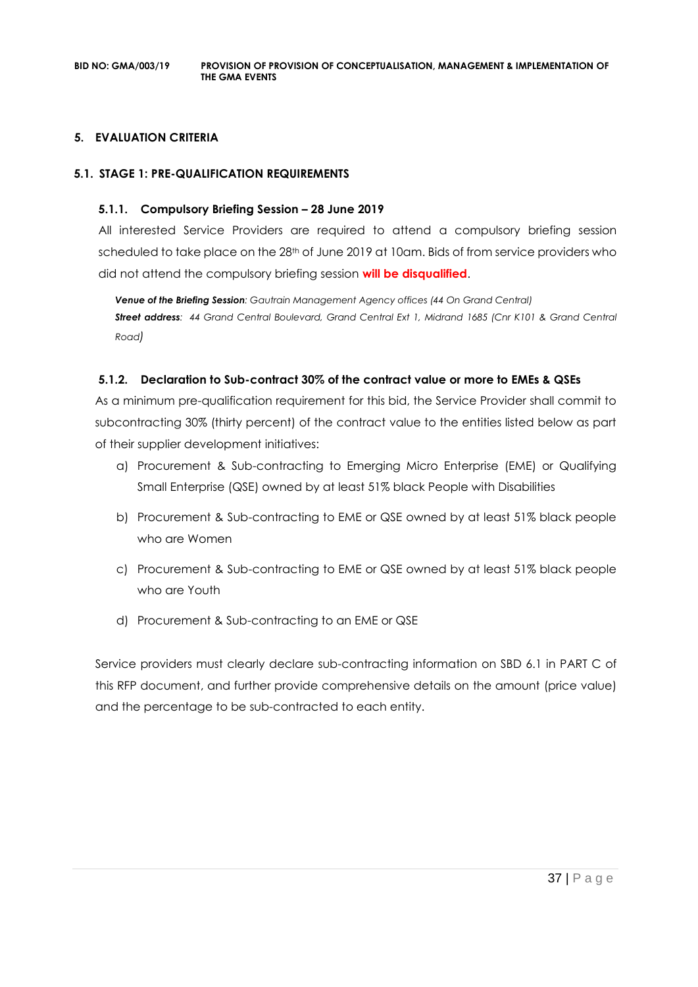#### **5. EVALUATION CRITERIA**

#### **5.1. STAGE 1: PRE-QUALIFICATION REQUIREMENTS**

#### **5.1.1. Compulsory Briefing Session – 28 June 2019**

All interested Service Providers are required to attend a compulsory briefing session scheduled to take place on the 28th of June 2019 at 10am. Bids of from service providers who did not attend the compulsory briefing session **will be disqualified**.

*Venue of the Briefing Session: Gautrain Management Agency offices (44 On Grand Central) Street address: 44 Grand Central Boulevard, Grand Central Ext 1, Midrand 1685 (Cnr K101 & Grand Central Road)*

### **5.1.2. Declaration to Sub-contract 30% of the contract value or more to EMEs & QSEs**

As a minimum pre-qualification requirement for this bid, the Service Provider shall commit to subcontracting 30% (thirty percent) of the contract value to the entities listed below as part of their supplier development initiatives:

- a) Procurement & Sub-contracting to Emerging Micro Enterprise (EME) or Qualifying Small Enterprise (QSE) owned by at least 51% black People with Disabilities
- b) Procurement & Sub-contracting to EME or QSE owned by at least 51% black people who are Women
- c) Procurement & Sub-contracting to EME or QSE owned by at least 51% black people who are Youth
- d) Procurement & Sub-contracting to an EME or QSE

Service providers must clearly declare sub-contracting information on SBD 6.1 in PART C of this RFP document, and further provide comprehensive details on the amount (price value) and the percentage to be sub-contracted to each entity.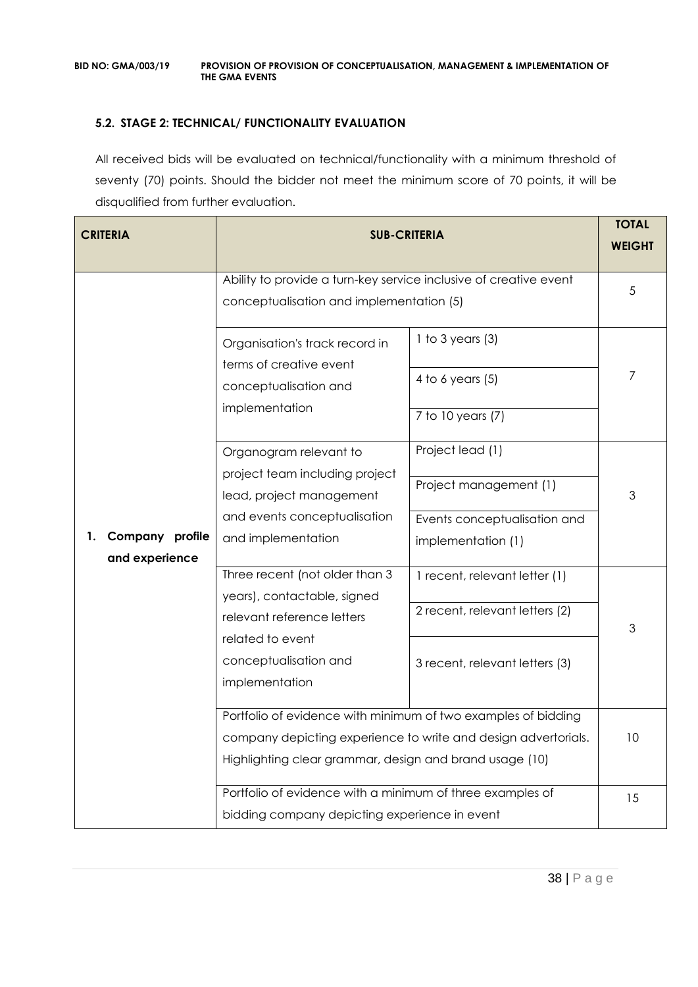### **5.2. STAGE 2: TECHNICAL/ FUNCTIONALITY EVALUATION**

All received bids will be evaluated on technical/functionality with a minimum threshold of seventy (70) points. Should the bidder not meet the minimum score of 70 points, it will be disqualified from further evaluation.

| <b>CRITERIA</b>                         | <b>SUB-CRITERIA</b>                                                                                                       |                                                        |    |  |
|-----------------------------------------|---------------------------------------------------------------------------------------------------------------------------|--------------------------------------------------------|----|--|
|                                         | Ability to provide a turn-key service inclusive of creative event<br>conceptualisation and implementation (5)             |                                                        |    |  |
|                                         | Organisation's track record in<br>terms of creative event                                                                 | 1 to 3 years $(3)$                                     | 7  |  |
|                                         | conceptualisation and<br>implementation                                                                                   | 4 to 6 years $(5)$<br>7 to 10 years (7)                |    |  |
|                                         | Organogram relevant to<br>project team including project                                                                  | Project lead (1)                                       |    |  |
|                                         | lead, project management<br>and events conceptualisation                                                                  | Project management (1)<br>Events conceptualisation and | 3  |  |
| Company profile<br>1.<br>and experience | and implementation                                                                                                        | implementation (1)                                     |    |  |
|                                         | Three recent (not older than 3<br>1 recent, relevant letter (1)<br>years), contactable, signed                            |                                                        |    |  |
|                                         | relevant reference letters<br>related to event                                                                            | 2 recent, relevant letters (2)                         | 3  |  |
|                                         | conceptualisation and<br>implementation                                                                                   | 3 recent, relevant letters (3)                         |    |  |
|                                         | Portfolio of evidence with minimum of two examples of bidding                                                             |                                                        |    |  |
|                                         | company depicting experience to write and design advertorials.<br>Highlighting clear grammar, design and brand usage (10) |                                                        | 10 |  |
|                                         | Portfolio of evidence with a minimum of three examples of<br>bidding company depicting experience in event                |                                                        |    |  |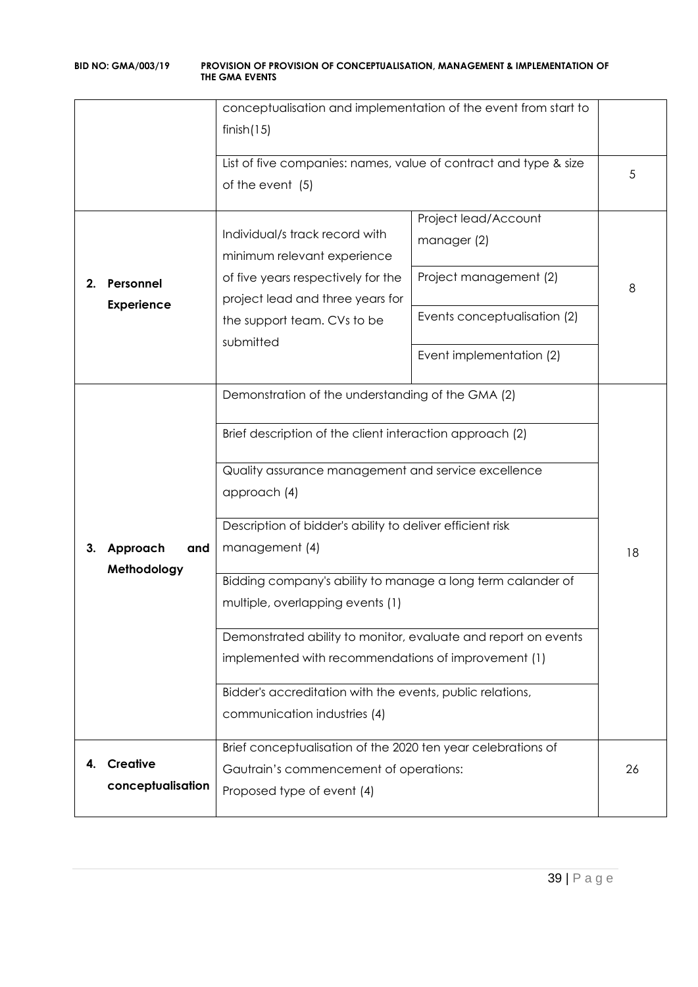|    |                                      | conceptualisation and implementation of the event from start to<br>finish(15)                                                                                                                                                                                                                                                                                                                                                                                                                                                                                                                |                                                                                                                           |    |
|----|--------------------------------------|----------------------------------------------------------------------------------------------------------------------------------------------------------------------------------------------------------------------------------------------------------------------------------------------------------------------------------------------------------------------------------------------------------------------------------------------------------------------------------------------------------------------------------------------------------------------------------------------|---------------------------------------------------------------------------------------------------------------------------|----|
|    |                                      | List of five companies: names, value of contract and type & size<br>of the event (5)                                                                                                                                                                                                                                                                                                                                                                                                                                                                                                         |                                                                                                                           |    |
| 2. | Personnel<br><b>Experience</b>       | Individual/s track record with<br>minimum relevant experience<br>of five years respectively for the<br>project lead and three years for<br>the support team. CVs to be<br>submitted                                                                                                                                                                                                                                                                                                                                                                                                          | Project lead/Account<br>manager (2)<br>Project management (2)<br>Events conceptualisation (2)<br>Event implementation (2) | 8  |
| 3. | Approach<br>and<br>Methodology       | Demonstration of the understanding of the GMA (2)<br>Brief description of the client interaction approach (2)<br>Quality assurance management and service excellence<br>approach (4)<br>Description of bidder's ability to deliver efficient risk<br>management (4)<br>Bidding company's ability to manage a long term calander of<br>multiple, overlapping events (1)<br>Demonstrated ability to monitor, evaluate and report on events<br>implemented with recommendations of improvement (1)<br>Bidder's accreditation with the events, public relations,<br>communication industries (4) |                                                                                                                           | 18 |
|    | <b>Creative</b><br>conceptualisation | Brief conceptualisation of the 2020 ten year celebrations of<br>Gautrain's commencement of operations:<br>Proposed type of event (4)                                                                                                                                                                                                                                                                                                                                                                                                                                                         |                                                                                                                           |    |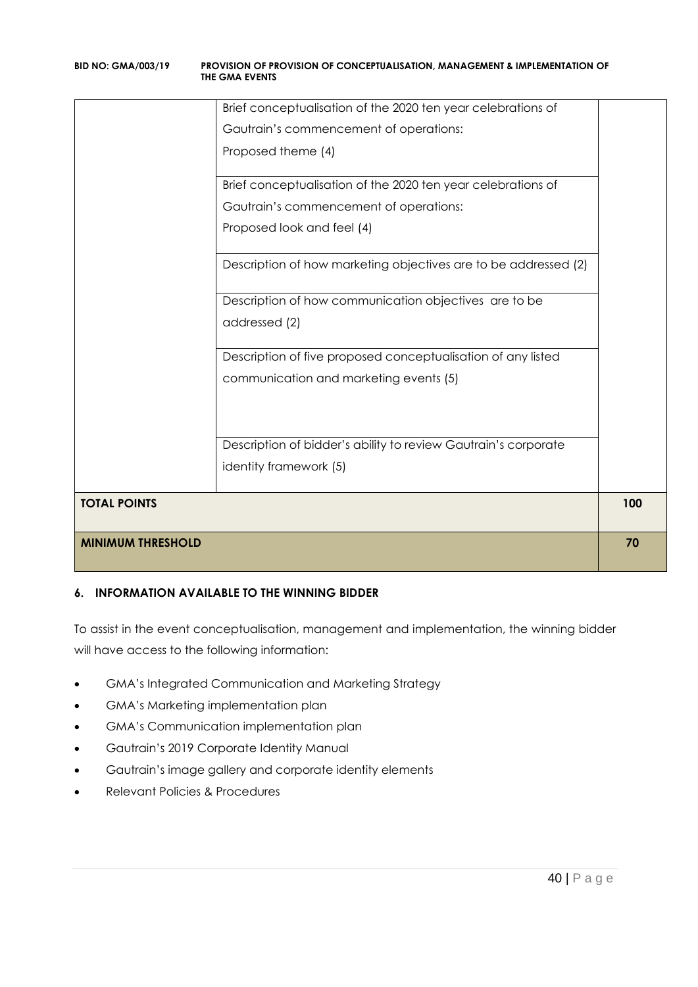| <b>MINIMUM THRESHOLD</b> |                                                                 | 70  |
|--------------------------|-----------------------------------------------------------------|-----|
| <b>TOTAL POINTS</b>      |                                                                 | 100 |
|                          | identity framework (5)                                          |     |
|                          | Description of bidder's ability to review Gautrain's corporate  |     |
|                          |                                                                 |     |
|                          | communication and marketing events (5)                          |     |
|                          | Description of five proposed conceptualisation of any listed    |     |
|                          | addressed (2)                                                   |     |
|                          | Description of how communication objectives are to be           |     |
|                          | Description of how marketing objectives are to be addressed (2) |     |
|                          |                                                                 |     |
|                          | Proposed look and feel (4)                                      |     |
|                          | Gautrain's commencement of operations:                          |     |
|                          | Brief conceptualisation of the 2020 ten year celebrations of    |     |
|                          | Proposed theme (4)                                              |     |
|                          | Gautrain's commencement of operations:                          |     |
|                          | Brief conceptualisation of the 2020 ten year celebrations of    |     |

### **6. INFORMATION AVAILABLE TO THE WINNING BIDDER**

To assist in the event conceptualisation, management and implementation, the winning bidder will have access to the following information:

- GMA's Integrated Communication and Marketing Strategy
- GMA's Marketing implementation plan
- GMA's Communication implementation plan
- Gautrain's 2019 Corporate Identity Manual
- Gautrain's image gallery and corporate identity elements
- Relevant Policies & Procedures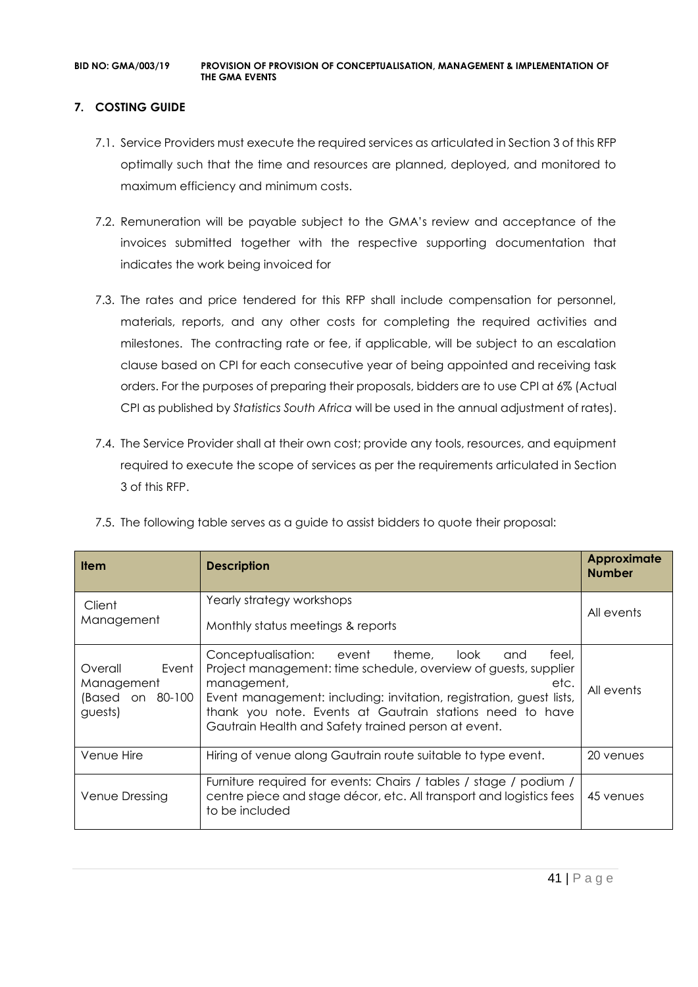### **7. COSTING GUIDE**

- 7.1. Service Providers must execute the required services as articulated in Section 3 of this RFP optimally such that the time and resources are planned, deployed, and monitored to maximum efficiency and minimum costs.
- 7.2. Remuneration will be payable subject to the GMA's review and acceptance of the invoices submitted together with the respective supporting documentation that indicates the work being invoiced for
- 7.3. The rates and price tendered for this RFP shall include compensation for personnel, materials, reports, and any other costs for completing the required activities and milestones. The contracting rate or fee, if applicable, will be subject to an escalation clause based on CPI for each consecutive year of being appointed and receiving task orders. For the purposes of preparing their proposals, bidders are to use CPI at 6% (Actual CPI as published by *Statistics South Africa* will be used in the annual adjustment of rates).
- 7.4. The Service Provider shall at their own cost; provide any tools, resources, and equipment required to execute the scope of services as per the requirements articulated in Section 3 of this RFP.

| <b>Item</b>                                                    | <b>Description</b>                                                                                                                                                                                                                                                                                                                       | <b>Approximate</b><br><b>Number</b> |
|----------------------------------------------------------------|------------------------------------------------------------------------------------------------------------------------------------------------------------------------------------------------------------------------------------------------------------------------------------------------------------------------------------------|-------------------------------------|
| Client<br>Management                                           | Yearly strategy workshops<br>Monthly status meetings & reports                                                                                                                                                                                                                                                                           | All events                          |
| Event<br>Overall<br>Management<br>(Based on 80-100)<br>guests) | Conceptualisation: event theme, look<br>feel,<br>and<br>Project management: time schedule, overview of guests, supplier<br>management,<br>etc.<br>Event management: including: invitation, registration, guest lists,<br>thank you note. Events at Gautrain stations need to have<br>Gautrain Health and Safety trained person at event. | All events                          |
| Venue Hire                                                     | Hiring of venue along Gautrain route suitable to type event.                                                                                                                                                                                                                                                                             | 20 venues                           |
| Venue Dressing                                                 | Furniture required for events: Chairs / tables / stage / podium /<br>centre piece and stage décor, etc. All transport and logistics fees<br>to be included                                                                                                                                                                               | 45 venues                           |

7.5. The following table serves as a guide to assist bidders to quote their proposal: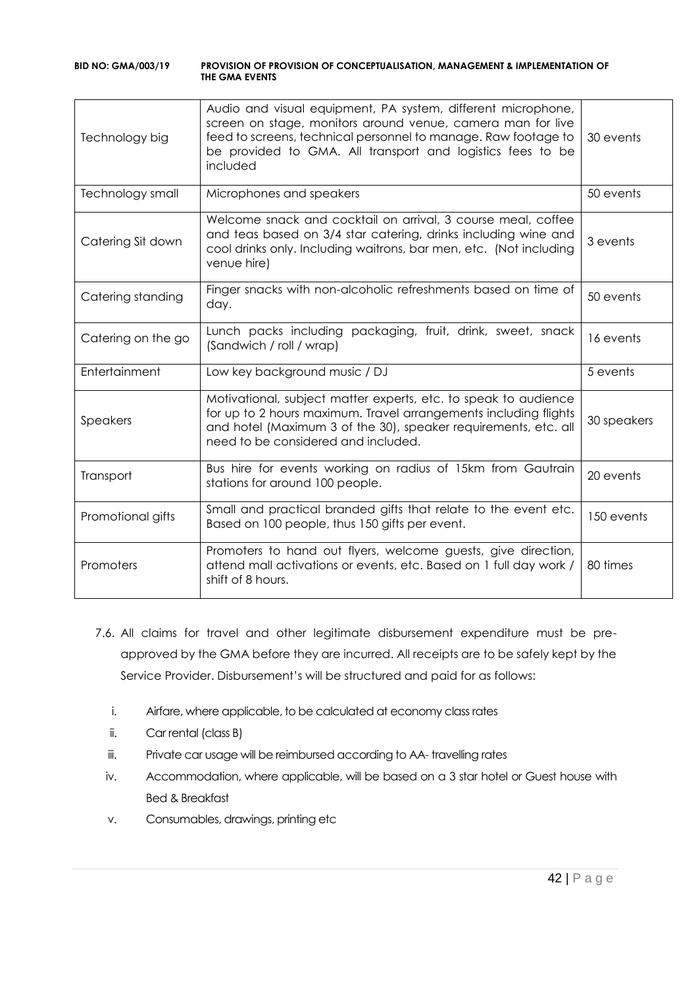| Technology big     | Audio and visual equipment, PA system, different microphone,<br>screen on stage, monitors around venue, camera man for live<br>feed to screens, technical personnel to manage. Raw footage to<br>be provided to GMA. All transport and logistics fees to be<br>included | 30 events   |
|--------------------|-------------------------------------------------------------------------------------------------------------------------------------------------------------------------------------------------------------------------------------------------------------------------|-------------|
| Technology small   | Microphones and speakers                                                                                                                                                                                                                                                | 50 events   |
| Catering Sit down  | Welcome snack and cocktail on arrival, 3 course meal, coffee<br>and teas based on 3/4 star catering, drinks including wine and<br>cool drinks only. Including waitrons, bar men, etc. (Not including<br>venue hire)                                                     | 3 events    |
| Catering standing  | Finger snacks with non-alcoholic refreshments based on time of<br>day.                                                                                                                                                                                                  | 50 events   |
| Catering on the go | Lunch packs including packaging, fruit, drink, sweet, snack<br>(Sandwich / roll / wrap)                                                                                                                                                                                 | 16 events   |
| Entertainment      | Low key background music / DJ                                                                                                                                                                                                                                           | 5 events    |
| Speakers           | Motivational, subject matter experts, etc. to speak to audience<br>for up to 2 hours maximum. Travel arrangements including flights<br>and hotel (Maximum 3 of the 30), speaker requirements, etc. all<br>need to be considered and included.                           | 30 speakers |
| Transport          | Bus hire for events working on radius of 15km from Gautrain<br>stations for around 100 people.                                                                                                                                                                          | 20 events   |
| Promotional gifts  | Small and practical branded gifts that relate to the event etc.<br>Based on 100 people, thus 150 gifts per event.                                                                                                                                                       | 150 events  |
| Promoters          | Promoters to hand out flyers, welcome guests, give direction,<br>attend mall activations or events, etc. Based on 1 full day work /<br>shift of 8 hours.                                                                                                                | 80 times    |

- 7.6. All claims for travel and other legitimate disbursement expenditure must be preapproved by the GMA before they are incurred. All receipts are to be safely kept by the Service Provider. Disbursement's will be structured and paid for as follows:
	- i. Airfare, where applicable, to be calculated at economy class rates
	- ii. Car rental (class B)
	- iii. Private car usage will be reimbursed according to AA- travelling rates
	- iv. Accommodation, where applicable, will be based on a 3 star hotel or Guest house with Bed & Breakfast
	- v. Consumables, drawings, printing etc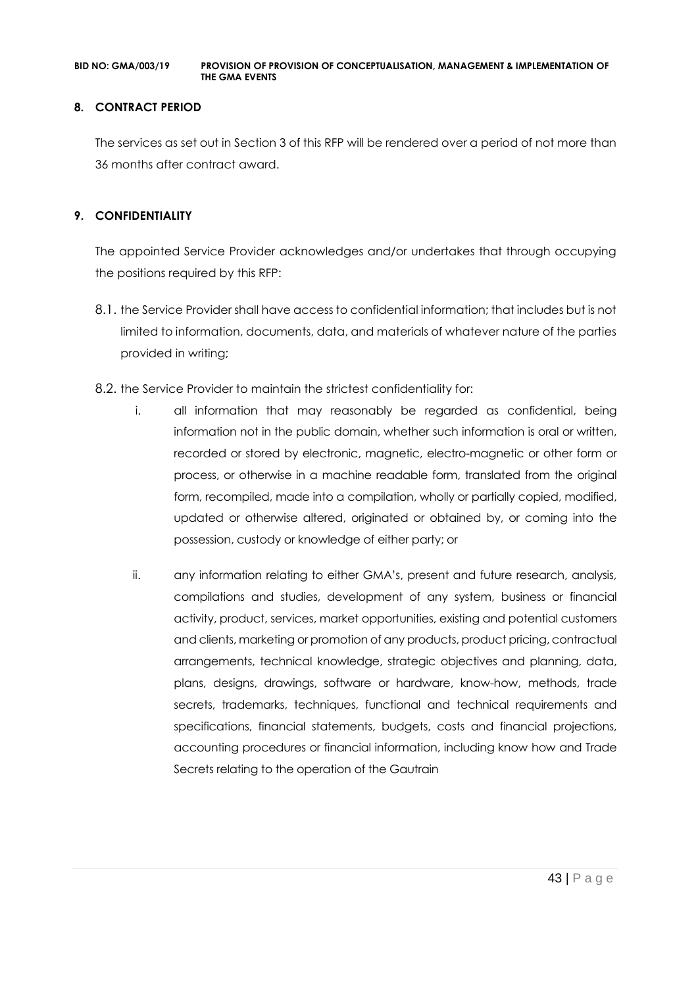#### **8. CONTRACT PERIOD**

The services as set out in Section 3 of this RFP will be rendered over a period of not more than 36 months after contract award.

### **9. CONFIDENTIALITY**

The appointed Service Provider acknowledges and/or undertakes that through occupying the positions required by this RFP:

- 8.1. the Service Provider shall have access to confidential information; that includes but is not limited to information, documents, data, and materials of whatever nature of the parties provided in writing;
- 8.2. the Service Provider to maintain the strictest confidentiality for:
	- i. all information that may reasonably be regarded as confidential, being information not in the public domain, whether such information is oral or written, recorded or stored by electronic, magnetic, electro-magnetic or other form or process, or otherwise in a machine readable form, translated from the original form, recompiled, made into a compilation, wholly or partially copied, modified, updated or otherwise altered, originated or obtained by, or coming into the possession, custody or knowledge of either party; or
	- ii. any information relating to either GMA's, present and future research, analysis, compilations and studies, development of any system, business or financial activity, product, services, market opportunities, existing and potential customers and clients, marketing or promotion of any products, product pricing, contractual arrangements, technical knowledge, strategic objectives and planning, data, plans, designs, drawings, software or hardware, know-how, methods, trade secrets, trademarks, techniques, functional and technical requirements and specifications, financial statements, budgets, costs and financial projections, accounting procedures or financial information, including know how and Trade Secrets relating to the operation of the Gautrain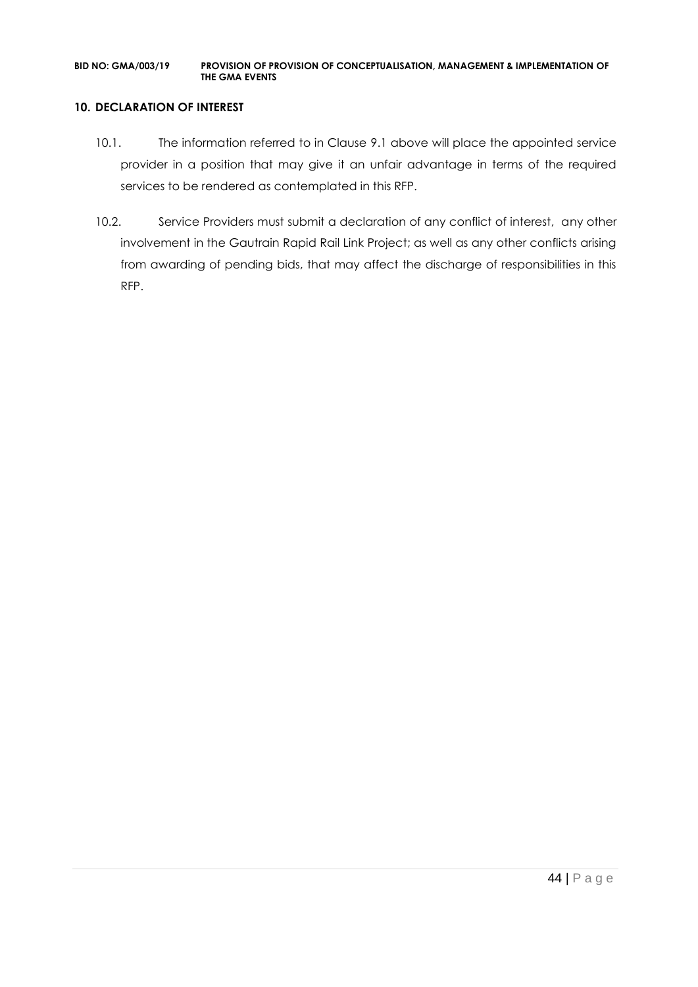#### **10. DECLARATION OF INTEREST**

- 10.1. The information referred to in Clause 9.1 above will place the appointed service provider in a position that may give it an unfair advantage in terms of the required services to be rendered as contemplated in this RFP.
- 10.2. Service Providers must submit a declaration of any conflict of interest, any other involvement in the Gautrain Rapid Rail Link Project; as well as any other conflicts arising from awarding of pending bids, that may affect the discharge of responsibilities in this RFP.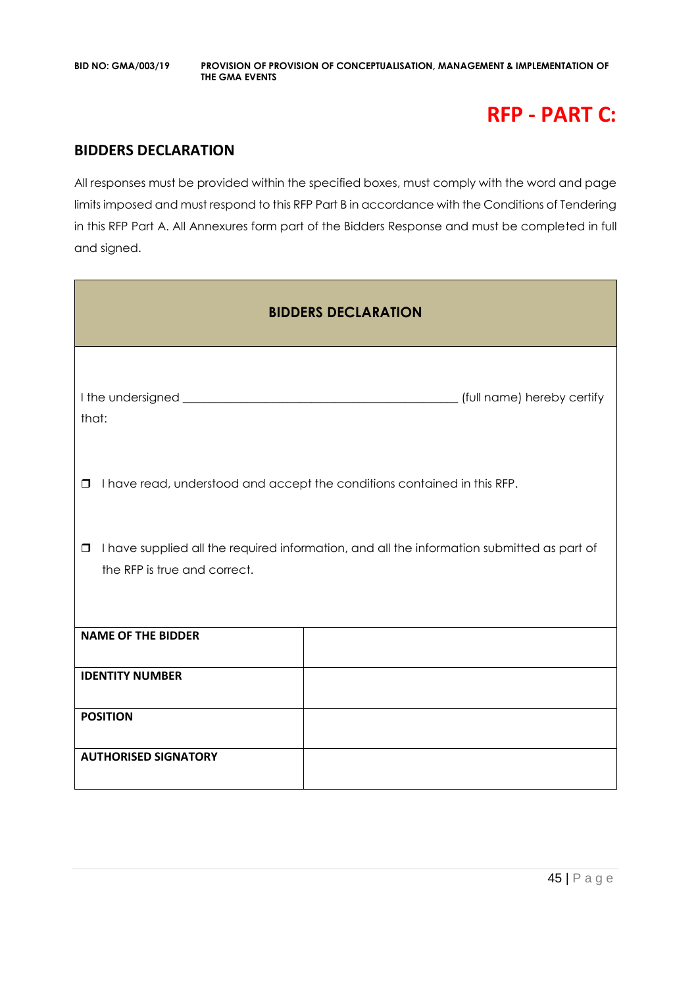# **RFP - PART C:**

### **BIDDERS DECLARATION**

All responses must be provided within the specified boxes, must comply with the word and page limits imposed and must respond to this RFP Part B in accordance with the Conditions of Tendering in this RFP Part A. All Annexures form part of the Bidders Response and must be completed in full and signed.

| <b>BIDDERS DECLARATION</b>             |                                                                                            |  |  |  |
|----------------------------------------|--------------------------------------------------------------------------------------------|--|--|--|
| that:                                  |                                                                                            |  |  |  |
| $\Box$                                 | I have read, understood and accept the conditions contained in this RFP.                   |  |  |  |
| $\Box$<br>the RFP is true and correct. | I have supplied all the required information, and all the information submitted as part of |  |  |  |
| <b>NAME OF THE BIDDER</b>              |                                                                                            |  |  |  |
| <b>IDENTITY NUMBER</b>                 |                                                                                            |  |  |  |
| <b>POSITION</b>                        |                                                                                            |  |  |  |
| <b>AUTHORISED SIGNATORY</b>            |                                                                                            |  |  |  |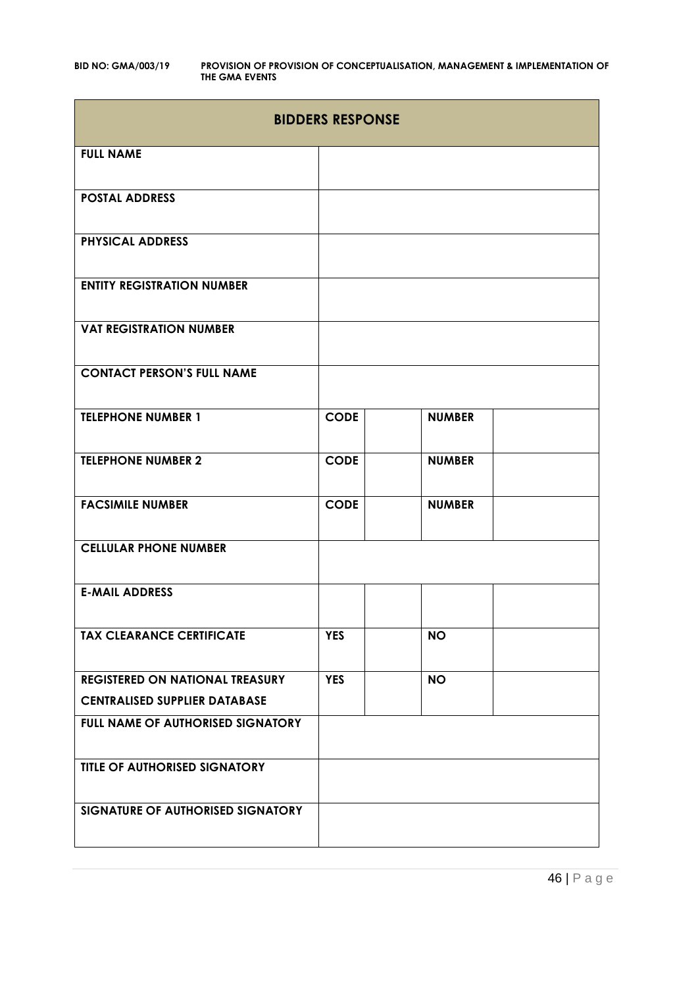|                                        | <b>BIDDERS RESPONSE</b> |               |  |
|----------------------------------------|-------------------------|---------------|--|
| <b>FULL NAME</b>                       |                         |               |  |
| <b>POSTAL ADDRESS</b>                  |                         |               |  |
| <b>PHYSICAL ADDRESS</b>                |                         |               |  |
| <b>ENTITY REGISTRATION NUMBER</b>      |                         |               |  |
| <b>VAT REGISTRATION NUMBER</b>         |                         |               |  |
| <b>CONTACT PERSON'S FULL NAME</b>      |                         |               |  |
| <b>TELEPHONE NUMBER 1</b>              | <b>CODE</b>             | <b>NUMBER</b> |  |
| <b>TELEPHONE NUMBER 2</b>              | <b>CODE</b>             | <b>NUMBER</b> |  |
| <b>FACSIMILE NUMBER</b>                | <b>CODE</b>             | <b>NUMBER</b> |  |
| <b>CELLULAR PHONE NUMBER</b>           |                         |               |  |
| <b>E-MAIL ADDRESS</b>                  |                         |               |  |
| <b>TAX CLEARANCE CERTIFICATE</b>       | <b>YES</b>              | <b>NO</b>     |  |
| <b>REGISTERED ON NATIONAL TREASURY</b> | <b>YES</b>              | <b>NO</b>     |  |
| <b>CENTRALISED SUPPLIER DATABASE</b>   |                         |               |  |
| FULL NAME OF AUTHORISED SIGNATORY      |                         |               |  |
| TITLE OF AUTHORISED SIGNATORY          |                         |               |  |
| SIGNATURE OF AUTHORISED SIGNATORY      |                         |               |  |

46 | P a g e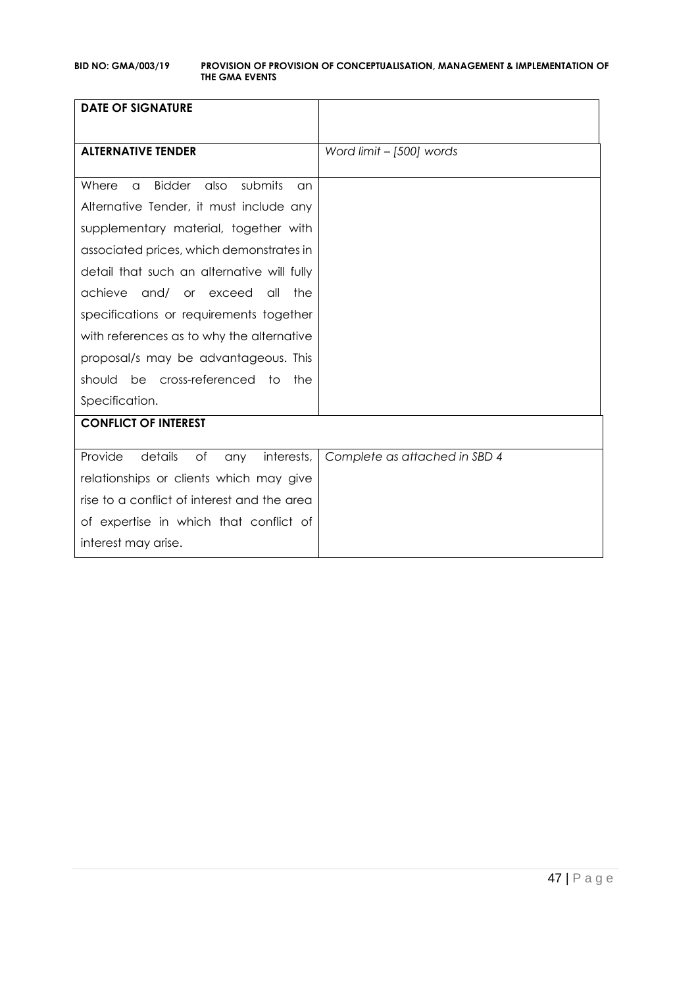| <b>DATE OF SIGNATURE</b>                             |                               |
|------------------------------------------------------|-------------------------------|
|                                                      |                               |
| <b>ALTERNATIVE TENDER</b>                            | Word limit - [500] words      |
|                                                      |                               |
| submits<br>Where<br><b>Bidder</b><br>also<br>a<br>an |                               |
| Alternative Tender, it must include any              |                               |
| supplementary material, together with                |                               |
| associated prices, which demonstrates in             |                               |
| detail that such an alternative will fully           |                               |
| achieve<br>and/ or exceed<br>the<br>all              |                               |
| specifications or requirements together              |                               |
| with references as to why the alternative            |                               |
| proposal/s may be advantageous. This                 |                               |
| be cross-referenced to<br>should<br>the              |                               |
| Specification.                                       |                               |
| <b>CONFLICT OF INTEREST</b>                          |                               |
| Provide<br>details<br>of<br>interests,               | Complete as attached in SBD 4 |
| any                                                  |                               |
| relationships or clients which may give              |                               |
| rise to a conflict of interest and the area          |                               |
| of expertise in which that conflict of               |                               |
| interest may arise.                                  |                               |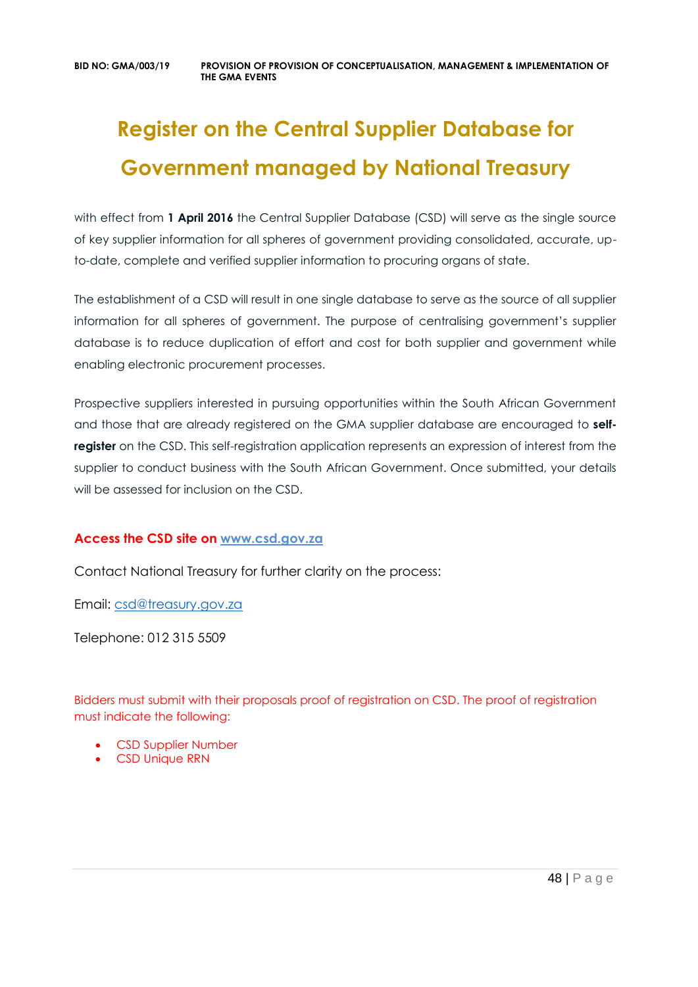# **Register on the Central Supplier Database for Government managed by National Treasury**

with effect from 1 April 2016 the Central Supplier Database (CSD) will serve as the single source of key supplier information for all spheres of government providing consolidated, accurate, upto-date, complete and verified supplier information to procuring organs of state.

The establishment of a CSD will result in one single database to serve as the source of all supplier information for all spheres of government. The purpose of centralising government's supplier database is to reduce duplication of effort and cost for both supplier and government while enabling electronic procurement processes.

Prospective suppliers interested in pursuing opportunities within the South African Government and those that are already registered on the GMA supplier database are encouraged to **selfregister** on the CSD. This self-registration application represents an expression of interest from the supplier to conduct business with the South African Government. Once submitted, your details will be assessed for inclusion on the CSD.

### **Access the CSD site on [www.csd.gov.za](http://www.csd.gov.za/)**

Contact National Treasury for further clarity on the process:

Email: [csd@treasury.gov.za](mailto:csd@treasury.gov.za)

Telephone: 012 315 5509

Bidders must submit with their proposals proof of registration on CSD. The proof of registration must indicate the following:

- CSD Supplier Number
- CSD Unique RRN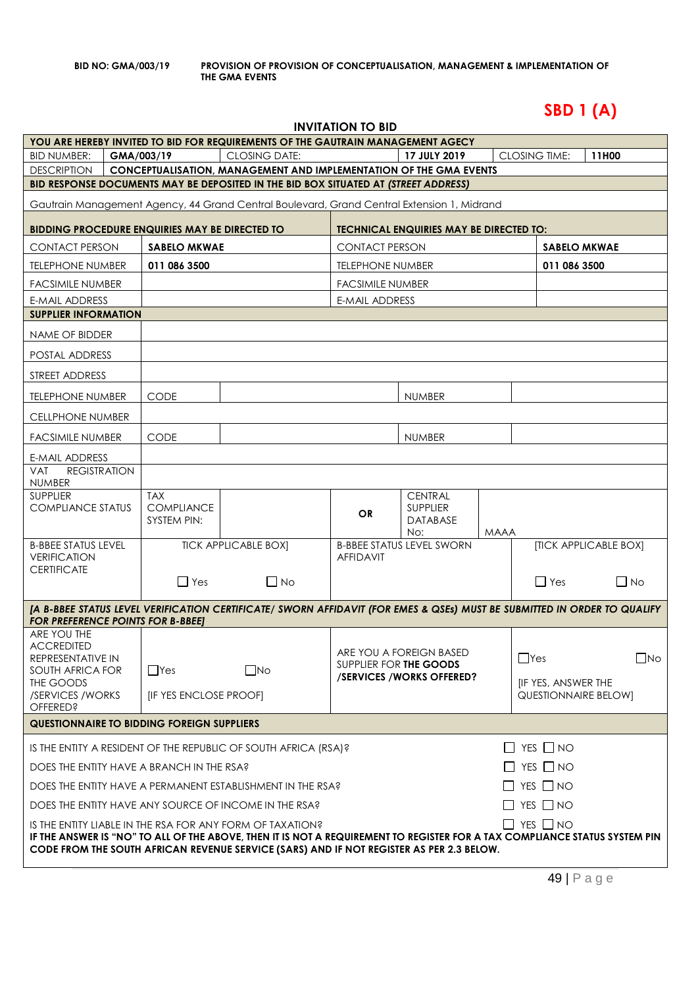# **SBD 1 (A)**

| INVITATION TO BID |  |
|-------------------|--|
|-------------------|--|

|                                                                                                                                                                                                                 |  |                                 | YOU ARE HEREBY INVITED TO BID FOR REQUIREMENTS OF THE GAUTRAIN MANAGEMENT AGECY                                          | שוט טיז צוטוואזווא      |                                                |             |                             |                       |  |
|-----------------------------------------------------------------------------------------------------------------------------------------------------------------------------------------------------------------|--|---------------------------------|--------------------------------------------------------------------------------------------------------------------------|-------------------------|------------------------------------------------|-------------|-----------------------------|-----------------------|--|
| <b>BID NUMBER:</b>                                                                                                                                                                                              |  | GMA/003/19                      | <b>CLOSING DATE:</b>                                                                                                     |                         | 17 JULY 2019                                   |             | <b>CLOSING TIME:</b>        | 11H00                 |  |
| CONCEPTUALISATION, MANAGEMENT AND IMPLEMENTATION OF THE GMA EVENTS<br><b>DESCRIPTION</b>                                                                                                                        |  |                                 |                                                                                                                          |                         |                                                |             |                             |                       |  |
|                                                                                                                                                                                                                 |  |                                 | BID RESPONSE DOCUMENTS MAY BE DEPOSITED IN THE BID BOX SITUATED AT (STREET ADDRESS)                                      |                         |                                                |             |                             |                       |  |
|                                                                                                                                                                                                                 |  |                                 | Gautrain Management Agency, 44 Grand Central Boulevard, Grand Central Extension 1, Midrand                               |                         |                                                |             |                             |                       |  |
| <b>BIDDING PROCEDURE ENQUIRIES MAY BE DIRECTED TO</b>                                                                                                                                                           |  |                                 |                                                                                                                          |                         | <b>TECHNICAL ENQUIRIES MAY BE DIRECTED TO:</b> |             |                             |                       |  |
| <b>CONTACT PERSON</b>                                                                                                                                                                                           |  | SABELO MKWAE                    |                                                                                                                          | <b>CONTACT PERSON</b>   |                                                |             |                             | <b>SABELO MKWAE</b>   |  |
| <b>TELEPHONE NUMBER</b>                                                                                                                                                                                         |  | 011 086 3500                    |                                                                                                                          | <b>TELEPHONE NUMBER</b> |                                                |             |                             | 011 086 3500          |  |
| <b>FACSIMILE NUMBER</b>                                                                                                                                                                                         |  |                                 |                                                                                                                          | <b>FACSIMILE NUMBER</b> |                                                |             |                             |                       |  |
| <b>E-MAIL ADDRESS</b>                                                                                                                                                                                           |  |                                 |                                                                                                                          | <b>E-MAIL ADDRESS</b>   |                                                |             |                             |                       |  |
| <b>SUPPLIER INFORMATION</b>                                                                                                                                                                                     |  |                                 |                                                                                                                          |                         |                                                |             |                             |                       |  |
| NAME OF BIDDER                                                                                                                                                                                                  |  |                                 |                                                                                                                          |                         |                                                |             |                             |                       |  |
| POSTAL ADDRESS                                                                                                                                                                                                  |  |                                 |                                                                                                                          |                         |                                                |             |                             |                       |  |
| STREET ADDRESS                                                                                                                                                                                                  |  |                                 |                                                                                                                          |                         |                                                |             |                             |                       |  |
| <b>TELEPHONE NUMBER</b>                                                                                                                                                                                         |  | <b>CODE</b>                     |                                                                                                                          |                         | <b>NUMBER</b>                                  |             |                             |                       |  |
| <b>CELLPHONE NUMBER</b>                                                                                                                                                                                         |  |                                 |                                                                                                                          |                         |                                                |             |                             |                       |  |
| <b>FACSIMILE NUMBER</b>                                                                                                                                                                                         |  | <b>CODE</b>                     |                                                                                                                          |                         | <b>NUMBER</b>                                  |             |                             |                       |  |
| E-MAIL ADDRESS                                                                                                                                                                                                  |  |                                 |                                                                                                                          |                         |                                                |             |                             |                       |  |
| <b>REGISTRATION</b><br><b>VAT</b><br><b>NUMBER</b>                                                                                                                                                              |  |                                 |                                                                                                                          |                         |                                                |             |                             |                       |  |
| <b>SUPPLIER</b><br><b>COMPLIANCE STATUS</b>                                                                                                                                                                     |  | <b>TAX</b><br><b>COMPLIANCE</b> |                                                                                                                          |                         | <b>CENTRAL</b><br><b>SUPPLIER</b>              |             |                             |                       |  |
|                                                                                                                                                                                                                 |  | SYSTEM PIN:                     |                                                                                                                          | <b>OR</b>               | <b>DATABASE</b><br>No:                         | <b>MAAA</b> |                             |                       |  |
| <b>B-BBEE STATUS LEVEL</b>                                                                                                                                                                                      |  |                                 | <b>TICK APPLICABLE BOX]</b>                                                                                              |                         | <b>B-BBEE STATUS LEVEL SWORN</b>               |             |                             | [TICK APPLICABLE BOX] |  |
| <b>VERIFICATION</b><br><b>CERTIFICATE</b>                                                                                                                                                                       |  |                                 |                                                                                                                          | <b>AFFIDAVIT</b>        |                                                |             |                             |                       |  |
|                                                                                                                                                                                                                 |  | $\Box$ Yes                      | $\Box$ No                                                                                                                |                         |                                                |             | $\Box$ Yes                  | $\Box$ No             |  |
|                                                                                                                                                                                                                 |  |                                 | [A B-BBEE STATUS LEVEL VERIFICATION CERTIFICATE/ SWORN AFFIDAVIT (FOR EMES & QSEs) MUST BE SUBMITTED IN ORDER TO QUALIFY |                         |                                                |             |                             |                       |  |
| <b>FOR PREFERENCE POINTS FOR B-BBEET</b><br>ARE YOU THE                                                                                                                                                         |  |                                 |                                                                                                                          |                         |                                                |             |                             |                       |  |
| <b>ACCREDITED</b>                                                                                                                                                                                               |  |                                 |                                                                                                                          |                         | ARE YOU A FOREIGN BASED                        |             | $\Box$ Yes                  |                       |  |
| REPRESENTATIVE IN<br>SOUTH AFRICA FOR                                                                                                                                                                           |  | $\Box$ Yes                      | $\square$ No                                                                                                             |                         | SUPPLIER FOR THE GOODS                         |             |                             | $\Box$ No             |  |
| THE GOODS                                                                                                                                                                                                       |  |                                 |                                                                                                                          |                         | /SERVICES/WORKS OFFERED?                       |             | [IF YES, ANSWER THE         |                       |  |
| /SERVICES / WORKS<br><b>OFFERED?</b>                                                                                                                                                                            |  | [IF YES ENCLOSE PROOF]          |                                                                                                                          |                         |                                                |             | <b>QUESTIONNAIRE BELOW]</b> |                       |  |
| <b>QUESTIONNAIRE TO BIDDING FOREIGN SUPPLIERS</b>                                                                                                                                                               |  |                                 |                                                                                                                          |                         |                                                |             |                             |                       |  |
|                                                                                                                                                                                                                 |  |                                 | IS THE ENTITY A RESIDENT OF THE REPUBLIC OF SOUTH AFRICA (RSA)?                                                          |                         |                                                |             | $\Box$ YES $\Box$ NO        |                       |  |
| $\Box$ YES $\Box$ NO<br>DOES THE ENTITY HAVE A BRANCH IN THE RSA?                                                                                                                                               |  |                                 |                                                                                                                          |                         |                                                |             |                             |                       |  |
| $\Box$ YES $\Box$ NO<br>DOES THE ENTITY HAVE A PERMANENT ESTABLISHMENT IN THE RSA?                                                                                                                              |  |                                 |                                                                                                                          |                         |                                                |             |                             |                       |  |
| $\Box$ YES $\Box$ NO<br>DOES THE ENTITY HAVE ANY SOURCE OF INCOME IN THE RSA?                                                                                                                                   |  |                                 |                                                                                                                          |                         |                                                |             |                             |                       |  |
| $\Box$ YES $\Box$ NO<br>IS THE ENTITY LIABLE IN THE RSA FOR ANY FORM OF TAXATION?<br>IF THE ANSWER IS "NO" TO ALL OF THE ABOVE, THEN IT IS NOT A REQUIREMENT TO REGISTER FOR A TAX COMPLIANCE STATUS SYSTEM PIN |  |                                 |                                                                                                                          |                         |                                                |             |                             |                       |  |
|                                                                                                                                                                                                                 |  |                                 | CODE FROM THE SOUTH AFRICAN REVENUE SERVICE (SARS) AND IF NOT REGISTER AS PER 2.3 BELOW.                                 |                         |                                                |             |                             |                       |  |
|                                                                                                                                                                                                                 |  |                                 |                                                                                                                          |                         |                                                |             |                             |                       |  |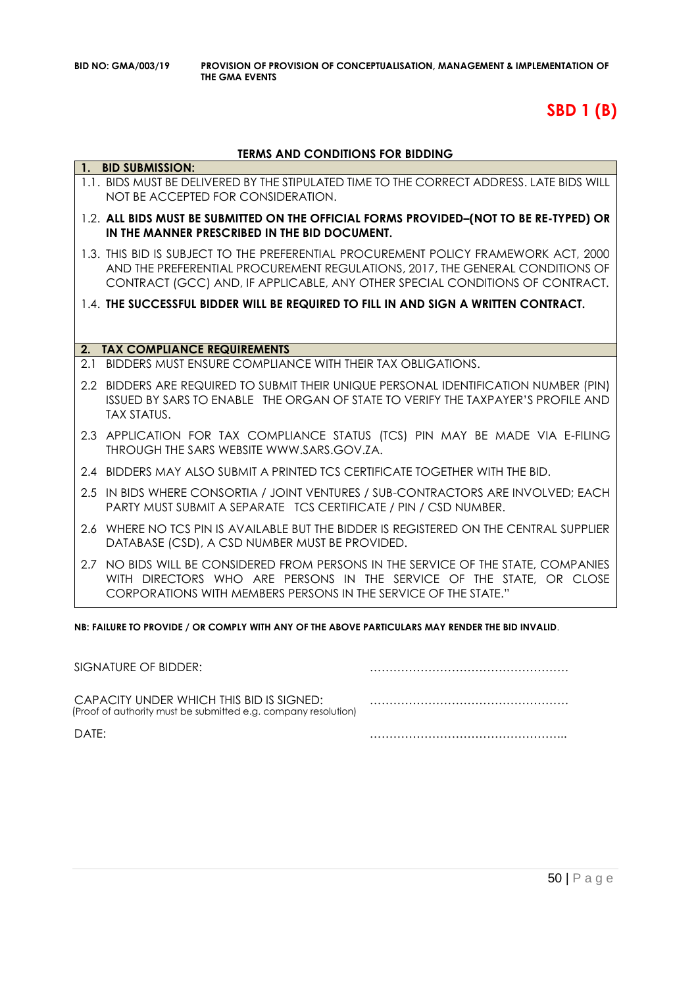# **SBD 1 (B)**

#### **TERMS AND CONDITIONS FOR BIDDING**

|     | 1. BID SUBMISSION:                                                                                                                                                                                                                                   |
|-----|------------------------------------------------------------------------------------------------------------------------------------------------------------------------------------------------------------------------------------------------------|
|     | 1.1. BIDS MUST BE DELIVERED BY THE STIPULATED TIME TO THE CORRECT ADDRESS. LATE BIDS WILL<br>NOT BE ACCEPTED FOR CONSIDERATION.                                                                                                                      |
|     | 1.2. ALL BIDS MUST BE SUBMITTED ON THE OFFICIAL FORMS PROVIDED-(NOT TO BE RE-TYPED) OR<br>IN THE MANNER PRESCRIBED IN THE BID DOCUMENT.                                                                                                              |
|     | 1.3. THIS BID IS SUBJECT TO THE PREFERENTIAL PROCUREMENT POLICY FRAMEWORK ACT, 2000<br>AND THE PREFERENTIAL PROCUREMENT REGULATIONS, 2017, THE GENERAL CONDITIONS OF<br>CONTRACT (GCC) AND, IF APPLICABLE, ANY OTHER SPECIAL CONDITIONS OF CONTRACT. |
|     | 1.4. THE SUCCESSFUL BIDDER WILL BE REQUIRED TO FILL IN AND SIGN A WRITTEN CONTRACT.                                                                                                                                                                  |
|     |                                                                                                                                                                                                                                                      |
| 2.  | <b>TAX COMPLIANCE REQUIREMENTS</b>                                                                                                                                                                                                                   |
| 21  | BIDDERS MUST ENSURE COMPLIANCE WITH THEIR TAX OBLIGATIONS.                                                                                                                                                                                           |
|     | 2.2 BIDDERS ARE REQUIRED TO SUBMIT THEIR UNIQUE PERSONAL IDENTIFICATION NUMBER (PIN)<br>ISSUED BY SARS TO ENABLE THE ORGAN OF STATE TO VERIFY THE TAXPAYER'S PROFILE AND<br><b>TAX STATUS.</b>                                                       |
|     | 2.3 APPLICATION FOR TAX COMPLIANCE STATUS (TCS) PIN MAY BE MADE VIA E-FILING<br>THROUGH THE SARS WEBSITE WWW.SARS.GOV.ZA.                                                                                                                            |
|     | 2.4 BIDDERS MAY ALSO SUBMIT A PRINTED TCS CERTIFICATE TOGETHER WITH THE BID.                                                                                                                                                                         |
|     | 2.5 IN BIDS WHERE CONSORTIA / JOINT VENTURES / SUB-CONTRACTORS ARE INVOLVED; EACH<br>PARTY MUST SUBMIT A SEPARATE TCS CERTIFICATE / PIN / CSD NUMBER.                                                                                                |
|     | 2.6 WHERE NO TCS PIN IS AVAILABLE BUT THE BIDDER IS REGISTERED ON THE CENTRAL SUPPLIER<br>DATABASE (CSD), A CSD NUMBER MUST BE PROVIDED.                                                                                                             |
| 2.7 | NO BIDS WILL BE CONSIDERED FROM PERSONS IN THE SERVICE OF THE STATE, COMPANIES<br>WITH DIRECTORS WHO ARE PERSONS IN THE SERVICE OF THE STATE, OR CLOSE<br>CORPORATIONS WITH MEMBERS PERSONS IN THE SERVICE OF THE STATE."                            |

**NB: FAILURE TO PROVIDE / OR COMPLY WITH ANY OF THE ABOVE PARTICULARS MAY RENDER THE BID INVALID**.

| SIGNATURE OF BIDDER:                                                                                       |  |
|------------------------------------------------------------------------------------------------------------|--|
| CAPACITY UNDER WHICH THIS BID IS SIGNED:<br>(Proof of authority must be submitted e.g. company resolution) |  |
| DATF:                                                                                                      |  |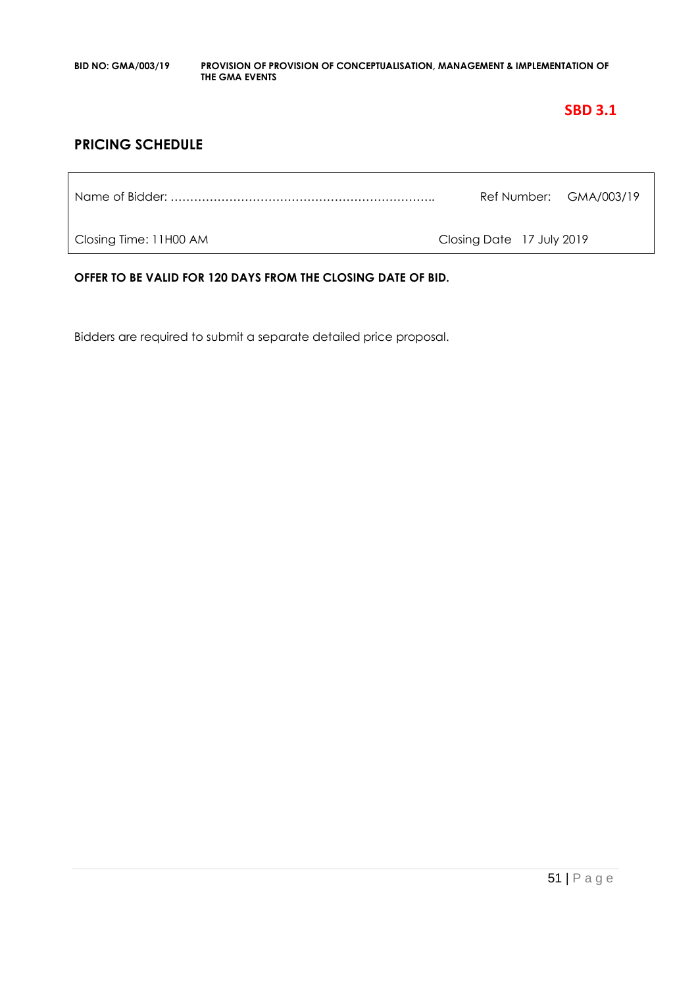### **SBD 3.1**

### **PRICING SCHEDULE**

Name of Bidder: ………………………………………………………….. Ref Number: GMA/003/19

Closing Time: 11H00 AM Closing Date 17 July 2019

**OFFER TO BE VALID FOR 120 DAYS FROM THE CLOSING DATE OF BID.**

Bidders are required to submit a separate detailed price proposal.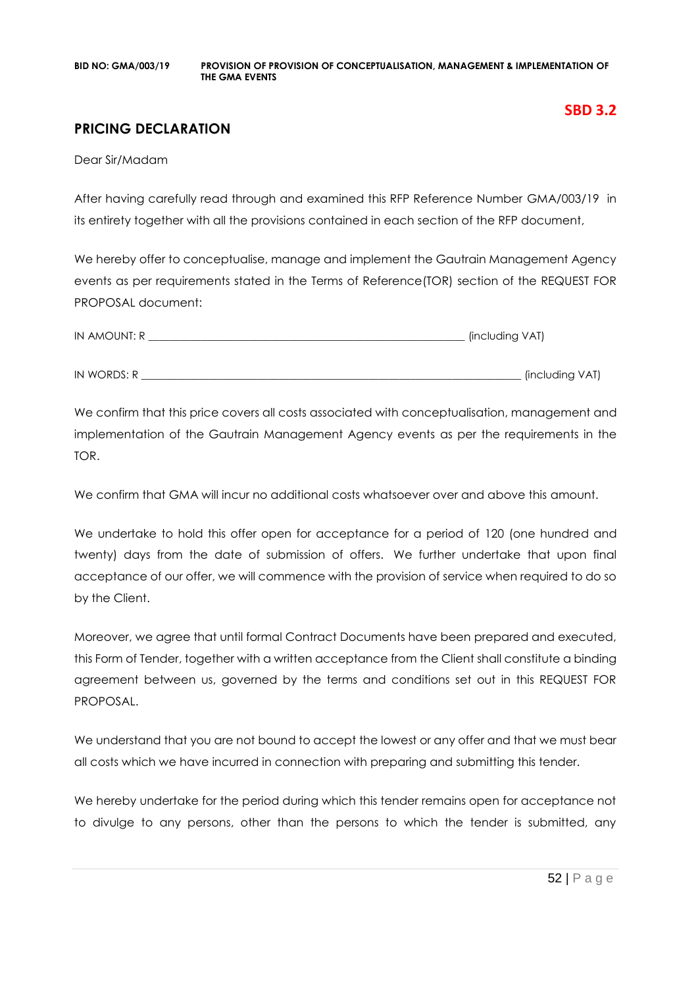### **PRICING DECLARATION**

Dear Sir/Madam

After having carefully read through and examined this RFP Reference Number GMA/003/19 in its entirety together with all the provisions contained in each section of the RFP document,

We hereby offer to conceptualise, manage and implement the Gautrain Management Agency events as per requirements stated in the Terms of Reference(TOR) section of the REQUEST FOR PROPOSAL document:

| IN AMOUNT: R | (including VAT) |
|--------------|-----------------|
|              |                 |
| IN WORDS: R  | (including VAT) |

We confirm that this price covers all costs associated with conceptualisation, management and implementation of the Gautrain Management Agency events as per the requirements in the TOR.

We confirm that GMA will incur no additional costs whatsoever over and above this amount.

We undertake to hold this offer open for acceptance for a period of 120 (one hundred and twenty) days from the date of submission of offers. We further undertake that upon final acceptance of our offer, we will commence with the provision of service when required to do so by the Client.

Moreover, we agree that until formal Contract Documents have been prepared and executed, this Form of Tender, together with a written acceptance from the Client shall constitute a binding agreement between us, governed by the terms and conditions set out in this REQUEST FOR PROPOSAL.

We understand that you are not bound to accept the lowest or any offer and that we must bear all costs which we have incurred in connection with preparing and submitting this tender.

We hereby undertake for the period during which this tender remains open for acceptance not to divulge to any persons, other than the persons to which the tender is submitted, any

**SBD 3.2**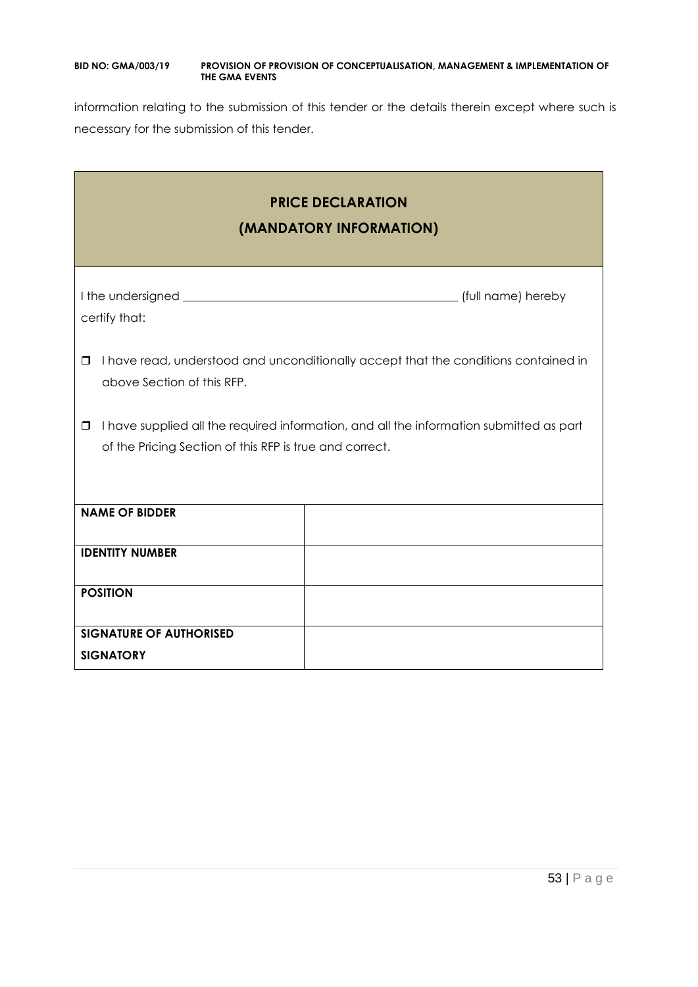information relating to the submission of this tender or the details therein except where such is necessary for the submission of this tender.

| <b>PRICE DECLARATION</b><br>(MANDATORY INFORMATION)                                                                                                          |  |  |
|--------------------------------------------------------------------------------------------------------------------------------------------------------------|--|--|
| certify that:                                                                                                                                                |  |  |
| I have read, understood and unconditionally accept that the conditions contained in<br>□<br>above Section of this RFP.                                       |  |  |
| I have supplied all the required information, and all the information submitted as part<br>$\Box$<br>of the Pricing Section of this RFP is true and correct. |  |  |
| <b>NAME OF BIDDER</b>                                                                                                                                        |  |  |
| <b>IDENTITY NUMBER</b>                                                                                                                                       |  |  |
| <b>POSITION</b>                                                                                                                                              |  |  |
| <b>SIGNATURE OF AUTHORISED</b><br><b>SIGNATORY</b>                                                                                                           |  |  |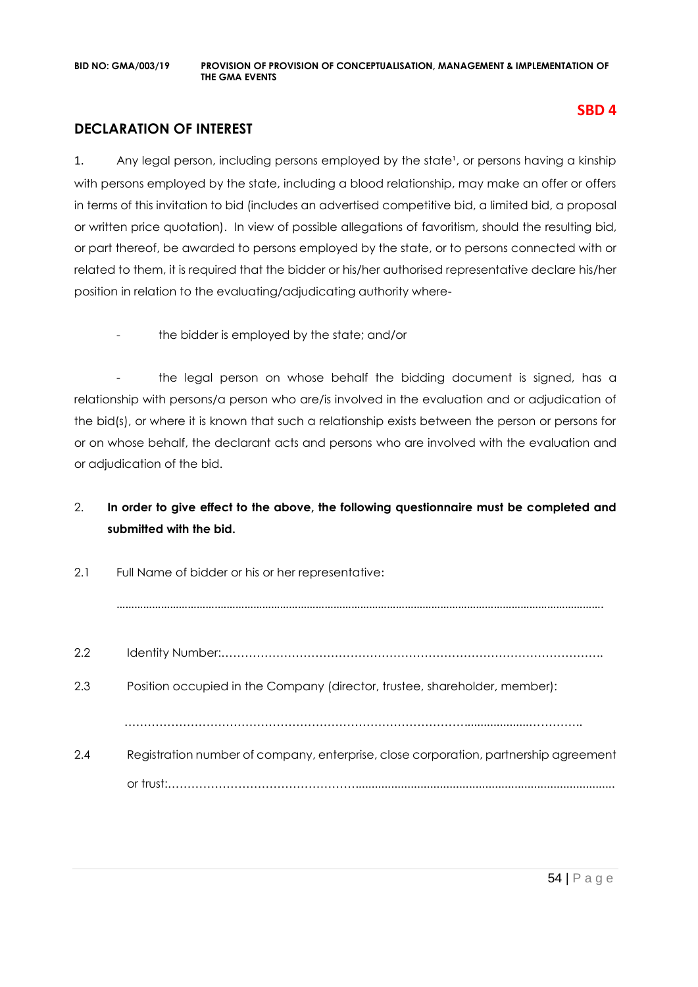### **DECLARATION OF INTEREST**

1. Any legal person, including persons employed by the state<sup>1</sup>, or persons having a kinship with persons employed by the state, including a blood relationship, may make an offer or offers in terms of this invitation to bid (includes an advertised competitive bid, a limited bid, a proposal or written price quotation). In view of possible allegations of favoritism, should the resulting bid, or part thereof, be awarded to persons employed by the state, or to persons connected with or related to them, it is required that the bidder or his/her authorised representative declare his/her position in relation to the evaluating/adjudicating authority where-

the bidder is employed by the state; and/or

- the legal person on whose behalf the bidding document is signed, has a relationship with persons/a person who are/is involved in the evaluation and or adjudication of the bid(s), or where it is known that such a relationship exists between the person or persons for or on whose behalf, the declarant acts and persons who are involved with the evaluation and or adjudication of the bid.

### 2. **In order to give effect to the above, the following questionnaire must be completed and submitted with the bid.**

| 2.1 | Full Name of bidder or his or her representative:                                    |  |
|-----|--------------------------------------------------------------------------------------|--|
|     |                                                                                      |  |
| 2.2 |                                                                                      |  |
| 2.3 | Position occupied in the Company (director, trustee, shareholder, member):           |  |
|     |                                                                                      |  |
| 2.4 | Registration number of company, enterprise, close corporation, partnership agreement |  |
|     |                                                                                      |  |

**SBD 4**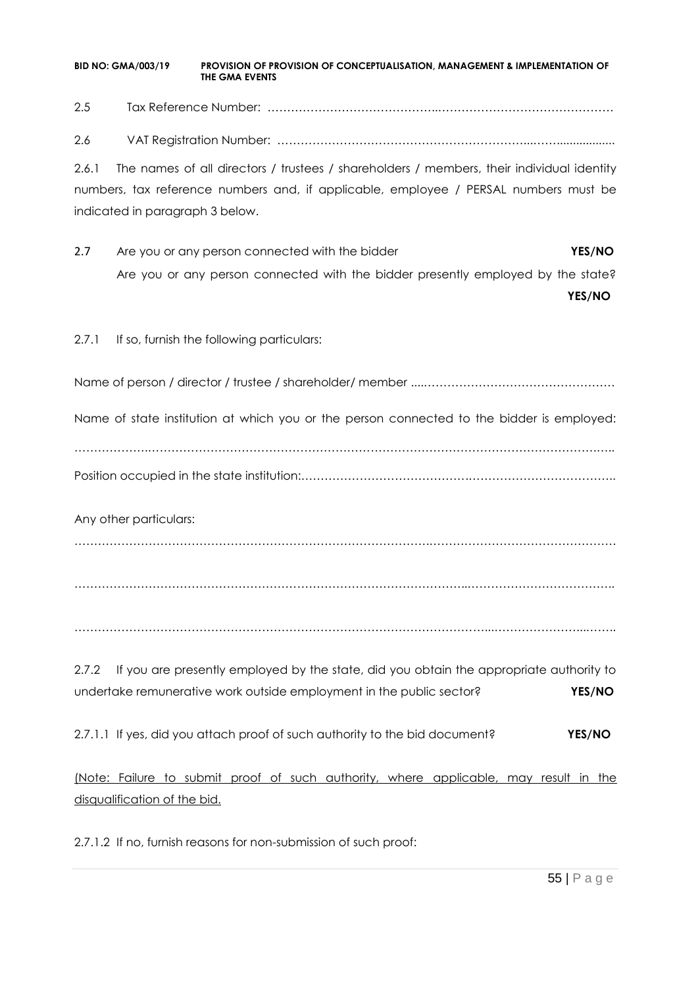2.5 Tax Reference Number: ……………………………………..………………………………………

2.6 VAT Registration Number: ………………………………………………………...……..................

2.6.1 The names of all directors / trustees / shareholders / members, their individual identity numbers, tax reference numbers and, if applicable, employee / PERSAL numbers must be indicated in paragraph 3 below.

2.7 Are you or any person connected with the bidder **YES/NO** Are you or any person connected with the bidder presently employed by the state?

**YES/NO**

2.7.1 If so, furnish the following particulars:

Name of person / director / trustee / shareholder/ member ....………………………………………….

Name of state institution at which you or the person connected to the bidder is employed:

……………….…………………………………………………………………………………………………….….. Position occupied in the state institution:…………………………………….………………………………..

Any other particulars:

……………………………………………………………………………….…………………………………………

………………………………………………………………………………………..………………………………..

……………………………………………………………………………………………...…………………...……..

2.7.2 If you are presently employed by the state, did you obtain the appropriate authority to undertake remunerative work outside employment in the public sector? **YES/NO**

2.7.1.1 If yes, did you attach proof of such authority to the bid document? **YES/NO**

(Note: Failure to submit proof of such authority, where applicable, may result in the disqualification of the bid.

2.7.1.2 If no, furnish reasons for non-submission of such proof: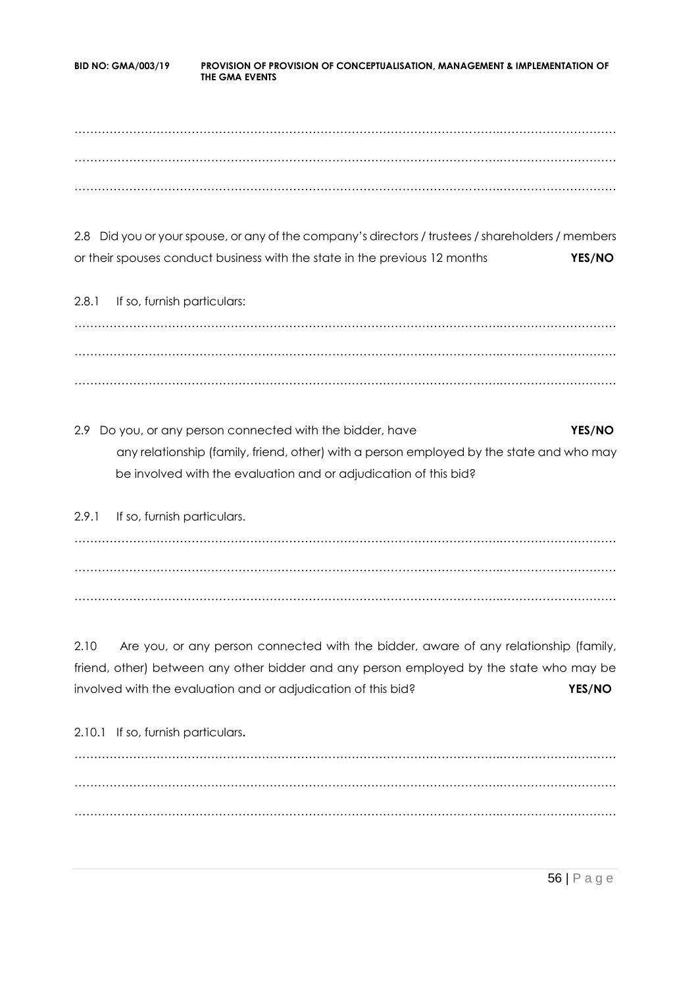……………………………………………………………………………………………….………………………… ……………………………………………………………………………………………….………………………… ……………………………………………………………………………………………….…………………………

2.8 Did you or your spouse, or any of the company's directors / trustees / shareholders / members or their spouses conduct business with the state in the previous 12 months **YES/NO**

2.8.1 If so, furnish particulars: ……………………………………………………………………………………………….………………………… ……………………………………………………………………………………………….………………………… ……………………………………………………………………………………………….…………………………

2.9 Do you, or any person connected with the bidder, have **YES/NO** any relationship (family, friend, other) with a person employed by the state and who may be involved with the evaluation and or adjudication of this bid?

2.9.1 If so, furnish particulars. ……………………………………………………………………………………………….………………………… ……………………………………………………………………………………………….………………………… ……………………………………………………………………………………………….…………………………

2.10 Are you, or any person connected with the bidder, aware of any relationship (family, friend, other) between any other bidder and any person employed by the state who may be involved with the evaluation and or adjudication of this bid? **YES/NO**

2.10.1 If so, furnish particulars**.** ……………………………………………………………………………………………….………………………… ……………………………………………………………………………………………….………………………… ……………………………………………………………………………………………….…………………………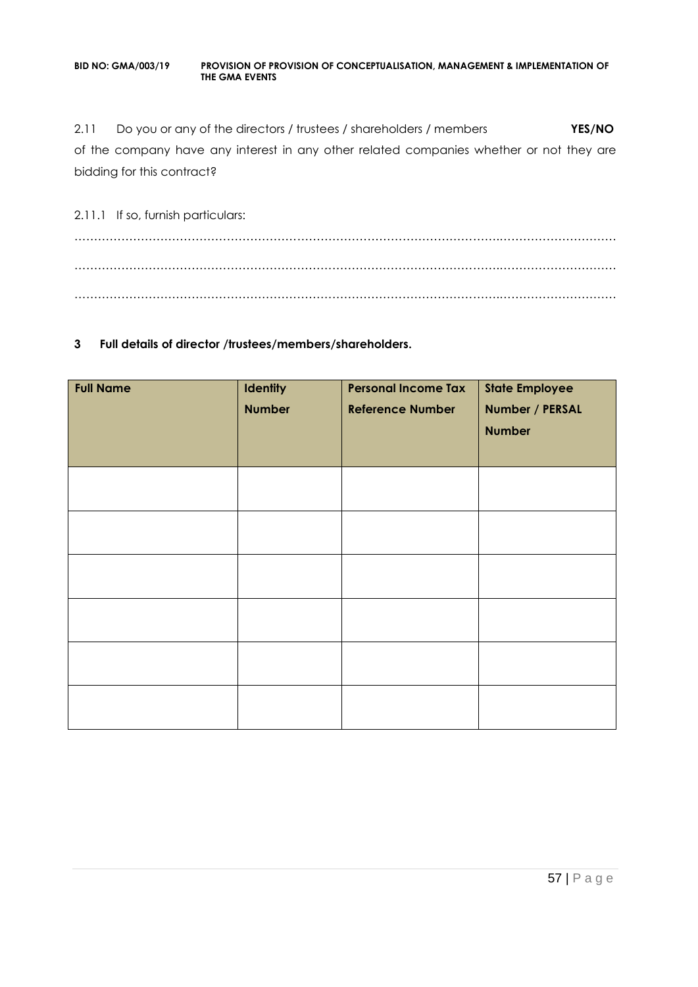2.11 Do you or any of the directors / trustees / shareholders / members **YES/NO** of the company have any interest in any other related companies whether or not they are bidding for this contract?

2.11.1 If so, furnish particulars: ……………………………………………………………………………………………….………………………… ……………………………………………………………………………………………….………………………… ……………………………………………………………………………………………….…………………………

#### **3 Full details of director /trustees/members/shareholders.**

| <b>Full Name</b> | Identity<br><b>Number</b> | <b>Personal Income Tax</b><br><b>Reference Number</b> | <b>State Employee</b><br>Number / PERSAL<br><b>Number</b> |
|------------------|---------------------------|-------------------------------------------------------|-----------------------------------------------------------|
|                  |                           |                                                       |                                                           |
|                  |                           |                                                       |                                                           |
|                  |                           |                                                       |                                                           |
|                  |                           |                                                       |                                                           |
|                  |                           |                                                       |                                                           |
|                  |                           |                                                       |                                                           |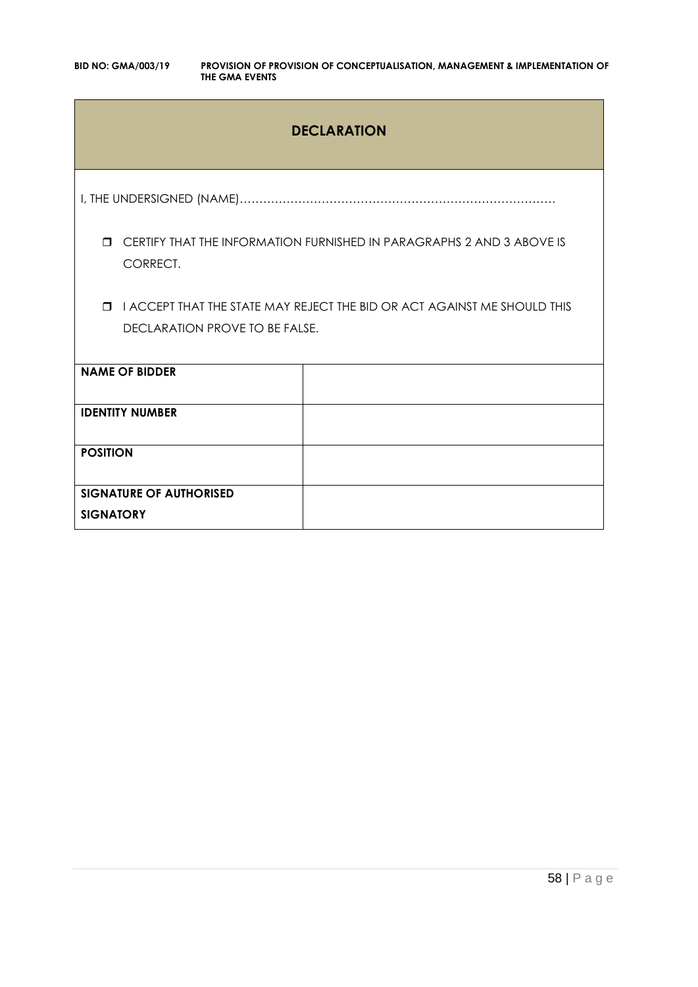### **DECLARATION**

I, THE UNDERSIGNED (NAME)………………………………………………………………………

 CERTIFY THAT THE INFORMATION FURNISHED IN PARAGRAPHS 2 AND 3 ABOVE IS CORRECT.

**I I ACCEPT THAT THE STATE MAY REJECT THE BID OR ACT AGAINST ME SHOULD THIS** DECLARATION PROVE TO BE FALSE.

| <b>NAME OF BIDDER</b>          |  |
|--------------------------------|--|
| <b>IDENTITY NUMBER</b>         |  |
|                                |  |
|                                |  |
|                                |  |
| <b>POSITION</b>                |  |
|                                |  |
|                                |  |
|                                |  |
| <b>SIGNATURE OF AUTHORISED</b> |  |
|                                |  |
| <b>SIGNATORY</b>               |  |
|                                |  |
|                                |  |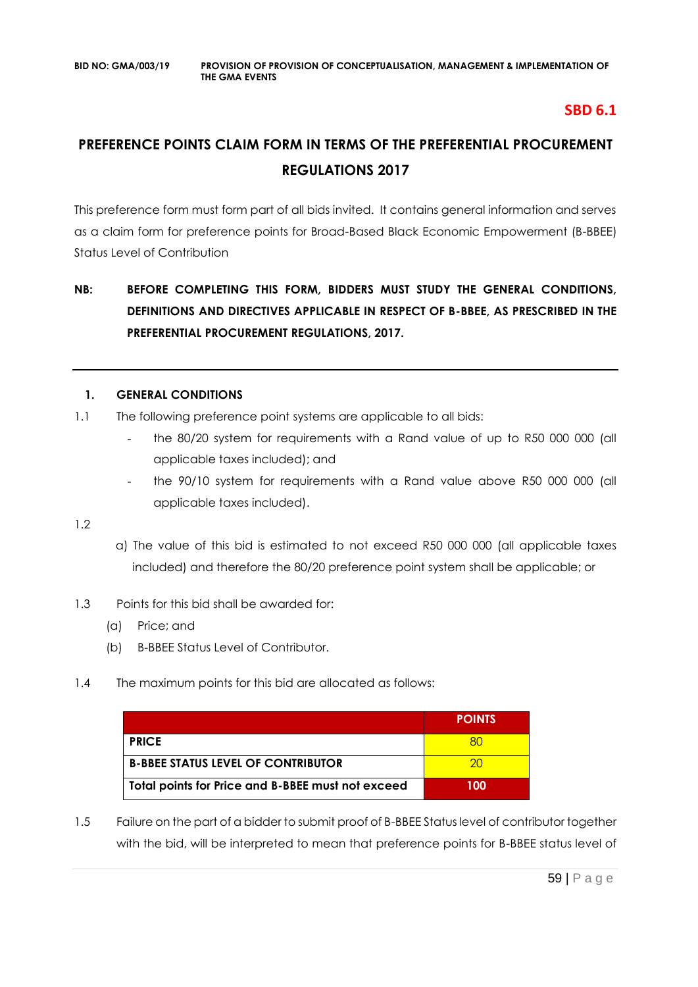### **SBD 6.1**

## **PREFERENCE POINTS CLAIM FORM IN TERMS OF THE PREFERENTIAL PROCUREMENT REGULATIONS 2017**

This preference form must form part of all bids invited. It contains general information and serves as a claim form for preference points for Broad-Based Black Economic Empowerment (B-BBEE) Status Level of Contribution

### **NB: BEFORE COMPLETING THIS FORM, BIDDERS MUST STUDY THE GENERAL CONDITIONS, DEFINITIONS AND DIRECTIVES APPLICABLE IN RESPECT OF B-BBEE, AS PRESCRIBED IN THE PREFERENTIAL PROCUREMENT REGULATIONS, 2017.**

### **1. GENERAL CONDITIONS**

- 1.1 The following preference point systems are applicable to all bids:
	- the 80/20 system for requirements with a Rand value of up to R50 000 000 (all applicable taxes included); and
	- the 90/10 system for requirements with a Rand value above R50 000 000 (all applicable taxes included).

1.2

- a) The value of this bid is estimated to not exceed R50 000 000 (all applicable taxes included) and therefore the 80/20 preference point system shall be applicable; or
- 1.3 Points for this bid shall be awarded for:
	- (a) Price; and
	- (b) B-BBEE Status Level of Contributor.
- 1.4 The maximum points for this bid are allocated as follows:

|                                                   | <b>POINTS</b> |
|---------------------------------------------------|---------------|
| <b>PRICE</b>                                      |               |
| <b>B-BBEE STATUS LEVEL OF CONTRIBUTOR</b>         | ാറ            |
| Total points for Price and B-BBEE must not exceed | 100           |

1.5 Failure on the part of a bidder to submit proof of B-BBEE Status level of contributor together with the bid, will be interpreted to mean that preference points for B-BBEE status level of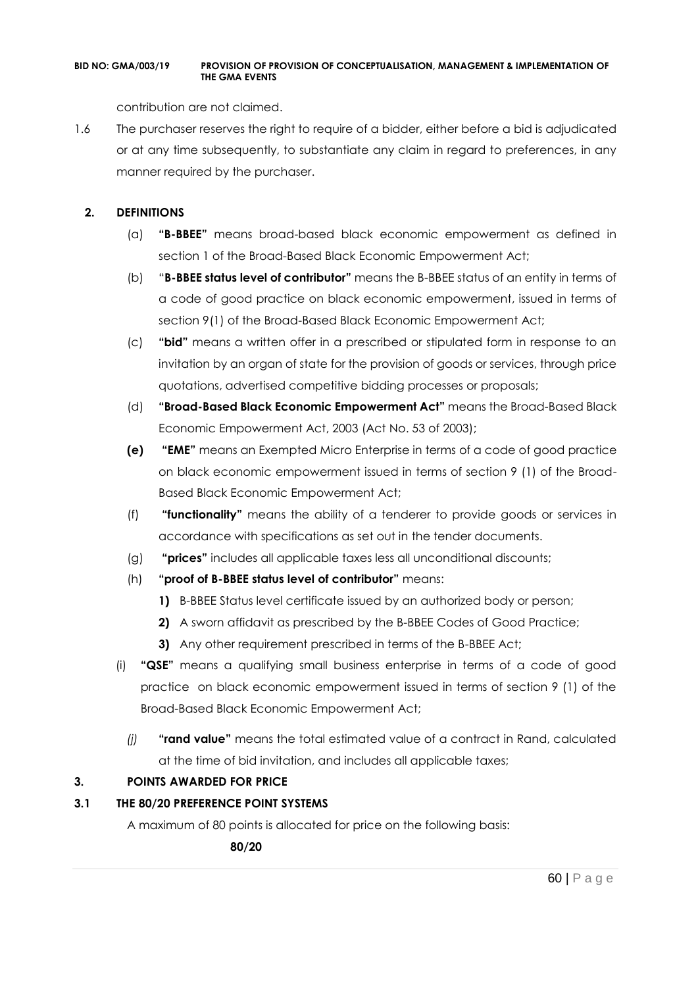contribution are not claimed.

1.6 The purchaser reserves the right to require of a bidder, either before a bid is adjudicated or at any time subsequently, to substantiate any claim in regard to preferences, in any manner required by the purchaser.

### **2. DEFINITIONS**

- (a) **"B-BBEE"** means broad-based black economic empowerment as defined in section 1 of the Broad-Based Black Economic Empowerment Act;
- (b) "**B-BBEE status level of contributor"** means the B-BBEE status of an entity in terms of a code of good practice on black economic empowerment, issued in terms of section 9(1) of the Broad-Based Black Economic Empowerment Act;
- (c) **"bid"** means a written offer in a prescribed or stipulated form in response to an invitation by an organ of state for the provision of goods or services, through price quotations, advertised competitive bidding processes or proposals;
- (d) **"Broad-Based Black Economic Empowerment Act"** means the Broad-Based Black Economic Empowerment Act, 2003 (Act No. 53 of 2003);
- **(e) "EME"** means an Exempted Micro Enterprise in terms of a code of good practice on black economic empowerment issued in terms of section 9 (1) of the Broad-Based Black Economic Empowerment Act;
- (f) **"functionality"** means the ability of a tenderer to provide goods or services in accordance with specifications as set out in the tender documents.
- (g) **"prices"** includes all applicable taxes less all unconditional discounts;
- (h) **"proof of B-BBEE status level of contributor"** means:
	- **1)** B-BBEE Status level certificate issued by an authorized body or person;
	- **2)** A sworn affidavit as prescribed by the B-BBEE Codes of Good Practice;
	- **3)** Any other requirement prescribed in terms of the B-BBEE Act;
- (i) **"QSE"** means a qualifying small business enterprise in terms of a code of good practice on black economic empowerment issued in terms of section 9 (1) of the Broad-Based Black Economic Empowerment Act;
	- *(j)* **"rand value"** means the total estimated value of a contract in Rand, calculated at the time of bid invitation, and includes all applicable taxes;

### **3. POINTS AWARDED FOR PRICE**

### **3.1 THE 80/20 PREFERENCE POINT SYSTEMS**

A maximum of 80 points is allocated for price on the following basis:

 **80/20**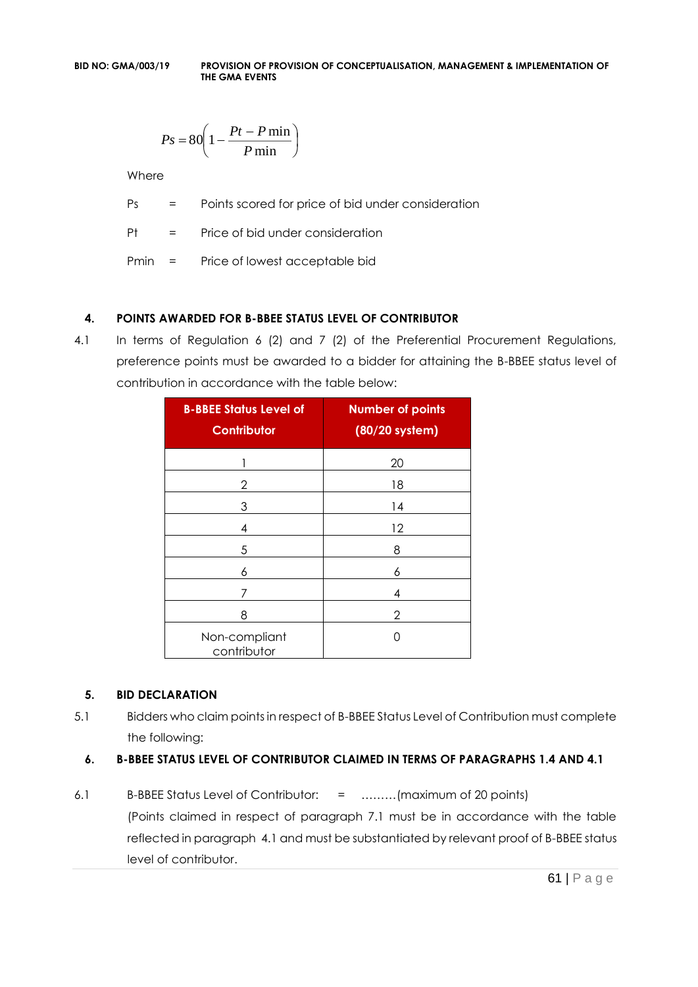$$
Ps = 80 \left( 1 - \frac{Pt - P \min}{P \min} \right)
$$

Where

Ps = Points scored for price of bid under consideration

Pt = Price of bid under consideration

Pmin = Price of lowest acceptable bid

### **4. POINTS AWARDED FOR B-BBEE STATUS LEVEL OF CONTRIBUTOR**

4.1 In terms of Regulation 6 (2) and 7 (2) of the Preferential Procurement Regulations, preference points must be awarded to a bidder for attaining the B-BBEE status level of contribution in accordance with the table below:

| <b>B-BBEE Status Level of</b><br><b>Contributor</b> | <b>Number of points</b><br>(80/20 system) |
|-----------------------------------------------------|-------------------------------------------|
|                                                     | 20                                        |
| 2                                                   | 18                                        |
| 3                                                   | 14                                        |
| 4                                                   | 12                                        |
| 5                                                   | 8                                         |
| 6                                                   | 6                                         |
| 7                                                   | 4                                         |
| 8                                                   | 2                                         |
| Non-compliant<br>contributor                        | Ω                                         |

### **5. BID DECLARATION**

5.1 Bidders who claim points in respect of B-BBEE Status Level of Contribution must complete the following:

### **6. B-BBEE STATUS LEVEL OF CONTRIBUTOR CLAIMED IN TERMS OF PARAGRAPHS 1.4 AND 4.1**

6.1 B-BBEE Status Level of Contributor: = ………(maximum of 20 points) (Points claimed in respect of paragraph 7.1 must be in accordance with the table reflected in paragraph 4.1 and must be substantiated by relevant proof of B-BBEE status level of contributor.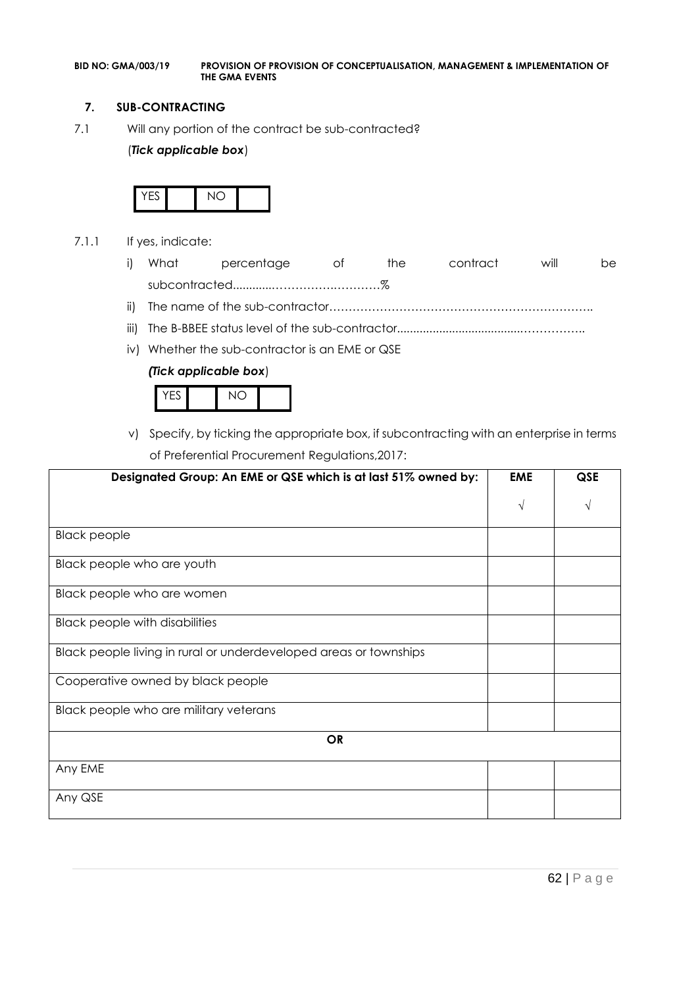#### **7. SUB-CONTRACTING**

7.1 Will any portion of the contract be sub-contracted?

#### (*Tick applicable box*)



- 7.1.1 If yes, indicate:
	- i) What percentage of the contract will be subcontracted............…………….…………%
	- ii) The name of the sub-contractor…………………………………………………………..
	- iii) The B-BBEE status level of the sub-contractor......................................……………..
	- iv) Whether the sub-contractor is an EME or QSE

#### *(Tick applicable box*)



v) Specify, by ticking the appropriate box, if subcontracting with an enterprise in terms of Preferential Procurement Regulations,2017:

| Designated Group: An EME or QSE which is at last 51% owned by:    | <b>EME</b> | <b>QSE</b> |
|-------------------------------------------------------------------|------------|------------|
|                                                                   | $\sqrt{ }$ |            |
| <b>Black people</b>                                               |            |            |
| Black people who are youth                                        |            |            |
| Black people who are women                                        |            |            |
| <b>Black people with disabilities</b>                             |            |            |
| Black people living in rural or underdeveloped areas or townships |            |            |
| Cooperative owned by black people                                 |            |            |
| Black people who are military veterans                            |            |            |
| <b>OR</b>                                                         |            |            |
| Any EME                                                           |            |            |
| Any QSE                                                           |            |            |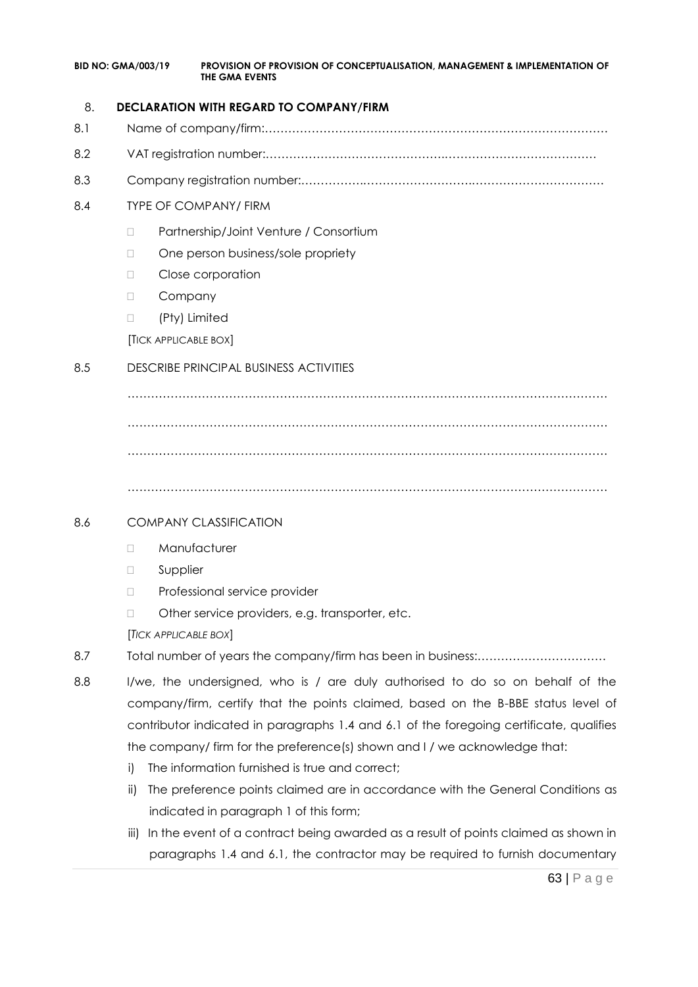#### 8. **DECLARATION WITH REGARD TO COMPANY/FIRM**

- 8.1 Name of company/firm:…………………………………………………………………………….
- 8.2 VAT registration number:……………………………………….…………………………………
- 8.3 Company registration number:…………….……………………….…………………………….

### 8.4 TYPE OF COMPANY/ FIRM

- □ Partnership/Joint Venture / Consortium
- □ One person business/sole propriety
- D Close corporation
- D Company
- (Pty) Limited

[TICK APPLICABLE BOX]

### 8.5 DESCRIBE PRINCIPAL BUSINESS ACTIVITIES

…………………………………………………………………………………………………………… …………………………………………………………………………………………………………… ……………………………………………………………………………………………………………

……………………………………………………………………………………………………………

### 8.6 COMPANY CLASSIFICATION

- D Manufacturer
- **D** Supplier
- D Professional service provider
- □ Other service providers, e.g. transporter, etc.

[*TICK APPLICABLE BOX*]

- 8.7 Total number of years the company/firm has been in business:……………………………
- 8.8 I/we, the undersigned, who is / are duly authorised to do so on behalf of the company/firm, certify that the points claimed, based on the B-BBE status level of contributor indicated in paragraphs 1.4 and 6.1 of the foregoing certificate, qualifies the company/ firm for the preference(s) shown and I / we acknowledge that:
	- i) The information furnished is true and correct;
	- ii) The preference points claimed are in accordance with the General Conditions as indicated in paragraph 1 of this form;
	- iii) In the event of a contract being awarded as a result of points claimed as shown in paragraphs 1.4 and 6.1, the contractor may be required to furnish documentary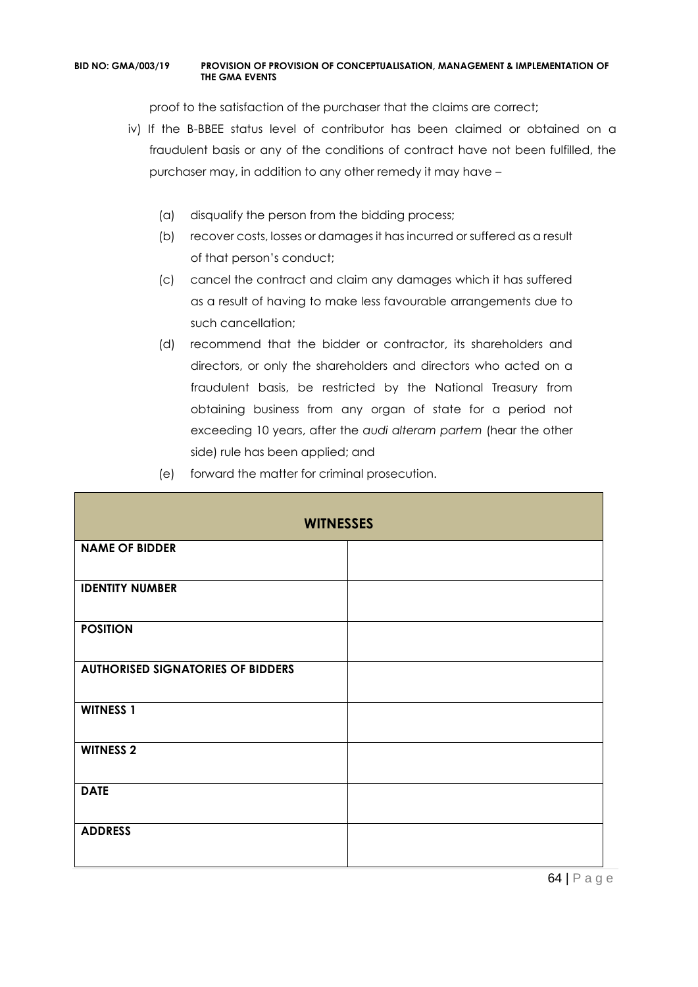proof to the satisfaction of the purchaser that the claims are correct;

- iv) If the B-BBEE status level of contributor has been claimed or obtained on a fraudulent basis or any of the conditions of contract have not been fulfilled, the purchaser may, in addition to any other remedy it may have –
	- (a) disqualify the person from the bidding process;
	- (b) recover costs, losses or damages it has incurred or suffered as a result of that person's conduct;
	- (c) cancel the contract and claim any damages which it has suffered as a result of having to make less favourable arrangements due to such cancellation;
	- (d) recommend that the bidder or contractor, its shareholders and directors, or only the shareholders and directors who acted on a fraudulent basis, be restricted by the National Treasury from obtaining business from any organ of state for a period not exceeding 10 years, after the *audi alteram partem* (hear the other side) rule has been applied; and
	- (e) forward the matter for criminal prosecution.

| <b>WITNESSES</b>                         |  |  |
|------------------------------------------|--|--|
| <b>NAME OF BIDDER</b>                    |  |  |
| <b>IDENTITY NUMBER</b>                   |  |  |
| <b>POSITION</b>                          |  |  |
| <b>AUTHORISED SIGNATORIES OF BIDDERS</b> |  |  |
| <b>WITNESS 1</b>                         |  |  |
| <b>WITNESS 2</b>                         |  |  |
| <b>DATE</b>                              |  |  |
| <b>ADDRESS</b>                           |  |  |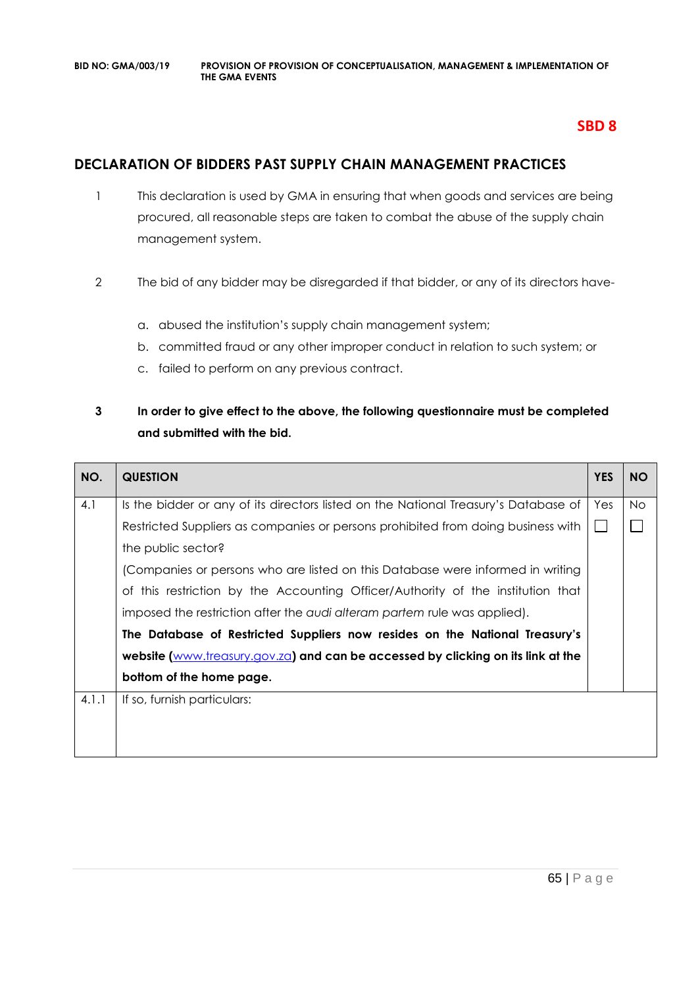### **SBD 8**

### **DECLARATION OF BIDDERS PAST SUPPLY CHAIN MANAGEMENT PRACTICES**

- 1 This declaration is used by GMA in ensuring that when goods and services are being procured, all reasonable steps are taken to combat the abuse of the supply chain management system.
- 2 The bid of any bidder may be disregarded if that bidder, or any of its directors have
	- a. abused the institution's supply chain management system;
	- b. committed fraud or any other improper conduct in relation to such system; or
	- c. failed to perform on any previous contract.

### **3 In order to give effect to the above, the following questionnaire must be completed and submitted with the bid.**

| NO.   | <b>QUESTION</b>                                                                     | <b>YES</b> | <b>NO</b> |
|-------|-------------------------------------------------------------------------------------|------------|-----------|
| 4.1   | Is the bidder or any of its directors listed on the National Treasury's Database of | Yes        | <b>No</b> |
|       | Restricted Suppliers as companies or persons prohibited from doing business with    |            |           |
|       | the public sector?                                                                  |            |           |
|       | (Companies or persons who are listed on this Database were informed in writing      |            |           |
|       | of this restriction by the Accounting Officer/Authority of the institution that     |            |           |
|       | imposed the restriction after the audi alteram partem rule was applied).            |            |           |
|       | The Database of Restricted Suppliers now resides on the National Treasury's         |            |           |
|       | website (www.treasury.gov.za) and can be accessed by clicking on its link at the    |            |           |
|       | bottom of the home page.                                                            |            |           |
| 4.1.1 | If so, furnish particulars:                                                         |            |           |
|       |                                                                                     |            |           |
|       |                                                                                     |            |           |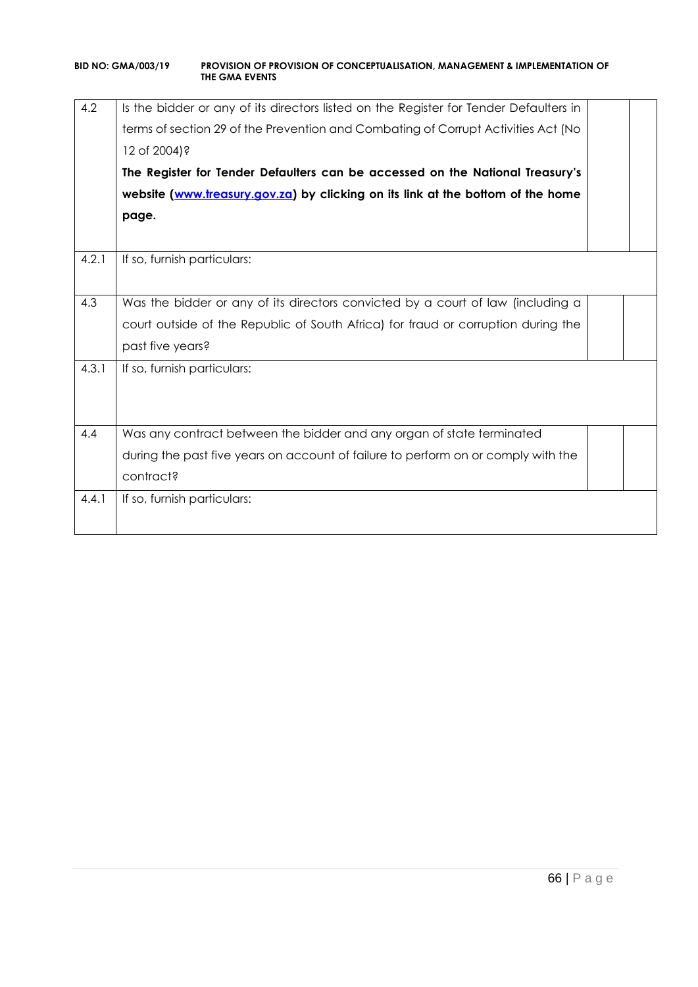| 4.2   | Is the bidder or any of its directors listed on the Register for Tender Defaulters in<br>terms of section 29 of the Prevention and Combating of Corrupt Activities Act (No<br>12 of 2004)?<br>The Register for Tender Defaulters can be accessed on the National Treasury's<br>website (www.treasury.gov.za) by clicking on its link at the bottom of the home<br>page. |  |
|-------|-------------------------------------------------------------------------------------------------------------------------------------------------------------------------------------------------------------------------------------------------------------------------------------------------------------------------------------------------------------------------|--|
|       |                                                                                                                                                                                                                                                                                                                                                                         |  |
| 4.2.1 | If so, furnish particulars:                                                                                                                                                                                                                                                                                                                                             |  |
| 4.3   | Was the bidder or any of its directors convicted by a court of law (including a                                                                                                                                                                                                                                                                                         |  |
|       | court outside of the Republic of South Africa) for fraud or corruption during the                                                                                                                                                                                                                                                                                       |  |
|       | past five years?                                                                                                                                                                                                                                                                                                                                                        |  |
| 4.3.1 | If so, furnish particulars:                                                                                                                                                                                                                                                                                                                                             |  |
| 4.4   | Was any contract between the bidder and any organ of state terminated                                                                                                                                                                                                                                                                                                   |  |
|       | during the past five years on account of failure to perform on or comply with the                                                                                                                                                                                                                                                                                       |  |
|       | contract?                                                                                                                                                                                                                                                                                                                                                               |  |
| 4.4.1 | If so, furnish particulars:                                                                                                                                                                                                                                                                                                                                             |  |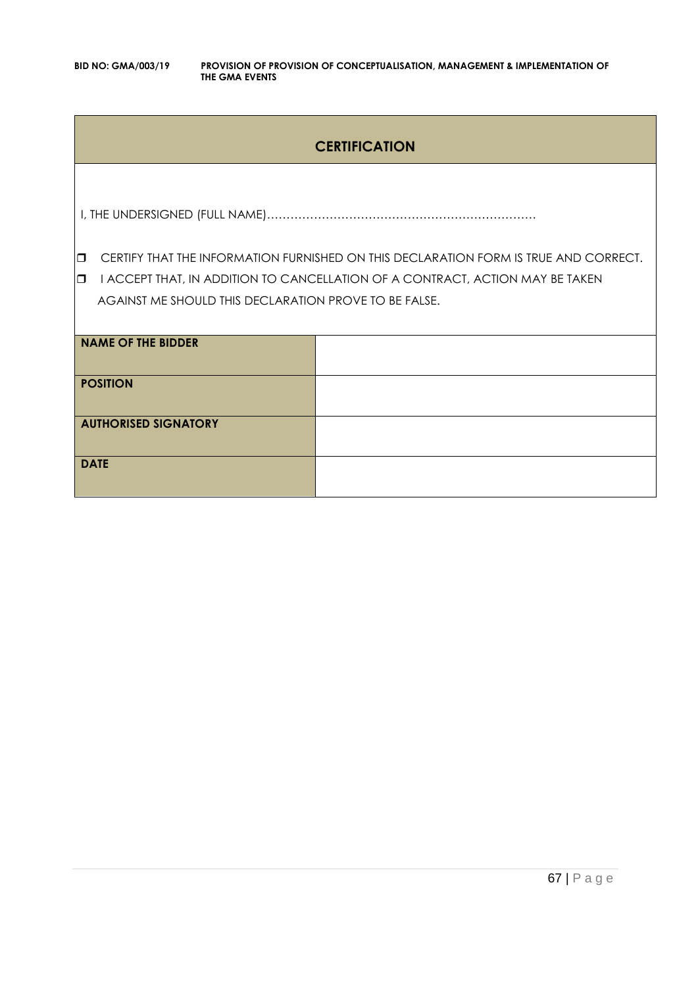### **CERTIFICATION**

I, THE UNDERSIGNED (FULL NAME)……………………………………………………………

**CERTIFY THAT THE INFORMATION FURNISHED ON THIS DECLARATION FORM IS TRUE AND CORRECT.** 

**I** I ACCEPT THAT, IN ADDITION TO CANCELLATION OF A CONTRACT, ACTION MAY BE TAKEN AGAINST ME SHOULD THIS DECLARATION PROVE TO BE FALSE.

| <b>NAME OF THE BIDDER</b>   |  |
|-----------------------------|--|
| <b>POSITION</b>             |  |
| <b>AUTHORISED SIGNATORY</b> |  |
| <b>DATE</b>                 |  |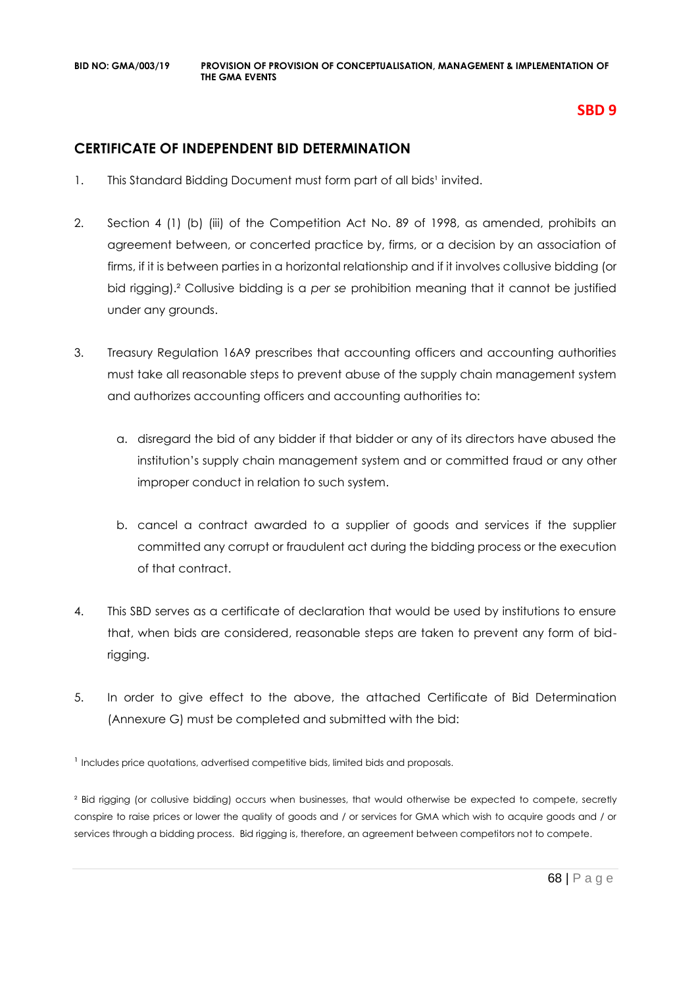### **SBD 9**

### **CERTIFICATE OF INDEPENDENT BID DETERMINATION**

- 1. This Standard Bidding Document must form part of all bids<sup>1</sup> invited.
- 2. Section 4 (1) (b) (iii) of the Competition Act No. 89 of 1998, as amended, prohibits an agreement between, or concerted practice by, firms, or a decision by an association of firms, if it is between parties in a horizontal relationship and if it involves collusive bidding (or bid rigging).² Collusive bidding is a *per se* prohibition meaning that it cannot be justified under any grounds.
- 3. Treasury Regulation 16A9 prescribes that accounting officers and accounting authorities must take all reasonable steps to prevent abuse of the supply chain management system and authorizes accounting officers and accounting authorities to:
	- a. disregard the bid of any bidder if that bidder or any of its directors have abused the institution's supply chain management system and or committed fraud or any other improper conduct in relation to such system.
	- b. cancel a contract awarded to a supplier of goods and services if the supplier committed any corrupt or fraudulent act during the bidding process or the execution of that contract.
- 4. This SBD serves as a certificate of declaration that would be used by institutions to ensure that, when bids are considered, reasonable steps are taken to prevent any form of bidrigging.
- 5. In order to give effect to the above, the attached Certificate of Bid Determination (Annexure G) must be completed and submitted with the bid:

<sup>1</sup> Includes price quotations, advertised competitive bids, limited bids and proposals.

² Bid rigging (or collusive bidding) occurs when businesses, that would otherwise be expected to compete, secretly conspire to raise prices or lower the quality of goods and / or services for GMA which wish to acquire goods and / or services through a bidding process. Bid rigging is, therefore, an agreement between competitors not to compete.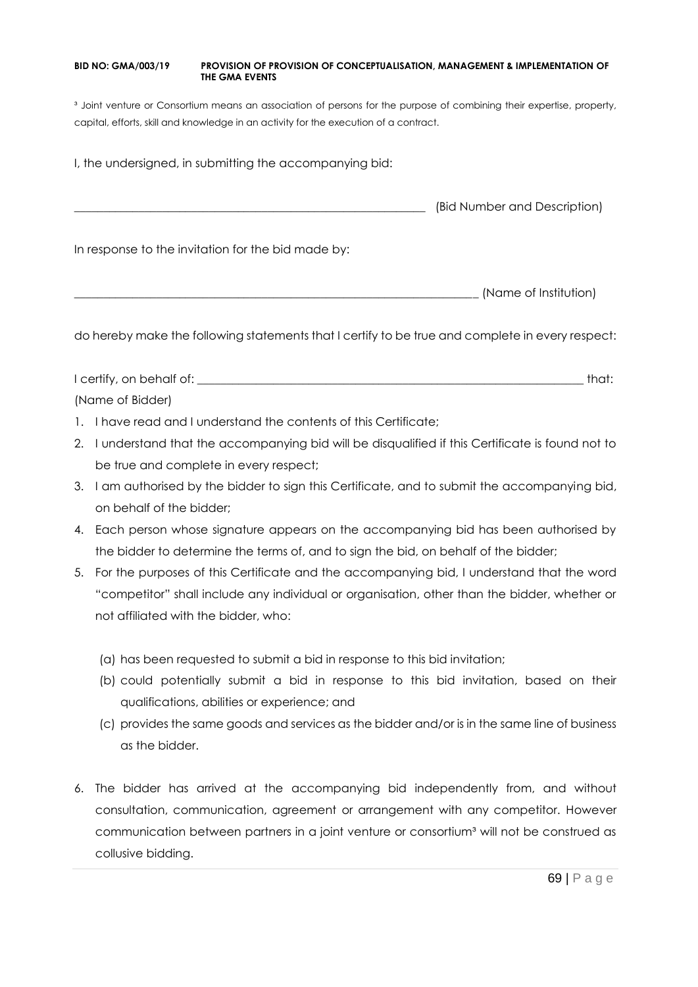<sup>3</sup> Joint venture or Consortium means an association of persons for the purpose of combining their expertise, property, capital, efforts, skill and knowledge in an activity for the execution of a contract.

I, the undersigned, in submitting the accompanying bid:

\_\_\_\_\_\_\_\_\_\_\_\_\_\_\_\_\_\_\_\_\_\_\_\_\_\_\_\_\_\_\_\_\_\_\_\_\_\_\_\_\_\_\_\_\_\_\_\_\_\_\_\_\_\_\_\_\_\_\_\_ (Bid Number and Description)

In response to the invitation for the bid made by:

\_\_\_\_\_\_\_\_\_\_\_\_\_\_\_\_\_\_\_\_\_\_\_\_\_\_\_\_\_\_\_\_\_\_\_\_\_\_\_\_\_\_\_\_\_\_\_\_\_\_\_\_\_\_\_\_\_\_\_\_\_\_\_\_\_\_\_\_\_ (Name of Institution)

do hereby make the following statements that I certify to be true and complete in every respect:

I certify, on behalf of: the state of the state of the state of the state of the state of the state of the state of the state of the state of the state of the state of the state of the state of the state of the state of th (Name of Bidder)

- 1. I have read and I understand the contents of this Certificate;
- 2. I understand that the accompanying bid will be disqualified if this Certificate is found not to be true and complete in every respect;
- 3. I am authorised by the bidder to sign this Certificate, and to submit the accompanying bid, on behalf of the bidder;
- 4. Each person whose signature appears on the accompanying bid has been authorised by the bidder to determine the terms of, and to sign the bid, on behalf of the bidder;
- 5. For the purposes of this Certificate and the accompanying bid, I understand that the word "competitor" shall include any individual or organisation, other than the bidder, whether or not affiliated with the bidder, who:
	- (a) has been requested to submit a bid in response to this bid invitation;
	- (b) could potentially submit a bid in response to this bid invitation, based on their qualifications, abilities or experience; and
	- (c) provides the same goods and services as the bidder and/or is in the same line of business as the bidder.
- 6. The bidder has arrived at the accompanying bid independently from, and without consultation, communication, agreement or arrangement with any competitor. However communication between partners in a joint venture or consortium<sup>3</sup> will not be construed as collusive bidding.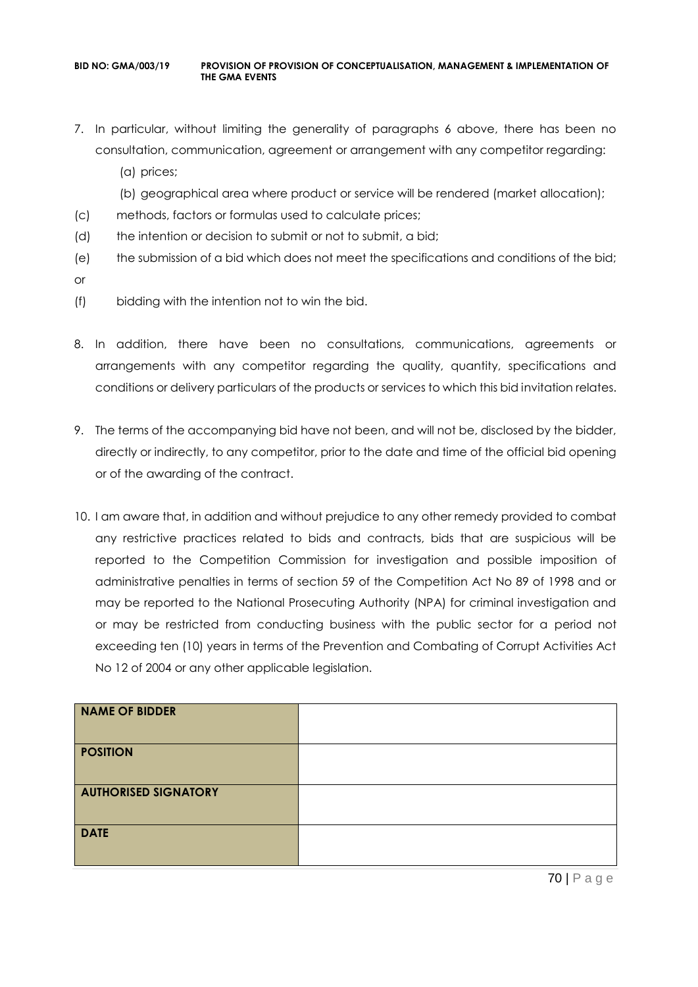- 7. In particular, without limiting the generality of paragraphs 6 above, there has been no consultation, communication, agreement or arrangement with any competitor regarding:
	- (a) prices;
	- (b) geographical area where product or service will be rendered (market allocation);
- (c) methods, factors or formulas used to calculate prices;
- (d) the intention or decision to submit or not to submit, a bid;
- (e) the submission of a bid which does not meet the specifications and conditions of the bid;
- or
- (f) bidding with the intention not to win the bid.
- 8. In addition, there have been no consultations, communications, agreements or arrangements with any competitor regarding the quality, quantity, specifications and conditions or delivery particulars of the products or services to which this bid invitation relates.
- 9. The terms of the accompanying bid have not been, and will not be, disclosed by the bidder, directly or indirectly, to any competitor, prior to the date and time of the official bid opening or of the awarding of the contract.
- 10. I am aware that, in addition and without prejudice to any other remedy provided to combat any restrictive practices related to bids and contracts, bids that are suspicious will be reported to the Competition Commission for investigation and possible imposition of administrative penalties in terms of section 59 of the Competition Act No 89 of 1998 and or may be reported to the National Prosecuting Authority (NPA) for criminal investigation and or may be restricted from conducting business with the public sector for a period not exceeding ten (10) years in terms of the Prevention and Combating of Corrupt Activities Act No 12 of 2004 or any other applicable legislation.

| NAME OF BIDDER              |  |
|-----------------------------|--|
| <b>POSITION</b>             |  |
| <b>AUTHORISED SIGNATORY</b> |  |
| <b>DATE</b>                 |  |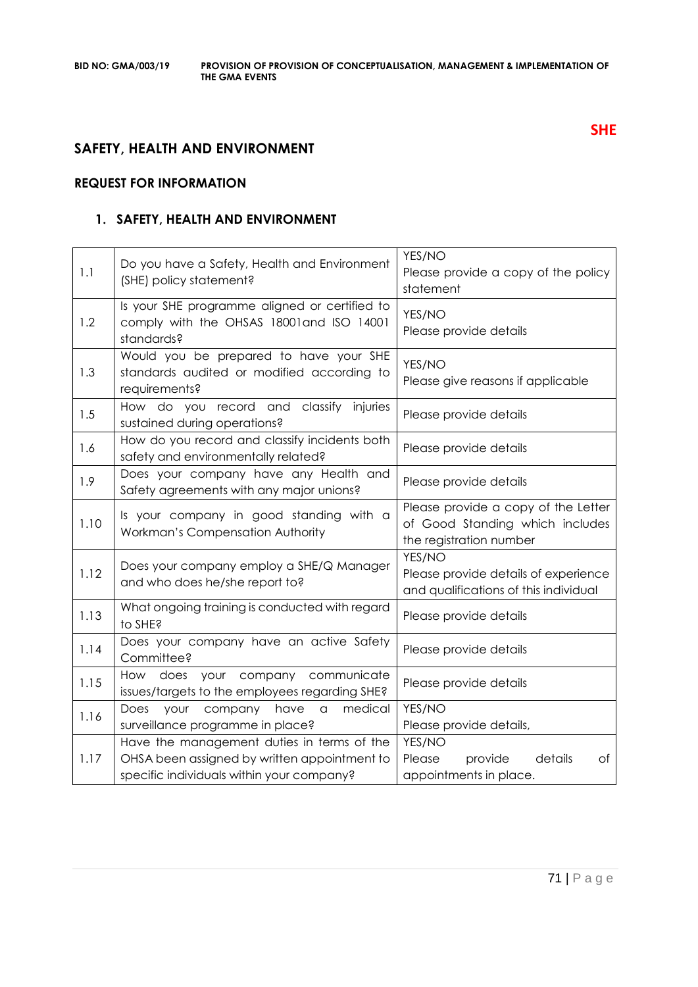### **SAFETY, HEALTH AND ENVIRONMENT**

### **REQUEST FOR INFORMATION**

### **1. SAFETY, HEALTH AND ENVIRONMENT**

| 1.1  | Do you have a Safety, Health and Environment<br>(SHE) policy statement?                                                                 | YES/NO<br>Please provide a copy of the policy<br>statement                                        |
|------|-----------------------------------------------------------------------------------------------------------------------------------------|---------------------------------------------------------------------------------------------------|
| 1.2  | Is your SHE programme aligned or certified to<br>comply with the OHSAS 18001and ISO 14001<br>standards?                                 | YES/NO<br>Please provide details                                                                  |
| 1.3  | Would you be prepared to have your SHE<br>standards audited or modified according to<br>requirements?                                   | YES/NO<br>Please give reasons if applicable                                                       |
| 1.5  | How do you record and classify<br>injuries<br>sustained during operations?                                                              | Please provide details                                                                            |
| 1.6  | How do you record and classify incidents both<br>safety and environmentally related?                                                    | Please provide details                                                                            |
| 1.9  | Does your company have any Health and<br>Safety agreements with any major unions?                                                       | Please provide details                                                                            |
| 1.10 | Is your company in good standing with a<br>Workman's Compensation Authority                                                             | Please provide a copy of the Letter<br>of Good Standing which includes<br>the registration number |
| 1.12 | Does your company employ a SHE/Q Manager<br>and who does he/she report to?                                                              | YES/NO<br>Please provide details of experience<br>and qualifications of this individual           |
| 1.13 | What ongoing training is conducted with regard<br>to SHE?                                                                               | Please provide details                                                                            |
| 1.14 | Does your company have an active Safety<br>Committee?                                                                                   | Please provide details                                                                            |
| 1.15 | your company<br>communicate<br>How does<br>issues/targets to the employees regarding SHE?                                               | Please provide details                                                                            |
| 1.16 | have<br>medical<br>Does<br>your<br>company<br>a<br>surveillance programme in place?                                                     | YES/NO<br>Please provide details,                                                                 |
| 1.17 | Have the management duties in terms of the<br>OHSA been assigned by written appointment to<br>specific individuals within your company? | YES/NO<br>details<br>Please<br>provide<br>Оf<br>appointments in place.                            |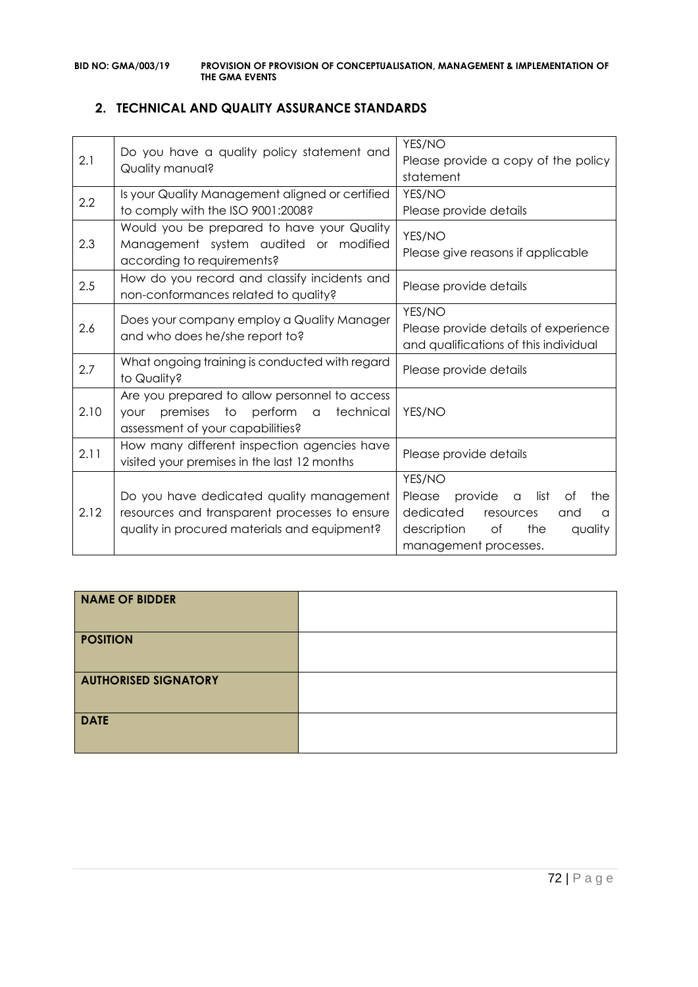### **2. TECHNICAL AND QUALITY ASSURANCE STANDARDS**

| 2.1  | Do you have a quality policy statement and<br>Quality manual?                                                                             | YES/NO<br>Please provide a copy of the policy<br>statement                                                                                                  |
|------|-------------------------------------------------------------------------------------------------------------------------------------------|-------------------------------------------------------------------------------------------------------------------------------------------------------------|
| 2.2  | Is your Quality Management aligned or certified<br>to comply with the ISO 9001:2008?                                                      | YES/NO<br>Please provide details                                                                                                                            |
| 2.3  | Would you be prepared to have your Quality<br>Management system audited or modified<br>according to requirements?                         | YES/NO<br>Please give reasons if applicable                                                                                                                 |
| 2.5  | How do you record and classify incidents and<br>non-conformances related to quality?                                                      | Please provide details                                                                                                                                      |
| 2.6  | Does your company employ a Quality Manager<br>and who does he/she report to?                                                              | YES/NO<br>Please provide details of experience<br>and qualifications of this individual                                                                     |
| 2.7  | What ongoing training is conducted with regard<br>to Quality?                                                                             | Please provide details                                                                                                                                      |
| 2.10 | Are you prepared to allow personnel to access<br>premises to perform a<br>technical<br><b>your</b><br>assessment of your capabilities?    | YES/NO                                                                                                                                                      |
| 2.11 | How many different inspection agencies have<br>visited your premises in the last 12 months                                                | Please provide details                                                                                                                                      |
| 2.12 | Do you have dedicated quality management<br>resources and transparent processes to ensure<br>quality in procured materials and equipment? | YES/NO<br>provide<br>list<br>Please<br>Оf<br>the<br>a<br>dedicated<br>resources<br>and<br>a<br>the<br>description<br>Оf<br>quality<br>management processes. |

| <b>NAME OF BIDDER</b>       |  |
|-----------------------------|--|
| <b>POSITION</b>             |  |
| <b>AUTHORISED SIGNATORY</b> |  |
| <b>DATE</b>                 |  |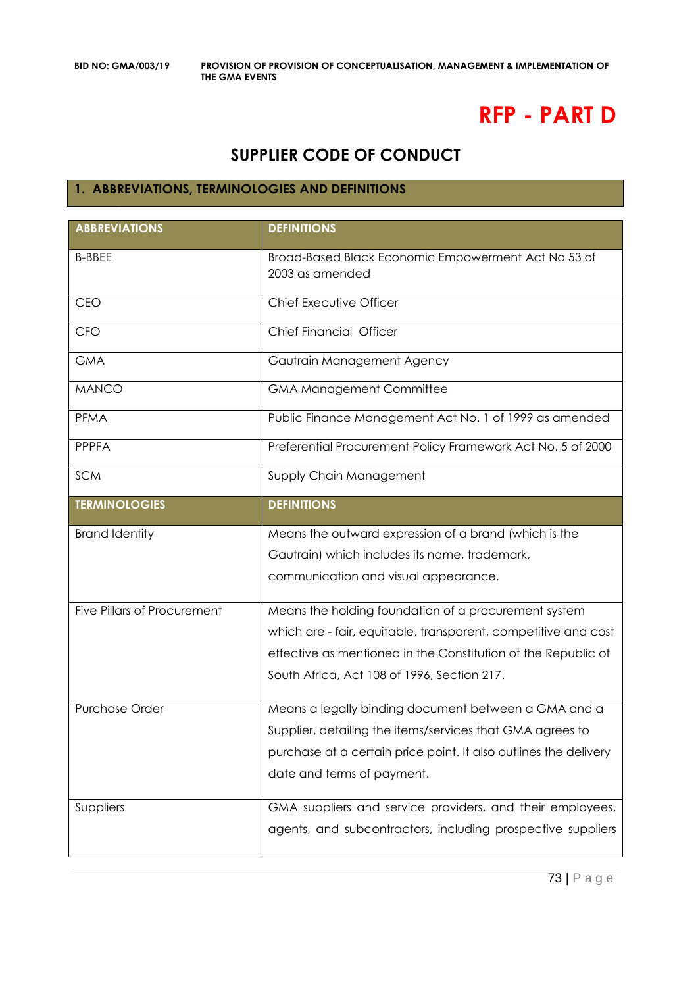# **RFP - PART D**

## **SUPPLIER CODE OF CONDUCT**

### **1. ABBREVIATIONS, TERMINOLOGIES AND DEFINITIONS**

| <b>ABBREVIATIONS</b>               | <b>DEFINITIONS</b>                                                     |  |
|------------------------------------|------------------------------------------------------------------------|--|
| <b>B-BBEE</b>                      | Broad-Based Black Economic Empowerment Act No 53 of<br>2003 as amended |  |
| <b>CEO</b>                         | Chief Executive Officer                                                |  |
| <b>CFO</b>                         | Chief Financial Officer                                                |  |
| <b>GMA</b>                         | Gautrain Management Agency                                             |  |
| <b>MANCO</b>                       | <b>GMA Management Committee</b>                                        |  |
| PFMA                               | Public Finance Management Act No. 1 of 1999 as amended                 |  |
| <b>PPPFA</b>                       | Preferential Procurement Policy Framework Act No. 5 of 2000            |  |
| <b>SCM</b>                         | Supply Chain Management                                                |  |
| <b>TERMINOLOGIES</b>               | <b>DEFINITIONS</b>                                                     |  |
| <b>Brand Identity</b>              | Means the outward expression of a brand (which is the                  |  |
|                                    | Gautrain) which includes its name, trademark,                          |  |
|                                    | communication and visual appearance.                                   |  |
| <b>Five Pillars of Procurement</b> | Means the holding foundation of a procurement system                   |  |
|                                    | which are - fair, equitable, transparent, competitive and cost         |  |
|                                    | effective as mentioned in the Constitution of the Republic of          |  |
|                                    | South Africa, Act 108 of 1996, Section 217.                            |  |
| Purchase Order                     | Means a legally binding document between a GMA and a                   |  |
|                                    | Supplier, detailing the items/services that GMA agrees to              |  |
|                                    | purchase at a certain price point. It also outlines the delivery       |  |
|                                    | date and terms of payment.                                             |  |
| Suppliers                          | GMA suppliers and service providers, and their employees,              |  |
|                                    | agents, and subcontractors, including prospective suppliers            |  |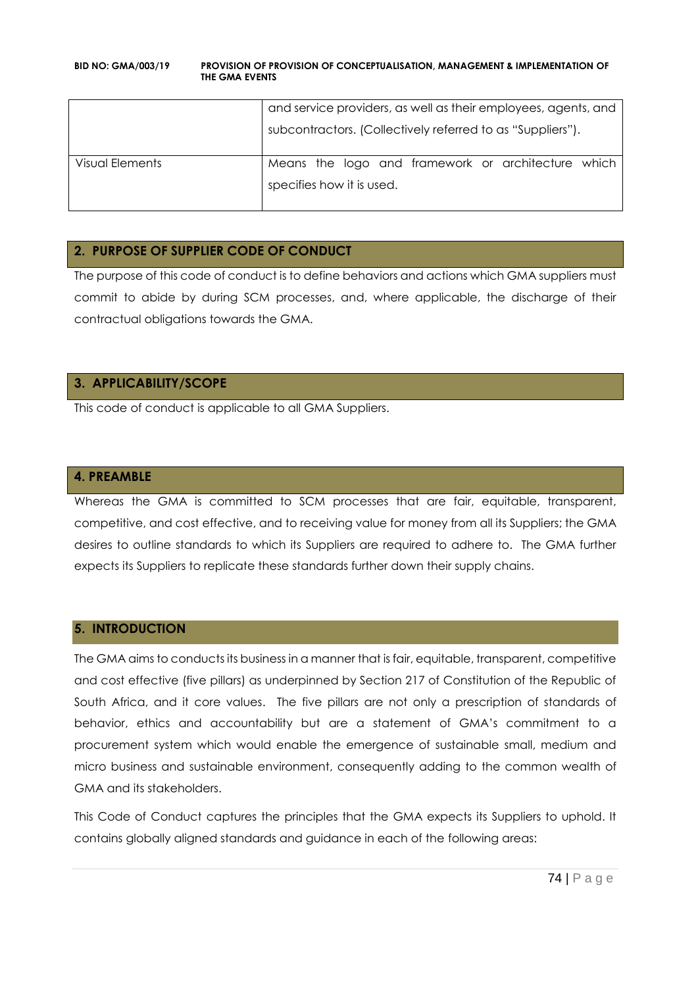|                 | and service providers, as well as their employees, agents, and                  |
|-----------------|---------------------------------------------------------------------------------|
|                 | subcontractors. (Collectively referred to as "Suppliers").                      |
| Visual Elements | Means the logo and framework or architecture which<br>specifies how it is used. |

### **2. PURPOSE OF SUPPLIER CODE OF CONDUCT**

The purpose of this code of conduct is to define behaviors and actions which GMA suppliers must commit to abide by during SCM processes, and, where applicable, the discharge of their contractual obligations towards the GMA.

### **3. APPLICABILITY/SCOPE**

This code of conduct is applicable to all GMA Suppliers.

### **4. PREAMBLE**

Whereas the GMA is committed to SCM processes that are fair, equitable, transparent, competitive, and cost effective, and to receiving value for money from all its Suppliers; the GMA desires to outline standards to which its Suppliers are required to adhere to. The GMA further expects its Suppliers to replicate these standards further down their supply chains.

### **5. INTRODUCTION**

The GMA aims to conducts its business in a manner that is fair, equitable, transparent, competitive and cost effective (five pillars) as underpinned by Section 217 of Constitution of the Republic of South Africa, and it core values. The five pillars are not only a prescription of standards of behavior, ethics and accountability but are a statement of GMA's commitment to a procurement system which would enable the emergence of sustainable small, medium and micro business and sustainable environment, consequently adding to the common wealth of GMA and its stakeholders.

This Code of Conduct captures the principles that the GMA expects its Suppliers to uphold. It contains globally aligned standards and guidance in each of the following areas: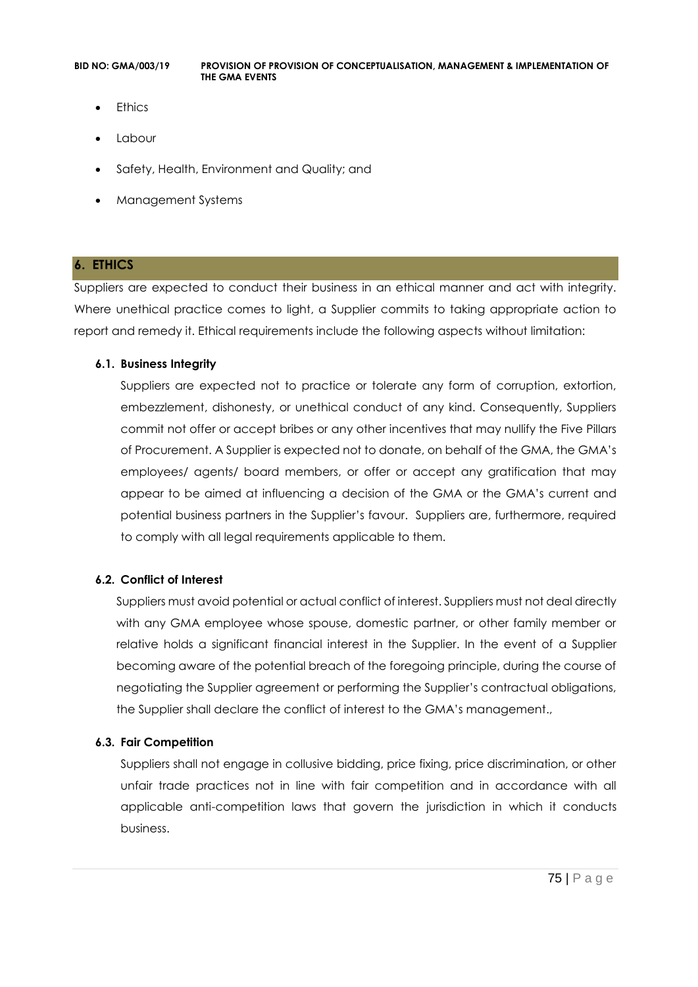- **Ethics**
- Labour
- Safety, Health, Environment and Quality; and
- Management Systems

### **6. ETHICS**

Suppliers are expected to conduct their business in an ethical manner and act with integrity. Where unethical practice comes to light, a Supplier commits to taking appropriate action to report and remedy it. Ethical requirements include the following aspects without limitation:

### **6.1. Business Integrity**

Suppliers are expected not to practice or tolerate any form of corruption, extortion, embezzlement, dishonesty, or unethical conduct of any kind. Consequently, Suppliers commit not offer or accept bribes or any other incentives that may nullify the Five Pillars of Procurement. A Supplier is expected not to donate, on behalf of the GMA, the GMA's employees/ agents/ board members, or offer or accept any gratification that may appear to be aimed at influencing a decision of the GMA or the GMA's current and potential business partners in the Supplier's favour. Suppliers are, furthermore, required to comply with all legal requirements applicable to them.

### **6.2. Conflict of Interest**

Suppliers must avoid potential or actual conflict of interest. Suppliers must not deal directly with any GMA employee whose spouse, domestic partner, or other family member or relative holds a significant financial interest in the Supplier. In the event of a Supplier becoming aware of the potential breach of the foregoing principle, during the course of negotiating the Supplier agreement or performing the Supplier's contractual obligations, the Supplier shall declare the conflict of interest to the GMA's management.,

### **6.3. Fair Competition**

Suppliers shall not engage in collusive bidding, price fixing, price discrimination, or other unfair trade practices not in line with fair competition and in accordance with all applicable anti-competition laws that govern the jurisdiction in which it conducts business.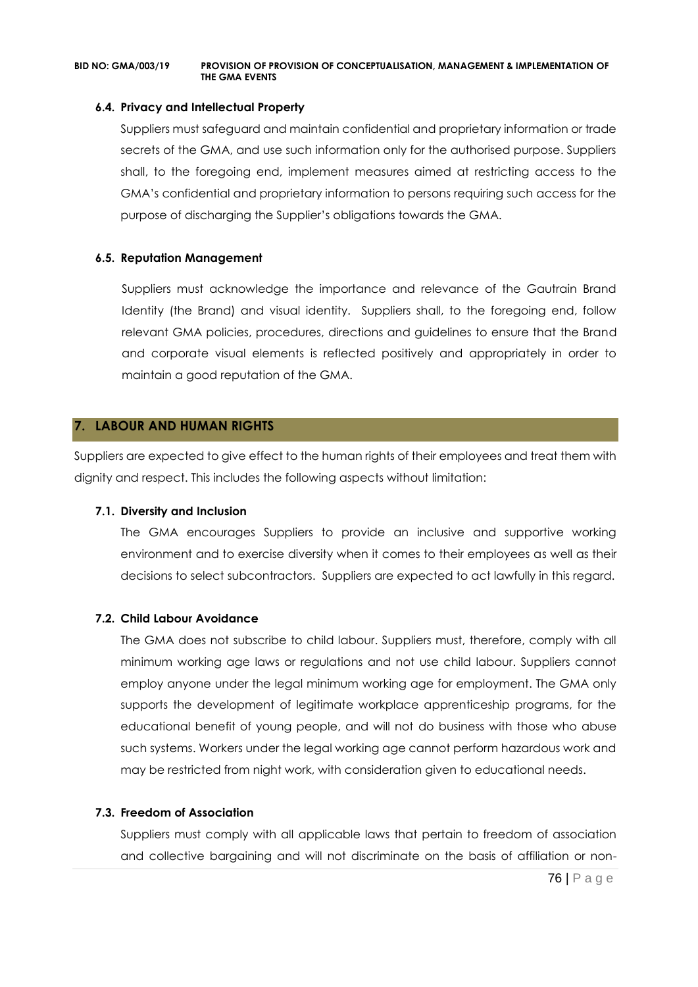### **6.4. Privacy and Intellectual Property**

Suppliers must safeguard and maintain confidential and proprietary information or trade secrets of the GMA, and use such information only for the authorised purpose. Suppliers shall, to the foregoing end, implement measures aimed at restricting access to the GMA's confidential and proprietary information to persons requiring such access for the purpose of discharging the Supplier's obligations towards the GMA.

### **6.5. Reputation Management**

Suppliers must acknowledge the importance and relevance of the Gautrain Brand Identity (the Brand) and visual identity. Suppliers shall, to the foregoing end, follow relevant GMA policies, procedures, directions and guidelines to ensure that the Brand and corporate visual elements is reflected positively and appropriately in order to maintain a good reputation of the GMA.

### **7. LABOUR AND HUMAN RIGHTS**

Suppliers are expected to give effect to the human rights of their employees and treat them with dignity and respect. This includes the following aspects without limitation:

### **7.1. Diversity and Inclusion**

The GMA encourages Suppliers to provide an inclusive and supportive working environment and to exercise diversity when it comes to their employees as well as their decisions to select subcontractors. Suppliers are expected to act lawfully in this regard.

### **7.2. Child Labour Avoidance**

The GMA does not subscribe to child labour. Suppliers must, therefore, comply with all minimum working age laws or regulations and not use child labour. Suppliers cannot employ anyone under the legal minimum working age for employment. The GMA only supports the development of legitimate workplace apprenticeship programs, for the educational benefit of young people, and will not do business with those who abuse such systems. Workers under the legal working age cannot perform hazardous work and may be restricted from night work, with consideration given to educational needs.

### **7.3. Freedom of Association**

Suppliers must comply with all applicable laws that pertain to freedom of association and collective bargaining and will not discriminate on the basis of affiliation or non-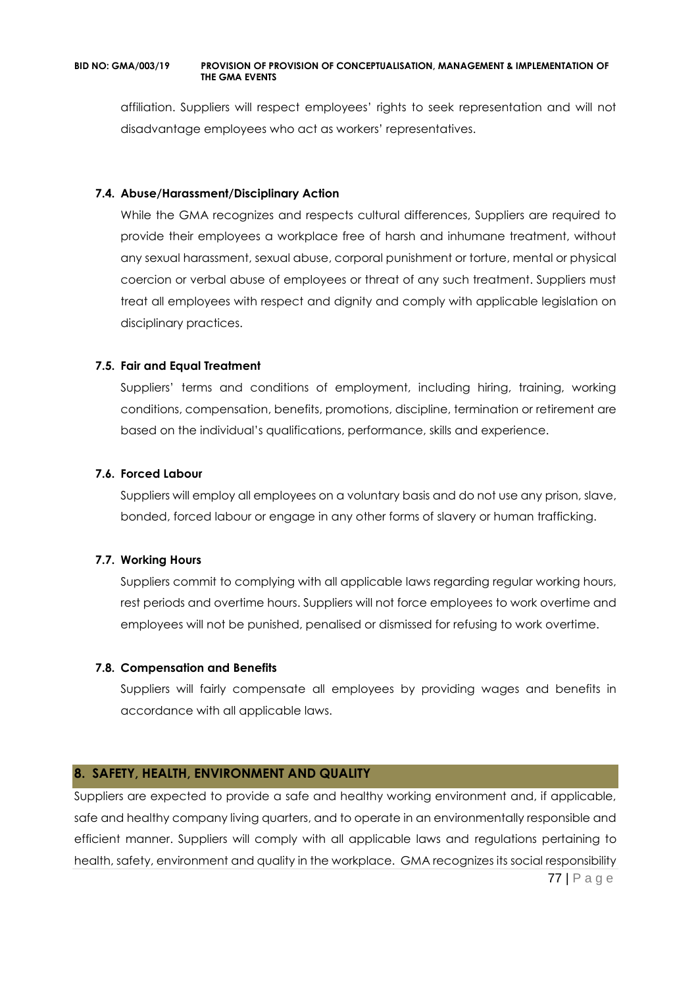affiliation. Suppliers will respect employees' rights to seek representation and will not disadvantage employees who act as workers' representatives.

### **7.4. Abuse/Harassment/Disciplinary Action**

While the GMA recognizes and respects cultural differences, Suppliers are required to provide their employees a workplace free of harsh and inhumane treatment, without any sexual harassment, sexual abuse, corporal punishment or torture, mental or physical coercion or verbal abuse of employees or threat of any such treatment. Suppliers must treat all employees with respect and dignity and comply with applicable legislation on disciplinary practices.

### **7.5. Fair and Equal Treatment**

Suppliers' terms and conditions of employment, including hiring, training, working conditions, compensation, benefits, promotions, discipline, termination or retirement are based on the individual's qualifications, performance, skills and experience.

### **7.6. Forced Labour**

Suppliers will employ all employees on a voluntary basis and do not use any prison, slave, bonded, forced labour or engage in any other forms of slavery or human trafficking.

### **7.7. Working Hours**

Suppliers commit to complying with all applicable laws regarding regular working hours, rest periods and overtime hours. Suppliers will not force employees to work overtime and employees will not be punished, penalised or dismissed for refusing to work overtime.

### **7.8. Compensation and Benefits**

Suppliers will fairly compensate all employees by providing wages and benefits in accordance with all applicable laws.

### **8. SAFETY, HEALTH, ENVIRONMENT AND QUALITY**

77 | P a g e Suppliers are expected to provide a safe and healthy working environment and, if applicable, safe and healthy company living quarters, and to operate in an environmentally responsible and efficient manner. Suppliers will comply with all applicable laws and regulations pertaining to health, safety, environment and quality in the workplace. GMA recognizes its social responsibility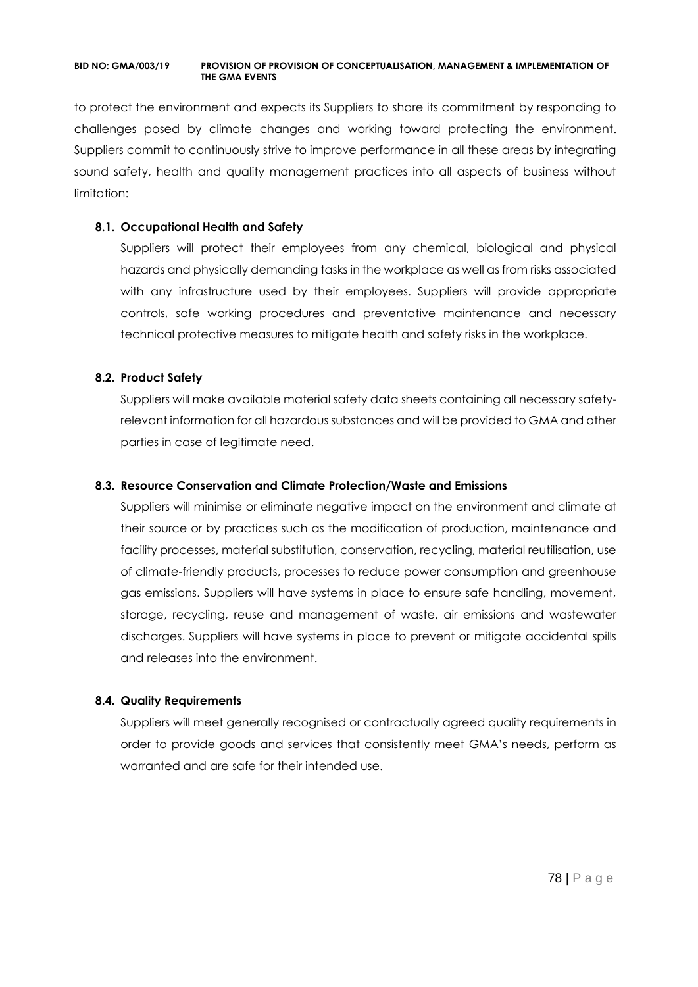to protect the environment and expects its Suppliers to share its commitment by responding to challenges posed by climate changes and working toward protecting the environment. Suppliers commit to continuously strive to improve performance in all these areas by integrating sound safety, health and quality management practices into all aspects of business without limitation:

### **8.1. Occupational Health and Safety**

Suppliers will protect their employees from any chemical, biological and physical hazards and physically demanding tasks in the workplace as well as from risks associated with any infrastructure used by their employees. Suppliers will provide appropriate controls, safe working procedures and preventative maintenance and necessary technical protective measures to mitigate health and safety risks in the workplace.

### **8.2. Product Safety**

Suppliers will make available material safety data sheets containing all necessary safetyrelevant information for all hazardous substances and will be provided to GMA and other parties in case of legitimate need.

### **8.3. Resource Conservation and Climate Protection/Waste and Emissions**

Suppliers will minimise or eliminate negative impact on the environment and climate at their source or by practices such as the modification of production, maintenance and facility processes, material substitution, conservation, recycling, material reutilisation, use of climate-friendly products, processes to reduce power consumption and greenhouse gas emissions. Suppliers will have systems in place to ensure safe handling, movement, storage, recycling, reuse and management of waste, air emissions and wastewater discharges. Suppliers will have systems in place to prevent or mitigate accidental spills and releases into the environment.

### **8.4. Quality Requirements**

Suppliers will meet generally recognised or contractually agreed quality requirements in order to provide goods and services that consistently meet GMA's needs, perform as warranted and are safe for their intended use.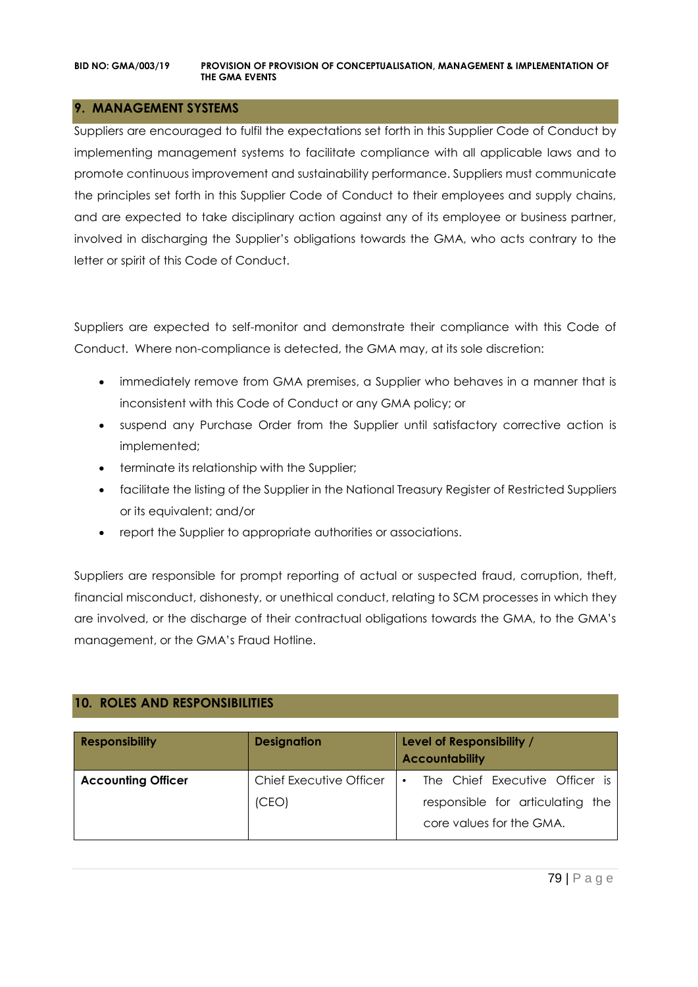### **9. MANAGEMENT SYSTEMS**

Suppliers are encouraged to fulfil the expectations set forth in this Supplier Code of Conduct by implementing management systems to facilitate compliance with all applicable laws and to promote continuous improvement and sustainability performance. Suppliers must communicate the principles set forth in this Supplier Code of Conduct to their employees and supply chains, and are expected to take disciplinary action against any of its employee or business partner, involved in discharging the Supplier's obligations towards the GMA, who acts contrary to the letter or spirit of this Code of Conduct.

Suppliers are expected to self-monitor and demonstrate their compliance with this Code of Conduct. Where non-compliance is detected, the GMA may, at its sole discretion:

- immediately remove from GMA premises, a Supplier who behaves in a manner that is inconsistent with this Code of Conduct or any GMA policy; or
- suspend any Purchase Order from the Supplier until satisfactory corrective action is implemented;
- terminate its relationship with the Supplier;
- facilitate the listing of the Supplier in the National Treasury Register of Restricted Suppliers or its equivalent; and/or
- report the Supplier to appropriate authorities or associations.

Suppliers are responsible for prompt reporting of actual or suspected fraud, corruption, theft, financial misconduct, dishonesty, or unethical conduct, relating to SCM processes in which they are involved, or the discharge of their contractual obligations towards the GMA, to the GMA's management, or the GMA's Fraud Hotline.

### **10. ROLES AND RESPONSIBILITIES**

| <b>Responsibility</b>     | <b>Designation</b>      | Level of Responsibility /<br><b>Accountability</b>           |
|---------------------------|-------------------------|--------------------------------------------------------------|
| <b>Accounting Officer</b> | Chief Executive Officer | The Chief Executive Officer is<br>$\bullet$                  |
|                           | (CEO)                   | responsible for articulating the<br>core values for the GMA. |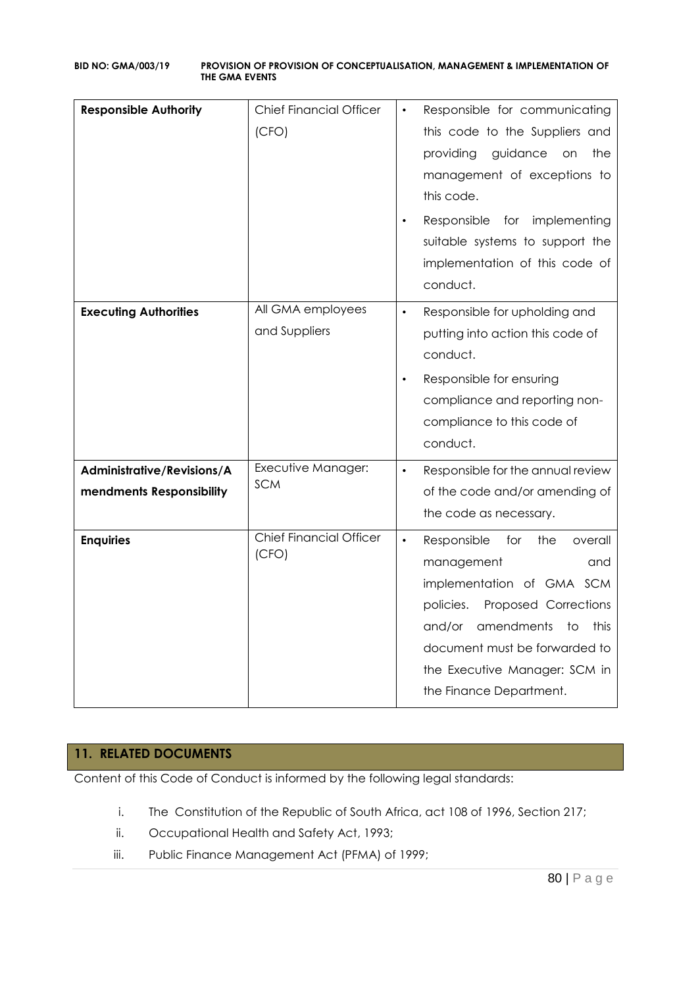| <b>Responsible Authority</b>                           | <b>Chief Financial Officer</b><br>(CFO) | Responsible for communicating<br>this code to the Suppliers and<br>providing<br>guidance<br>the<br>on<br>management of exceptions to<br>this code.<br>Responsible<br>for implementing<br>suitable systems to support the<br>implementation of this code of<br>conduct.      |
|--------------------------------------------------------|-----------------------------------------|-----------------------------------------------------------------------------------------------------------------------------------------------------------------------------------------------------------------------------------------------------------------------------|
| <b>Executing Authorities</b>                           | All GMA employees<br>and Suppliers      | Responsible for upholding and<br>$\bullet$<br>putting into action this code of<br>conduct.<br>Responsible for ensuring<br>$\bullet$<br>compliance and reporting non-<br>compliance to this code of<br>conduct.                                                              |
| Administrative/Revisions/A<br>mendments Responsibility | Executive Manager:<br><b>SCM</b>        | Responsible for the annual review<br>$\bullet$<br>of the code and/or amending of<br>the code as necessary.                                                                                                                                                                  |
| <b>Enquiries</b>                                       | <b>Chief Financial Officer</b><br>(CFO) | Responsible<br>for<br>the<br>$\bullet$<br>overall<br>management<br>and<br>implementation of GMA SCM<br>policies.<br>Proposed Corrections<br>amendments<br>this<br>and/or<br>to<br>document must be forwarded to<br>the Executive Manager: SCM in<br>the Finance Department. |

### **11. RELATED DOCUMENTS**

Content of this Code of Conduct is informed by the following legal standards:

- i. The Constitution of the Republic of South Africa, act 108 of 1996, Section 217;
- ii. Occupational Health and Safety Act, 1993;
- iii. Public Finance Management Act (PFMA) of 1999;